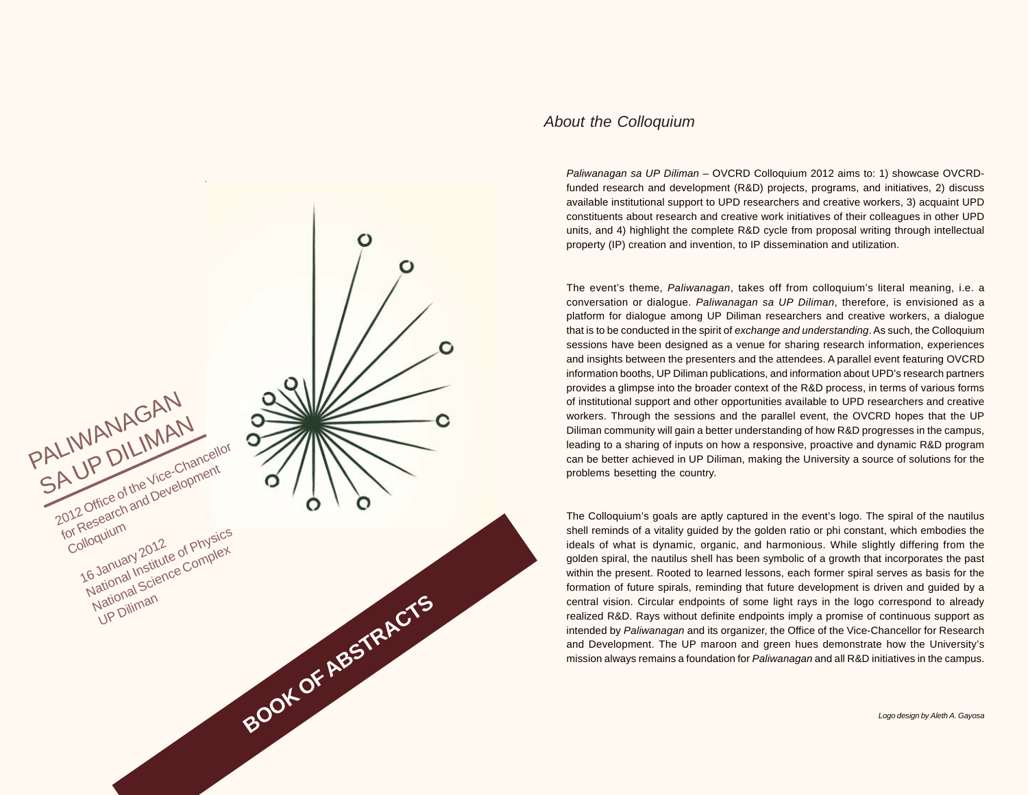

### *About the Colloquium*

*Paliwanagan sa UP Diliman* – OVCRD Colloquium 2012 aims to: 1) showcase OVCRDfunded research and development (R&D) projects, programs, and initiatives, 2) discuss available institutional support to UPD researchers and creative workers, 3) acquaint UPD constituents about research and creative work initiatives of their colleagues in other UPD units, and 4) highlight the complete R&D cycle from proposal writing through intellectual property (IP) creation and invention, to IP dissemination and utilization.

The event's theme, *Paliwanagan*, takes off from colloquium's literal meaning, i.e. a conversation or dialogue. *Paliwanagan sa UP Diliman*, therefore, is envisioned as a platform for dialogue among UP Diliman researchers and creative workers, a dialogue that is to be conducted in the spirit of *exchange and understanding*. As such, the Colloquium sessions have been designed as a venue for sharing research information, experiences and insights between the presenters and the attendees. A parallel event featuring OVCRD information booths, UP Diliman publications, and information about UPD's research partners provides a glimpse into the broader context of the R&D process, in terms of various forms of institutional support and other opportunities available to UPD researchers and creative workers. Through the sessions and the parallel event, the OVCRD hopes that the UP Diliman community will gain a better understanding of how R&D progresses in the campus, leading to a sharing of inputs on how a responsive, proactive and dynamic R&D program can be better achieved in UP Diliman, making the University a source of solutions for the problems besetting the country.

The Colloquium's goals are aptly captured in the event's logo. The spiral of the nautilus shell reminds of a vitality guided by the golden ratio or phi constant, which embodies the ideals of what is dynamic, organic, and harmonious. While slightly differing from the golden spiral, the nautilus shell has been symbolic of a growth that incorporates the past within the present. Rooted to learned lessons, each former spiral serves as basis for the formation of future spirals, reminding that future development is driven and guided by a central vision. Circular endpoints of some light rays in the logo correspond to already realized R&D. Rays without definite endpoints imply a promise of continuous support as intended by *Paliwanagan* and its organizer, the Office of the Vice-Chancellor for Research and Development. The UP maroon and green hues demonstrate how the University's mission always remains a foundation for *Paliwanagan* and all R&D initiatives in the campus.

*Logo design by Aleth A. Gayosa*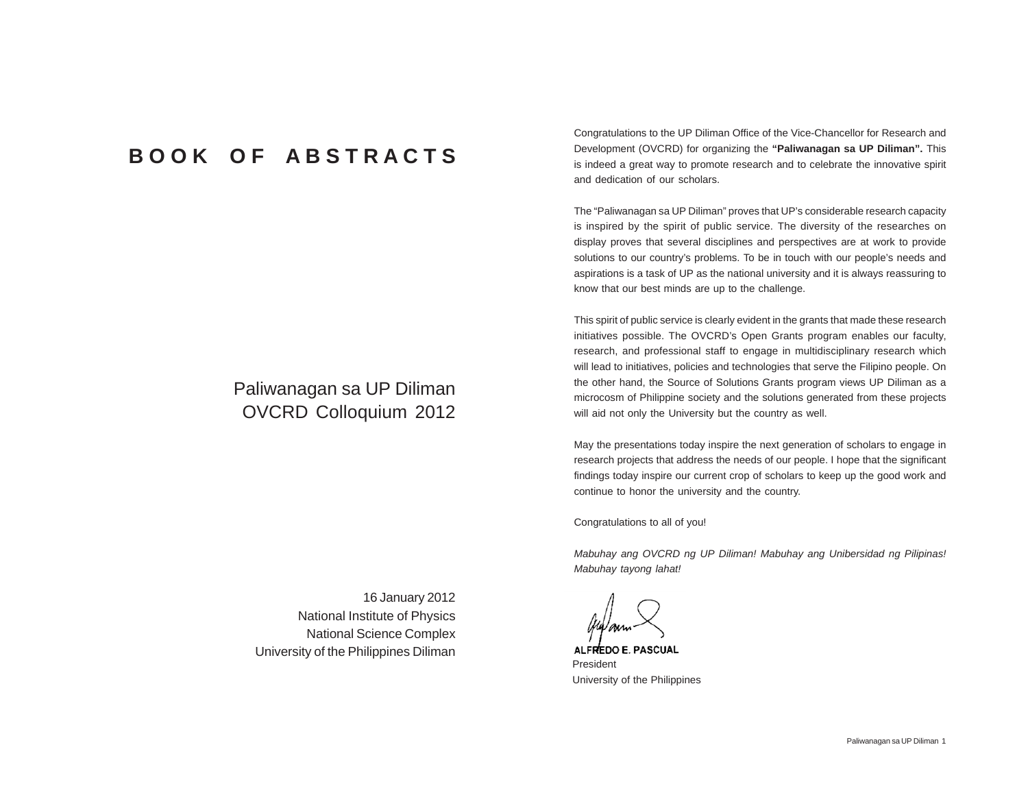# **B O O K O F A B S T R A C T S**

# Paliwanagan sa UP Diliman OVCRD Colloquium 2012

Congratulations to the UP Diliman Office of the Vice-Chancellor for Research and Development (OVCRD) for organizing the **"Paliwanagan sa UP Diliman".** This is indeed a great way to promote research and to celebrate the innovative spirit and dedication of our scholars.

The "Paliwanagan sa UP Diliman" proves that UP's considerable research capacity is inspired by the spirit of public service. The diversity of the researches on display proves that several disciplines and perspectives are at work to provide solutions to our country's problems. To be in touch with our people's needs and aspirations is a task of UP as the national university and it is always reassuring to know that our best minds are up to the challenge.

This spirit of public service is clearly evident in the grants that made these research initiatives possible. The OVCRD's Open Grants program enables our faculty, research, and professional staff to engage in multidisciplinary research which will lead to initiatives, policies and technologies that serve the Filipino people. On the other hand, the Source of Solutions Grants program views UP Diliman as a microcosm of Philippine society and the solutions generated from these projects will aid not only the University but the country as well.

May the presentations today inspire the next generation of scholars to engage in research projects that address the needs of our people. I hope that the significant findings today inspire our current crop of scholars to keep up the good work and continue to honor the university and the country.

Congratulations to all of you!

*Mabuhay ang OVCRD ng UP Diliman! Mabuhay ang Unibersidad ng Pilipinas! Mabuhay tayong lahat!*

ALFREDO E. PASCUAL President University of the Philippines

16 January 2012 National Institute of Physics National Science Complex University of the Philippines Diliman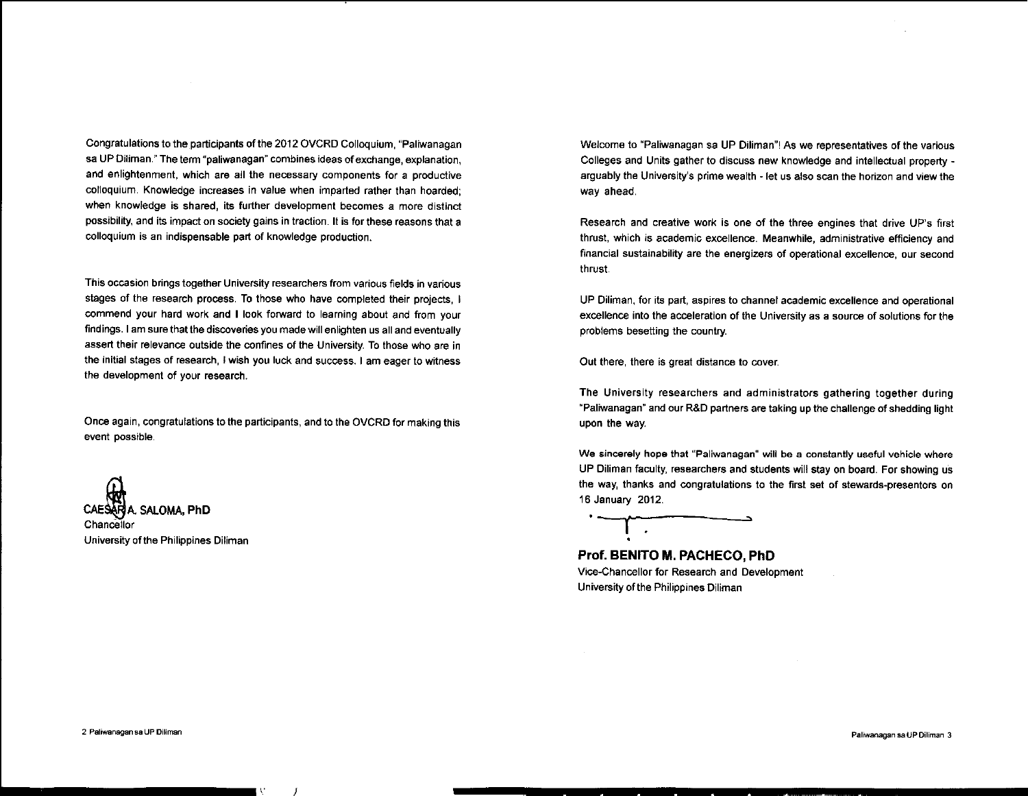Congratulations to the participants of the 2012 OVCRD Colloquium, "Paliwanagan sa UP Diliman." The term "paliwanagan" combines ideas of exchange, explanation, and enlightenment, which are all the necessary components for a productive colloquium. Knowledge increases in value when imparted rather than hoarded; when knowledge is shared, its further development becomes a more distinct possibility, and its impact on society gains in traction. It is for these reasons that a colloquium is an indispensable part of knowledge production.

This occasion brings together University researchers from various fields in various stages of the research process. To those who have completed their projects. I commend your hard work and I look forward to learning about and from your findings. I am sure that the discoveries you made will enlighten us all and eventually assert their relevance outside the confines of the University. To those who are in the initial stages of research, I wish you luck and success. I am eager to witness the development of your research.

Once again, congratulations to the participants, and to the OVCRD for making this event possible.

ARIA. SALOMA, PhD Chancellor University of the Philippines Diliman Welcome to "Paliwanagan sa UP Diliman"! As we representatives of the various Colleges and Units gather to discuss new knowledge and intellectual property arguably the University's prime wealth - let us also scan the horizon and view the way ahead.

Research and creative work is one of the three engines that drive UP's first thrust, which is academic excellence. Meanwhile, administrative efficiency and financial sustainability are the energizers of operational excellence, our second thrust.

UP Diliman, for its part, aspires to channel academic excellence and operational excellence into the acceleration of the University as a source of solutions for the problems besetting the country.

Out there, there is great distance to cover.

The University researchers and administrators gathering together during "Paliwanagan" and our R&D partners are taking up the challenge of shedding light upon the way.

We sincerely hope that "Paliwanagan" will be a constantly useful vehicle where UP Diliman faculty, researchers and students will stay on board. For showing us the way, thanks and congratulations to the first set of stewards-presentors on 16 January 2012.

Prof. BENITO M. PACHECO. PhD Vice-Chancellor for Research and Development

University of the Philippines Diliman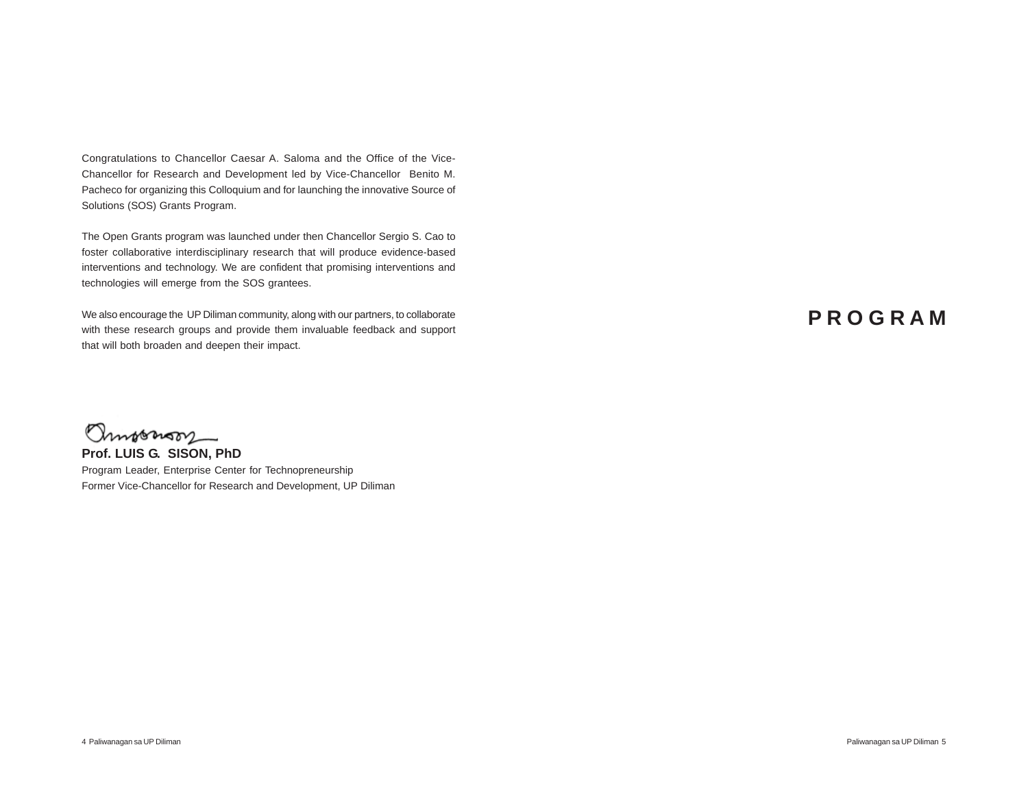Congratulations to Chancellor Caesar A. Saloma and the Office of the Vice-Chancellor for Research and Development led by Vice-Chancellor Benito M. Pacheco for organizing this Colloquium and for launching the innovative Source of Solutions (SOS) Grants Program.

The Open Grants program was launched under then Chancellor Sergio S. Cao to foster collaborative interdisciplinary research that will produce evidence-based interventions and technology. We are confident that promising interventions and technologies will emerge from the SOS grantees.

We also encourage the UP Diliman community, along with our partners, to collaborate with these research groups and provide them invaluable feedback and support that will both broaden and deepen their impact.

# **P R O G R A M**

Ommorron

**Prof. LUIS G. SISON, PhD** Program Leader, Enterprise Center for Technopreneurship Former Vice-Chancellor for Research and Development, UP Diliman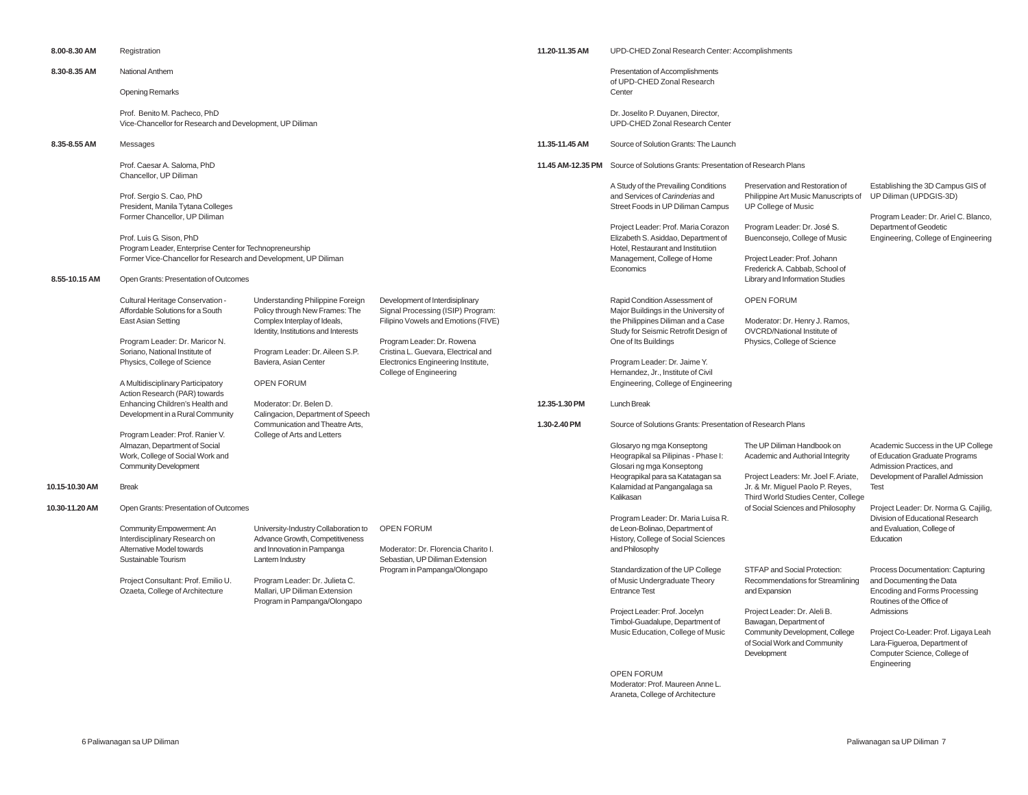| 8.00-8.30 AM   | Registration                                                                                                                                                                                                                                                                                                                               |                                                                                                                                                                                                                                                                                                                                |                                                                                                                                                                                                                                                  | 11.20-11.35 AM                | UPD-CHED Zonal Research Center: Accomplishments                                                                                                                                                                                                                                                                                                                       |                                                                                                                   |                                                                                                                                             |  |
|----------------|--------------------------------------------------------------------------------------------------------------------------------------------------------------------------------------------------------------------------------------------------------------------------------------------------------------------------------------------|--------------------------------------------------------------------------------------------------------------------------------------------------------------------------------------------------------------------------------------------------------------------------------------------------------------------------------|--------------------------------------------------------------------------------------------------------------------------------------------------------------------------------------------------------------------------------------------------|-------------------------------|-----------------------------------------------------------------------------------------------------------------------------------------------------------------------------------------------------------------------------------------------------------------------------------------------------------------------------------------------------------------------|-------------------------------------------------------------------------------------------------------------------|---------------------------------------------------------------------------------------------------------------------------------------------|--|
| 8.30-8.35 AM   | <b>National Anthem</b>                                                                                                                                                                                                                                                                                                                     |                                                                                                                                                                                                                                                                                                                                |                                                                                                                                                                                                                                                  |                               | Presentation of Accomplishments<br>of UPD-CHED Zonal Research                                                                                                                                                                                                                                                                                                         |                                                                                                                   |                                                                                                                                             |  |
|                | Opening Remarks                                                                                                                                                                                                                                                                                                                            |                                                                                                                                                                                                                                                                                                                                |                                                                                                                                                                                                                                                  |                               | Center                                                                                                                                                                                                                                                                                                                                                                |                                                                                                                   |                                                                                                                                             |  |
|                | Prof. Benito M. Pacheco, PhD<br>Vice-Chancellor for Research and Development, UP Diliman                                                                                                                                                                                                                                                   |                                                                                                                                                                                                                                                                                                                                |                                                                                                                                                                                                                                                  |                               | Dr. Joselito P. Duyanen, Director,<br>UPD-CHED Zonal Research Center                                                                                                                                                                                                                                                                                                  |                                                                                                                   |                                                                                                                                             |  |
| 8.35-8.55 AM   | Messages                                                                                                                                                                                                                                                                                                                                   |                                                                                                                                                                                                                                                                                                                                |                                                                                                                                                                                                                                                  | 11.35-11.45 AM                | Source of Solution Grants: The Launch                                                                                                                                                                                                                                                                                                                                 |                                                                                                                   |                                                                                                                                             |  |
|                | Prof. Caesar A. Saloma, PhD<br>Chancellor, UP Diliman                                                                                                                                                                                                                                                                                      |                                                                                                                                                                                                                                                                                                                                |                                                                                                                                                                                                                                                  | 11.45 AM-12.35 PM             | Source of Solutions Grants: Presentation of Research Plans                                                                                                                                                                                                                                                                                                            |                                                                                                                   |                                                                                                                                             |  |
|                | Prof. Sergio S. Cao, PhD<br>President, Manila Tytana Colleges<br>Former Chancellor, UP Diliman                                                                                                                                                                                                                                             |                                                                                                                                                                                                                                                                                                                                |                                                                                                                                                                                                                                                  |                               | A Study of the Prevailing Conditions<br>and Services of Carinderias and<br>Street Foods in UP Diliman Campus                                                                                                                                                                                                                                                          | Preservation and Restoration of<br>Philippine Art Music Manuscripts of<br><b>UP College of Music</b>              | Establishing the 3D Campus GIS of<br>UP Diliman (UPDGIS-3D)<br>Program Leader: Dr. Ariel C. Blanco,                                         |  |
|                | Prof. Luis G. Sison, PhD<br>Program Leader, Enterprise Center for Technopreneurship<br>Former Vice-Chancellor for Research and Development, UP Diliman                                                                                                                                                                                     |                                                                                                                                                                                                                                                                                                                                |                                                                                                                                                                                                                                                  |                               | Project Leader: Prof. Maria Corazon<br>Elizabeth S. Asiddao, Department of<br>Hotel, Restaurant and Institutiion<br>Management, College of Home                                                                                                                                                                                                                       | Program Leader: Dr. José S.<br>Buenconsejo, College of Music<br>Project Leader: Prof. Johann                      | Department of Geodetic<br>Engineering, College of Engineering                                                                               |  |
| 8.55-10.15 AM  | Open Grants: Presentation of Outcomes                                                                                                                                                                                                                                                                                                      |                                                                                                                                                                                                                                                                                                                                |                                                                                                                                                                                                                                                  |                               | Economics                                                                                                                                                                                                                                                                                                                                                             | Frederick A. Cabbab, School of<br>Library and Information Studies                                                 |                                                                                                                                             |  |
|                | Cultural Heritage Conservation -<br>Affordable Solutions for a South<br>East Asian Setting<br>Program Leader: Dr. Maricor N.<br>Soriano, National Institute of<br>Physics, College of Science<br>A Multidisciplinary Participatory<br>Action Research (PAR) towards<br>Enhancing Children's Health and<br>Development in a Rural Community | Understanding Philippine Foreign<br>Policy through New Frames: The<br>Complex Interplay of Ideals,<br>Identity, Institutions and Interests<br>Program Leader: Dr. Aileen S.P.<br>Baviera, Asian Center<br><b>OPEN FORUM</b><br>Moderator: Dr. Belen D.<br>Calingacion, Department of Speech<br>Communication and Theatre Arts, | Development of Interdisiplinary<br>Signal Processing (ISIP) Program:<br>Filipino Vowels and Emotions (FIVE)<br>Program Leader: Dr. Rowena<br>Cristina L. Guevara, Electrical and<br>Electronics Engineering Institute,<br>College of Engineering | 12.35-1.30 PM<br>1.30-2.40 PM | Rapid Condition Assessment of<br>Major Buildings in the University of<br>the Philippines Diliman and a Case<br>Study for Seismic Retrofit Design of<br>One of Its Buildings<br>Program Leader: Dr. Jaime Y.<br>Hernandez, Jr., Institute of Civil<br>Engineering, College of Engineering<br>Lunch Break<br>Source of Solutions Grants: Presentation of Research Plans | <b>OPEN FORUM</b><br>Moderator: Dr. Henry J. Ramos,<br>OVCRD/National Institute of<br>Physics, College of Science |                                                                                                                                             |  |
|                | Program Leader: Prof. Ranier V.<br>Almazan, Department of Social<br>Work, College of Social Work and<br><b>Community Development</b>                                                                                                                                                                                                       | College of Arts and Letters                                                                                                                                                                                                                                                                                                    |                                                                                                                                                                                                                                                  |                               | Glosaryo ng mga Konseptong<br>Heograpikal sa Pilipinas - Phase I:<br>Glosari ng mga Konseptong<br>Heograpikal para sa Katatagan sa                                                                                                                                                                                                                                    | The UP Diliman Handbook on<br>Academic and Authorial Integrity<br>Project Leaders: Mr. Joel F. Ariate,            | Academic Success in the UP College<br>of Education Graduate Programs<br>Admission Practices, and<br>Development of Parallel Admission       |  |
| 10.15-10.30 AM | <b>Break</b>                                                                                                                                                                                                                                                                                                                               |                                                                                                                                                                                                                                                                                                                                |                                                                                                                                                                                                                                                  |                               | Kalamidad at Pangangalaga sa<br>Kalikasan                                                                                                                                                                                                                                                                                                                             | Jr. & Mr. Miguel Paolo P. Reyes,<br>Third World Studies Center, College                                           | <b>Test</b>                                                                                                                                 |  |
| 10.30-11.20 AM | Open Grants: Presentation of Outcomes<br>Community Empowerment: An<br>Interdisciplinary Research on<br>Alternative Model towards<br>Sustainable Tourism                                                                                                                                                                                    | University-Industry Collaboration to<br>Advance Growth, Competitiveness<br>and Innovation in Pampanga<br>Lantern Industry                                                                                                                                                                                                      | <b>OPEN FORUM</b><br>Moderator: Dr. Florencia Charito I.<br>Sebastian, UP Diliman Extension<br>Program in Pampanga/Olongapo                                                                                                                      |                               | Program Leader: Dr. Maria Luisa R.<br>de Leon-Bolinao, Department of<br>History, College of Social Sciences<br>and Philosophy<br>Standardization of the UP College                                                                                                                                                                                                    | of Social Sciences and Philosophy<br>Education<br>STFAP and Social Protection:                                    | Project Leader: Dr. Norma G. Cajilig,<br>Division of Educational Research<br>and Evaluation, College of<br>Process Documentation: Capturing |  |
|                | Project Consultant: Prof. Emilio U.<br>Ozaeta, College of Architecture                                                                                                                                                                                                                                                                     | Program Leader: Dr. Julieta C.<br>Mallari, UP Diliman Extension<br>Program in Pampanga/Olongapo                                                                                                                                                                                                                                |                                                                                                                                                                                                                                                  |                               | of Music Undergraduate Theory<br><b>Entrance Test</b><br>Project Leader: Prof. Jocelyn<br>Timbol-Guadalupe, Department of<br>Music Education, College of Music                                                                                                                                                                                                        | Recommendations for Streamlining<br>and Expansion<br>Project Leader: Dr. Aleli B.<br>Bawagan, Department of       | and Documenting the Data<br>Encoding and Forms Processing<br>Routines of the Office of<br>Admissions                                        |  |
|                |                                                                                                                                                                                                                                                                                                                                            |                                                                                                                                                                                                                                                                                                                                |                                                                                                                                                                                                                                                  |                               |                                                                                                                                                                                                                                                                                                                                                                       | Community Development, College<br>of Social Work and Community<br>Development                                     | Project Co-Leader: Prof. Ligaya Leah<br>Lara-Figueroa, Department of<br>Computer Science, College of<br>Engineering                         |  |

OPEN FORUM

Moderator: Prof. Maureen Anne L. Araneta, College of Architecture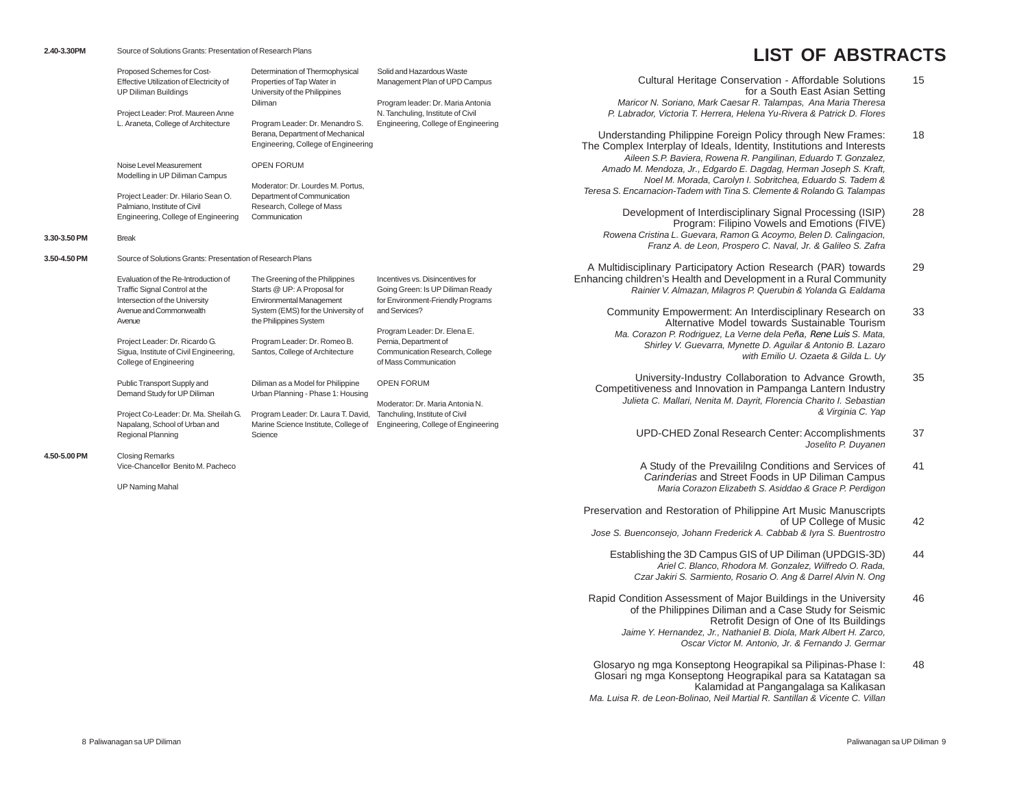# **LIST OF ABSTRACTS**

**3.30-3.50 PM** Break

**4.50-5.00** 

|              | Proposed Schemes for Cost-<br>Effective Utilization of Electricity of<br><b>UP Diliman Buildings</b><br>Project Leader: Prof. Maureen Anne<br>L. Araneta, College of Architecture | Determination of Thermophysical<br>Properties of Tap Water in<br>University of the Philippines<br>Diliman<br>Program Leader: Dr. Menandro S.               | Solid and Hazardous Waste<br>Management Plan of UPD Campus<br>Program leader: Dr. Maria Antonia<br>N. Tanchuling, Institute of Civil<br>Engineering, College of Engineering |  |  |  |  |  |  |
|--------------|-----------------------------------------------------------------------------------------------------------------------------------------------------------------------------------|------------------------------------------------------------------------------------------------------------------------------------------------------------|-----------------------------------------------------------------------------------------------------------------------------------------------------------------------------|--|--|--|--|--|--|
|              |                                                                                                                                                                                   | Berana, Department of Mechanical<br>Engineering, College of Engineering                                                                                    |                                                                                                                                                                             |  |  |  |  |  |  |
|              | Noise Level Measurement<br>Modelling in UP Diliman Campus                                                                                                                         | <b>OPEN FORUM</b>                                                                                                                                          |                                                                                                                                                                             |  |  |  |  |  |  |
|              | Project Leader: Dr. Hilario Sean O.<br>Palmiano. Institute of Civil<br>Engineering, College of Engineering                                                                        | Moderator: Dr. Lourdes M. Portus,<br>Department of Communication<br>Research, College of Mass<br>Communication                                             |                                                                                                                                                                             |  |  |  |  |  |  |
| 3.30-3.50 PM | <b>Break</b>                                                                                                                                                                      |                                                                                                                                                            |                                                                                                                                                                             |  |  |  |  |  |  |
| 3.50-4.50 PM | Source of Solutions Grants: Presentation of Research Plans                                                                                                                        |                                                                                                                                                            |                                                                                                                                                                             |  |  |  |  |  |  |
|              | Evaluation of the Re-Introduction of<br>Traffic Signal Control at the<br>Intersection of the University<br>Avenue and Commonwealth<br>Avenue                                      | The Greening of the Philippines<br>Starts @ UP: A Proposal for<br>Environmental Management<br>System (EMS) for the University of<br>the Philippines System | Incentives vs. Disincentives for<br>Going Green: Is UP Diliman Ready<br>for Environment-Friendly Programs<br>and Services?                                                  |  |  |  |  |  |  |
|              | Project Leader: Dr. Ricardo G.<br>Sigua, Institute of Civil Engineering,<br>College of Engineering                                                                                | Program Leader: Dr. Romeo B.<br>Santos, College of Architecture                                                                                            | Program Leader: Dr. Elena E.<br>Pernia, Department of<br>Communication Research, College<br>of Mass Communication                                                           |  |  |  |  |  |  |
|              | Public Transport Supply and<br>Demand Study for UP Diliman                                                                                                                        | Diliman as a Model for Philippine<br>Urban Planning - Phase 1: Housing                                                                                     | <b>OPEN FORUM</b>                                                                                                                                                           |  |  |  |  |  |  |
|              | Project Co-Leader: Dr. Ma. Sheilah G.<br>Napalang, School of Urban and<br>Regional Planning                                                                                       | Program Leader: Dr. Laura T. David,<br>Marine Science Institute, College of<br>Science                                                                     | Moderator: Dr. Maria Antonia N.<br>Tanchuling, Institute of Civil<br>Engineering, College of Engineering                                                                    |  |  |  |  |  |  |
| 4.50-5.00 PM | <b>Closing Remarks</b><br>Vice-Chancellor Benito M. Pacheco                                                                                                                       |                                                                                                                                                            |                                                                                                                                                                             |  |  |  |  |  |  |
|              | <b>UP Naming Mahal</b>                                                                                                                                                            |                                                                                                                                                            |                                                                                                                                                                             |  |  |  |  |  |  |

| Cultural Heritage Conservation - Affordable Solutions                  | 15 |
|------------------------------------------------------------------------|----|
| for a South East Asian Setting                                         |    |
| Maricor N. Soriano, Mark Caesar R. Talampas, Ana Maria Theresa         |    |
| P. Labrador, Victoria T. Herrera, Helena Yu-Rivera & Patrick D. Flores |    |

Understanding Philippine Foreign Policy through New Frames: 18 The Complex Interplay of Ideals, Identity, Institutions and Interests *Aileen S.P. Baviera, Rowena R. Pangilinan, Eduardo T. Gonzalez, Amado M. Mendoza, Jr., Edgardo E. Dagdag, Herman Joseph S. Kraft, Noel M. Morada, Carolyn I. Sobritchea, Eduardo S. Tadem & Teresa S. Encarnacion-Tadem with Tina S. Clemente & Rolando G. Talampas*

Development of Interdisciplinary Signal Processing (ISIP) 28 Program: Filipino Vowels and Emotions (FIVE) *Rowena Cristina L. Guevara, Ramon G. Acoymo, Belen D. Calingacion, Franz A. de Leon, Prospero C. Naval, Jr. & Galileo S. Zafra*

A Multidisciplinary Participatory Action Research (PAR) towards 29 Enhancing children's Health and Development in a Rural Community *Rainier V. Almazan, Milagros P. Querubin & Yolanda G. Ealdama*

Community Empowerment: An Interdisciplinary Research on 33 Alternative Model towards Sustainable Tourism *Ma. Corazon P. Rodriguez, La Verne dela Peña,* Rene Luis *S. Mata, Shirley V. Guevarra, Mynette D. Aguilar & Antonio B. Lazaro with Emilio U. Ozaeta & Gilda L. Uy*

University-Industry Collaboration to Advance Growth, 35 Competitiveness and Innovation in Pampanga Lantern Industry *Julieta C. Mallari, Nenita M. Dayrit, Florencia Charito I. Sebastian & Virginia C. Yap*

> UPD-CHED Zonal Research Center: Accomplishments 37 *Joselito P. Duyanen*

> A Study of the Prevailing Conditions and Services of 41 *Carinderias* and Street Foods in UP Diliman Campus *Maria Corazon Elizabeth S. Asiddao & Grace P. Perdigon*

Preservation and Restoration of Philippine Art Music Manuscripts of UP College of Music 42 *Jose S. Buenconsejo, Johann Frederick A. Cabbab & Iyra S. Buentrostro*

Establishing the 3D Campus GIS of UP Diliman (UPDGIS-3D) 44 *Ariel C. Blanco, Rhodora M. Gonzalez, Wilfredo O. Rada, Czar Jakiri S. Sarmiento, Rosario O. Ang & Darrel Alvin N. Ong*

Rapid Condition Assessment of Major Buildings in the University 46 of the Philippines Diliman and a Case Study for Seismic Retrofit Design of One of Its Buildings *Jaime Y. Hernandez, Jr., Nathaniel B. Diola, Mark Albert H. Zarco, Oscar Victor M. Antonio, Jr. & Fernando J. Germar*

Glosaryo ng mga Konseptong Heograpikal sa Pilipinas-Phase I: 48 Glosari ng mga Konseptong Heograpikal para sa Katatagan sa Kalamidad at Pangangalaga sa Kalikasan *Ma. Luisa R. de Leon-Bolinao, Neil Martial R. Santillan & Vicente C. Villan*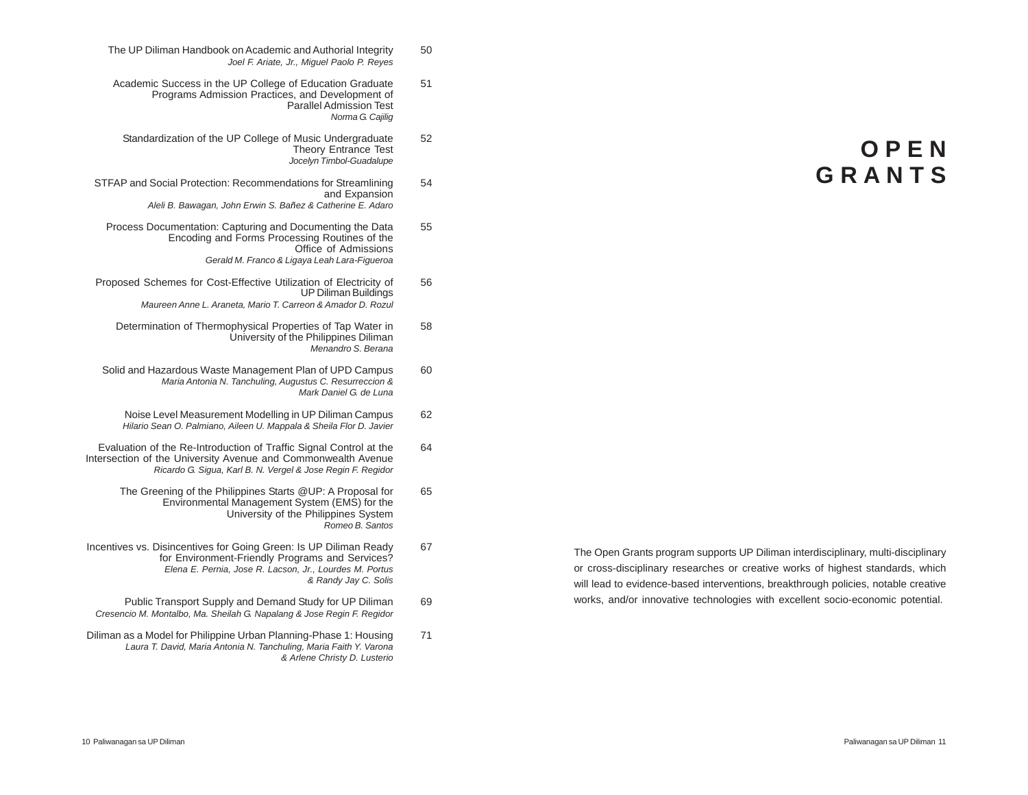**O P E N G R A N T S**

The Open Grants program supports UP Diliman interdisciplinary, multi-disciplinary or cross-disciplinary researches or creative works of highest standards, which will lead to evidence-based interventions, breakthrough policies, notable creative works, and/or innovative technologies with excellent socio-economic potential.

- The UP Diliman Handbook on Academic and Authorial Integrity 50 *Joel F. Ariate, Jr., Miguel Paolo P. Reyes*
- Academic Success in the UP College of Education Graduate 51 Programs Admission Practices, and Development of Parallel Admission Test *Norma G. Cajilig*
- Standardization of the UP College of Music Undergraduate 52 Theory Entrance Test *Jocelyn Timbol-Guadalupe*
- STFAP and Social Protection: Recommendations for Streamlining 54 and Expansion *Aleli B. Bawagan, John Erwin S. Bañez & Catherine E. Adaro*
	- Process Documentation: Capturing and Documenting the Data 55 Encoding and Forms Processing Routines of the Office of Admissions *Gerald M. Franco & Ligaya Leah Lara-Figueroa*
- Proposed Schemes for Cost-Effective Utilization of Electricity of 56 UP Diliman Buildings *Maureen Anne L. Araneta, Mario T. Carreon & Amador D. Rozul*
	- Determination of Thermophysical Properties of Tap Water in 58 University of the Philippines Diliman *Menandro S. Berana*
- Solid and Hazardous Waste Management Plan of UPD Campus 60 *Maria Antonia N. Tanchuling, Augustus C. Resurreccion & Mark Daniel G. de Luna*
	- Noise Level Measurement Modelling in UP Diliman Campus 62 *Hilario Sean O. Palmiano, Aileen U. Mappala & Sheila Flor D. Javier*
- Evaluation of the Re-Introduction of Traffic Signal Control at the 64 Intersection of the University Avenue and Commonwealth Avenue *Ricardo G. Sigua, Karl B. N. Vergel & Jose Regin F. Regidor*
	- The Greening of the Philippines Starts @UP: A Proposal for 65 Environmental Management System (EMS) for the University of the Philippines System *Romeo B. Santos*
- Incentives vs. Disincentives for Going Green: Is UP Diliman Ready 67 for Environment-Friendly Programs and Services? *Elena E. Pernia, Jose R. Lacson, Jr., Lourdes M. Portus & Randy Jay C. Solis*
- Public Transport Supply and Demand Study for UP Diliman 69 *Cresencio M. Montalbo, Ma. Sheilah G. Napalang & Jose Regin F. Regidor*
- Diliman as a Model for Philippine Urban Planning-Phase 1: Housing 71 *Laura T. David, Maria Antonia N. Tanchuling, Maria Faith Y. Varona & Arlene Christy D. Lusterio*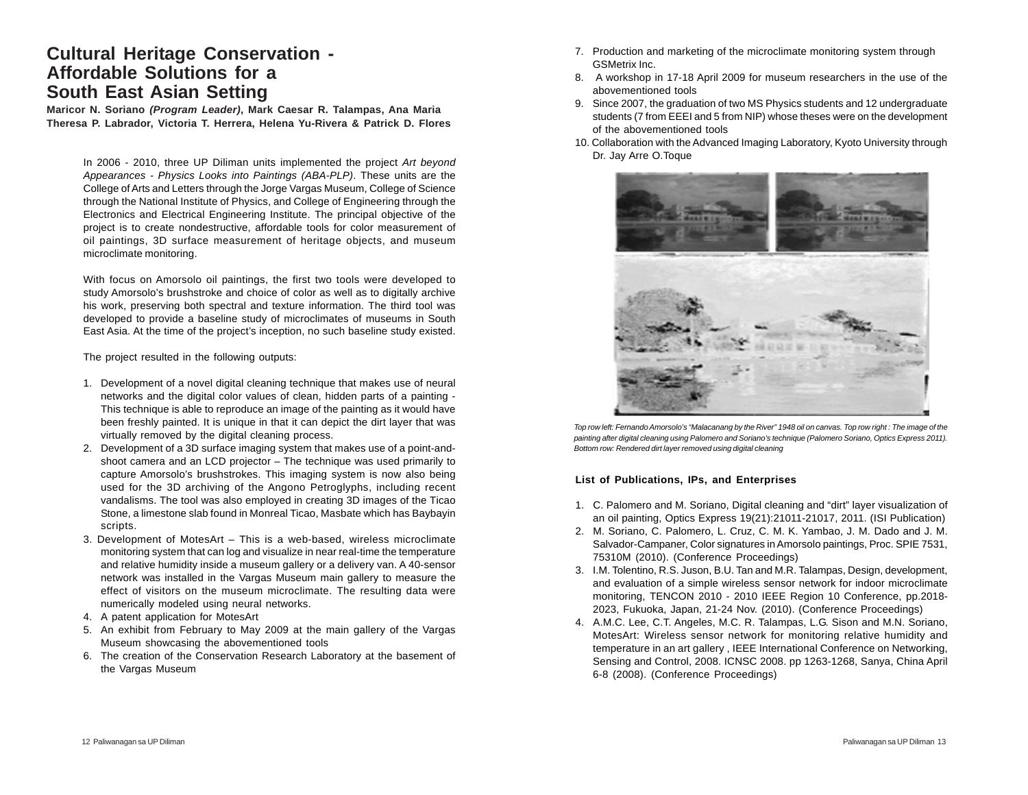### **Cultural Heritage Conservation - Affordable Solutions for a South East Asian Setting**

**Maricor N. Soriano** *(Program Leader)***, Mark Caesar R. Talampas, Ana Maria Theresa P. Labrador, Victoria T. Herrera, Helena Yu-Rivera & Patrick D. Flores**

In 2006 - 2010, three UP Diliman units implemented the project *Art beyond Appearances - Physics Looks into Paintings (ABA-PLP)*. These units are the College of Arts and Letters through the Jorge Vargas Museum, College of Science through the National Institute of Physics, and College of Engineering through the Electronics and Electrical Engineering Institute. The principal objective of the project is to create nondestructive, affordable tools for color measurement of oil paintings, 3D surface measurement of heritage objects, and museum microclimate monitoring.

With focus on Amorsolo oil paintings, the first two tools were developed to study Amorsolo's brushstroke and choice of color as well as to digitally archive his work, preserving both spectral and texture information. The third tool was developed to provide a baseline study of microclimates of museums in South East Asia. At the time of the project's inception, no such baseline study existed.

The project resulted in the following outputs:

- 1. Development of a novel digital cleaning technique that makes use of neural networks and the digital color values of clean, hidden parts of a painting - This technique is able to reproduce an image of the painting as it would have been freshly painted. It is unique in that it can depict the dirt layer that was virtually removed by the digital cleaning process.
- 2. Development of a 3D surface imaging system that makes use of a point-andshoot camera and an LCD projector – The technique was used primarily to capture Amorsolo's brushstrokes. This imaging system is now also being used for the 3D archiving of the Angono Petroglyphs, including recent vandalisms. The tool was also employed in creating 3D images of the Ticao Stone, a limestone slab found in Monreal Ticao, Masbate which has Baybayin scripts.
- 3. Development of MotesArt This is a web-based, wireless microclimate monitoring system that can log and visualize in near real-time the temperature and relative humidity inside a museum gallery or a delivery van. A 40-sensor network was installed in the Vargas Museum main gallery to measure the effect of visitors on the museum microclimate. The resulting data were numerically modeled using neural networks.
- 4. A patent application for MotesArt
- 5. An exhibit from February to May 2009 at the main gallery of the Vargas Museum showcasing the abovementioned tools
- 6. The creation of the Conservation Research Laboratory at the basement of the Vargas Museum
- 7. Production and marketing of the microclimate monitoring system through GSMetrix Inc.
- 8. A workshop in 17-18 April 2009 for museum researchers in the use of the abovementioned tools
- 9. Since 2007, the graduation of two MS Physics students and 12 undergraduate students (7 from EEEI and 5 from NIP) whose theses were on the development of the abovementioned tools
- 10. Collaboration with the Advanced Imaging Laboratory, Kyoto University through Dr. Jay Arre O.Toque



*Top row left: Fernando Amorsolo's "Malacanang by the River" 1948 oil on canvas. Top row right : The image of the painting after digital cleaning using Palomero and Soriano's technique (Palomero Soriano, Optics Express 2011). Bottom row: Rendered dirt layer removed using digital cleaning*

#### **List of Publications, IPs, and Enterprises**

- 1. C. Palomero and M. Soriano, Digital cleaning and "dirt" layer visualization of an oil painting, Optics Express 19(21):21011-21017, 2011. (ISI Publication)
- 2. M. Soriano, C. Palomero, L. Cruz, C. M. K. Yambao, J. M. Dado and J. M. Salvador-Campaner, Color signatures in Amorsolo paintings, Proc. SPIE 7531, 75310M (2010). (Conference Proceedings)
- 3. I.M. Tolentino, R.S. Juson, B.U. Tan and M.R. Talampas, Design, development, and evaluation of a simple wireless sensor network for indoor microclimate monitoring, TENCON 2010 - 2010 IEEE Region 10 Conference, pp.2018- 2023, Fukuoka, Japan, 21-24 Nov. (2010). (Conference Proceedings)
- 4. A.M.C. Lee, C.T. Angeles, M.C. R. Talampas, L.G. Sison and M.N. Soriano, MotesArt: Wireless sensor network for monitoring relative humidity and temperature in an art gallery , IEEE International Conference on Networking, Sensing and Control, 2008. ICNSC 2008. pp 1263-1268, Sanya, China April 6-8 (2008). (Conference Proceedings)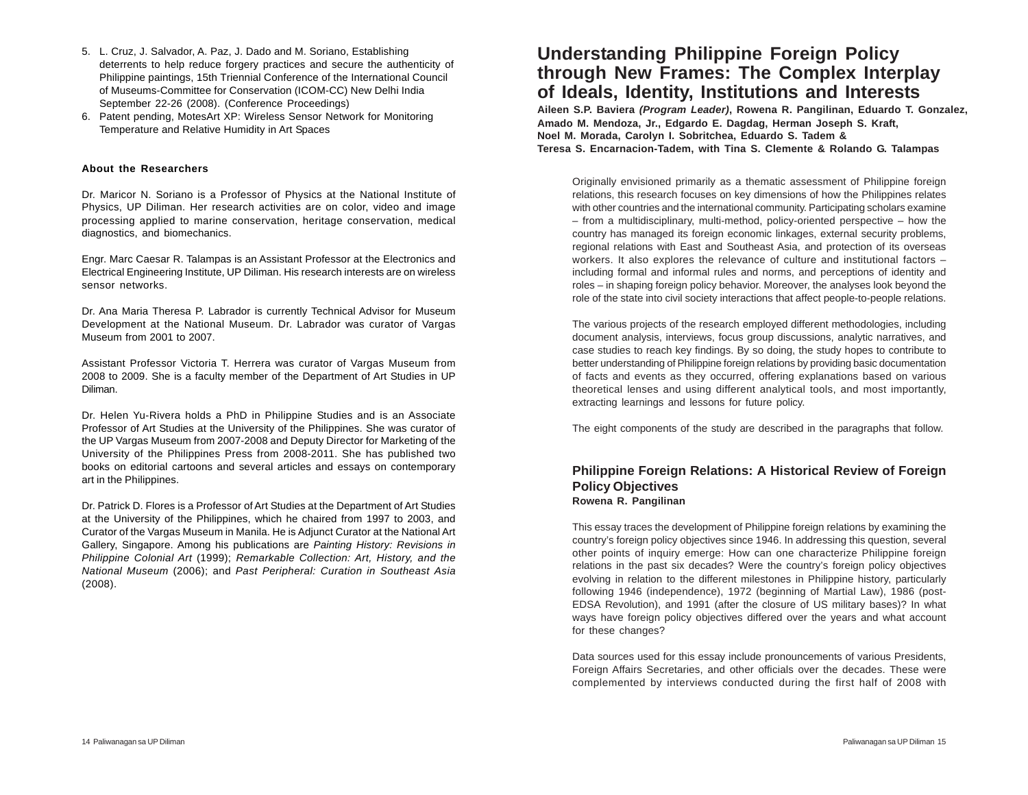- 5. L. Cruz, J. Salvador, A. Paz, J. Dado and M. Soriano, Establishing deterrents to help reduce forgery practices and secure the authenticity of Philippine paintings, 15th Triennial Conference of the International Council of Museums-Committee for Conservation (ICOM-CC) New Delhi India September 22-26 (2008). (Conference Proceedings)
- 6. Patent pending, MotesArt XP: Wireless Sensor Network for Monitoring Temperature and Relative Humidity in Art Spaces

#### **About the Researchers**

Dr. Maricor N. Soriano is a Professor of Physics at the National Institute of Physics, UP Diliman. Her research activities are on color, video and image processing applied to marine conservation, heritage conservation, medical diagnostics, and biomechanics.

Engr. Marc Caesar R. Talampas is an Assistant Professor at the Electronics and Electrical Engineering Institute, UP Diliman. His research interests are on wireless sensor networks.

Dr. Ana Maria Theresa P. Labrador is currently Technical Advisor for Museum Development at the National Museum. Dr. Labrador was curator of Vargas Museum from 2001 to 2007.

Assistant Professor Victoria T. Herrera was curator of Vargas Museum from 2008 to 2009. She is a faculty member of the Department of Art Studies in UP Diliman.

Dr. Helen Yu-Rivera holds a PhD in Philippine Studies and is an Associate Professor of Art Studies at the University of the Philippines. She was curator of the UP Vargas Museum from 2007-2008 and Deputy Director for Marketing of the University of the Philippines Press from 2008-2011. She has published two books on editorial cartoons and several articles and essays on contemporary art in the Philippines.

Dr. Patrick D. Flores is a Professor of Art Studies at the Department of Art Studies at the University of the Philippines, which he chaired from 1997 to 2003, and Curator of the Vargas Museum in Manila. He is Adjunct Curator at the National Art Gallery, Singapore. Among his publications are *Painting History: Revisions in Philippine Colonial Art* (1999); *Remarkable Collection: Art, History, and the National Museum* (2006); and *Past Peripheral: Curation in Southeast Asia* (2008).

# **Understanding Philippine Foreign Policy through New Frames: The Complex Interplay of Ideals, Identity, Institutions and Interests**

**Aileen S.P. Baviera** *(Program Leader)***, Rowena R. Pangilinan, Eduardo T. Gonzalez, Amado M. Mendoza, Jr., Edgardo E. Dagdag, Herman Joseph S. Kraft, Noel M. Morada, Carolyn I. Sobritchea, Eduardo S. Tadem & Teresa S. Encarnacion-Tadem, with Tina S. Clemente & Rolando G. Talampas**

Originally envisioned primarily as a thematic assessment of Philippine foreign relations, this research focuses on key dimensions of how the Philippines relates with other countries and the international community. Participating scholars examine – from a multidisciplinary, multi-method, policy-oriented perspective – how the country has managed its foreign economic linkages, external security problems, regional relations with East and Southeast Asia, and protection of its overseas workers. It also explores the relevance of culture and institutional factors – including formal and informal rules and norms, and perceptions of identity and roles – in shaping foreign policy behavior. Moreover, the analyses look beyond the role of the state into civil society interactions that affect people-to-people relations.

The various projects of the research employed different methodologies, including document analysis, interviews, focus group discussions, analytic narratives, and case studies to reach key findings. By so doing, the study hopes to contribute to better understanding of Philippine foreign relations by providing basic documentation of facts and events as they occurred, offering explanations based on various theoretical lenses and using different analytical tools, and most importantly, extracting learnings and lessons for future policy.

The eight components of the study are described in the paragraphs that follow.

### **Philippine Foreign Relations: A Historical Review of Foreign Policy Objectives Rowena R. Pangilinan**

This essay traces the development of Philippine foreign relations by examining the country's foreign policy objectives since 1946. In addressing this question, several other points of inquiry emerge: How can one characterize Philippine foreign relations in the past six decades? Were the country's foreign policy objectives evolving in relation to the different milestones in Philippine history, particularly following 1946 (independence), 1972 (beginning of Martial Law), 1986 (post-EDSA Revolution), and 1991 (after the closure of US military bases)? In what ways have foreign policy objectives differed over the years and what account for these changes?

Data sources used for this essay include pronouncements of various Presidents, Foreign Affairs Secretaries, and other officials over the decades. These were complemented by interviews conducted during the first half of 2008 with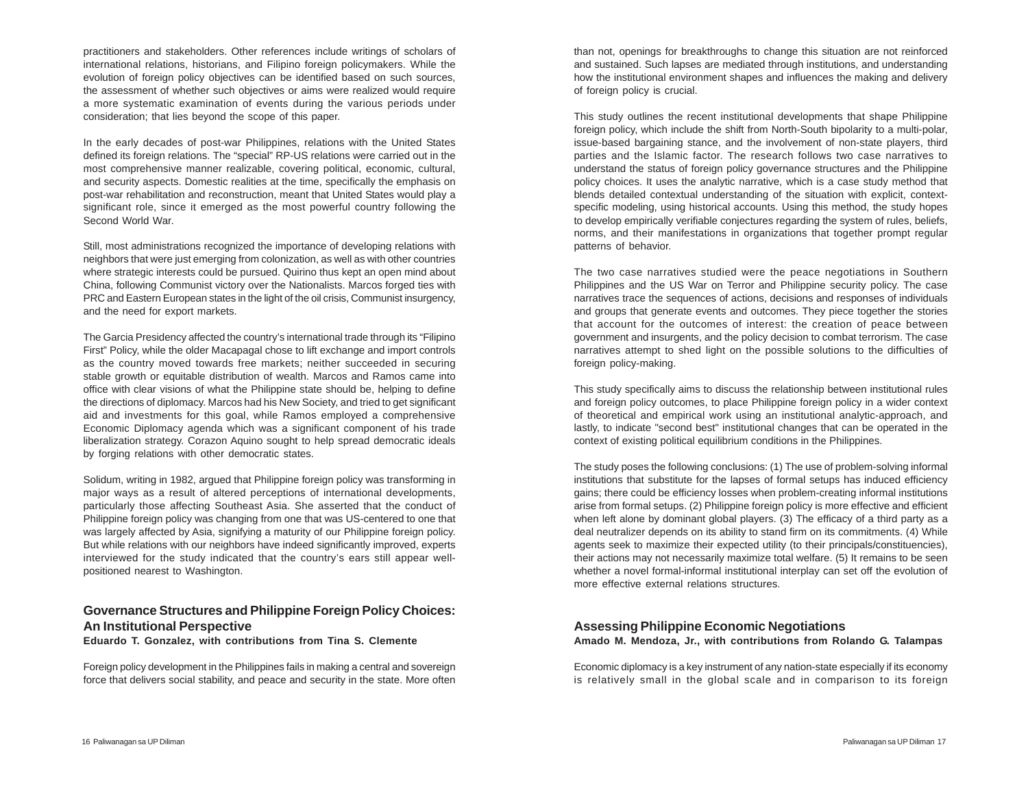practitioners and stakeholders. Other references include writings of scholars of international relations, historians, and Filipino foreign policymakers. While the evolution of foreign policy objectives can be identified based on such sources, the assessment of whether such objectives or aims were realized would require a more systematic examination of events during the various periods under consideration; that lies beyond the scope of this paper.

In the early decades of post-war Philippines, relations with the United States defined its foreign relations. The "special" RP-US relations were carried out in the most comprehensive manner realizable, covering political, economic, cultural, and security aspects. Domestic realities at the time, specifically the emphasis on post-war rehabilitation and reconstruction, meant that United States would play a significant role, since it emerged as the most powerful country following the Second World War.

Still, most administrations recognized the importance of developing relations with neighbors that were just emerging from colonization, as well as with other countries where strategic interests could be pursued. Quirino thus kept an open mind about China, following Communist victory over the Nationalists. Marcos forged ties with PRC and Eastern European states in the light of the oil crisis, Communist insurgency, and the need for export markets.

The Garcia Presidency affected the country's international trade through its "Filipino First" Policy, while the older Macapagal chose to lift exchange and import controls as the country moved towards free markets; neither succeeded in securing stable growth or equitable distribution of wealth. Marcos and Ramos came into office with clear visions of what the Philippine state should be, helping to define the directions of diplomacy. Marcos had his New Society, and tried to get significant aid and investments for this goal, while Ramos employed a comprehensive Economic Diplomacy agenda which was a significant component of his trade liberalization strategy. Corazon Aquino sought to help spread democratic ideals by forging relations with other democratic states.

Solidum, writing in 1982, argued that Philippine foreign policy was transforming in major ways as a result of altered perceptions of international developments, particularly those affecting Southeast Asia. She asserted that the conduct of Philippine foreign policy was changing from one that was US-centered to one that was largely affected by Asia, signifying a maturity of our Philippine foreign policy. But while relations with our neighbors have indeed significantly improved, experts interviewed for the study indicated that the country's ears still appear wellpositioned nearest to Washington.

### **Governance Structures and Philippine Foreign Policy Choices: An Institutional Perspective**

#### **Eduardo T. Gonzalez, with contributions from Tina S. Clemente**

Foreign policy development in the Philippines fails in making a central and sovereign force that delivers social stability, and peace and security in the state. More often than not, openings for breakthroughs to change this situation are not reinforced and sustained. Such lapses are mediated through institutions, and understanding how the institutional environment shapes and influences the making and delivery of foreign policy is crucial.

This study outlines the recent institutional developments that shape Philippine foreign policy, which include the shift from North-South bipolarity to a multi-polar, issue-based bargaining stance, and the involvement of non-state players, third parties and the Islamic factor. The research follows two case narratives to understand the status of foreign policy governance structures and the Philippine policy choices. It uses the analytic narrative, which is a case study method that blends detailed contextual understanding of the situation with explicit, contextspecific modeling, using historical accounts. Using this method, the study hopes to develop empirically verifiable conjectures regarding the system of rules, beliefs, norms, and their manifestations in organizations that together prompt regular patterns of behavior.

The two case narratives studied were the peace negotiations in Southern Philippines and the US War on Terror and Philippine security policy. The case narratives trace the sequences of actions, decisions and responses of individuals and groups that generate events and outcomes. They piece together the stories that account for the outcomes of interest: the creation of peace between government and insurgents, and the policy decision to combat terrorism. The case narratives attempt to shed light on the possible solutions to the difficulties of foreign policy-making.

This study specifically aims to discuss the relationship between institutional rules and foreign policy outcomes, to place Philippine foreign policy in a wider context of theoretical and empirical work using an institutional analytic-approach, and lastly, to indicate "second best" institutional changes that can be operated in the context of existing political equilibrium conditions in the Philippines.

The study poses the following conclusions: (1) The use of problem-solving informal institutions that substitute for the lapses of formal setups has induced efficiency gains; there could be efficiency losses when problem-creating informal institutions arise from formal setups. (2) Philippine foreign policy is more effective and efficient when left alone by dominant global players. (3) The efficacy of a third party as a deal neutralizer depends on its ability to stand firm on its commitments. (4) While agents seek to maximize their expected utility (to their principals/constituencies), their actions may not necessarily maximize total welfare. (5) It remains to be seen whether a novel formal-informal institutional interplay can set off the evolution of more effective external relations structures.

#### **Assessing Philippine Economic Negotiations Amado M. Mendoza, Jr., with contributions from Rolando G. Talampas**

Economic diplomacy is a key instrument of any nation-state especially if its economy is relatively small in the global scale and in comparison to its foreign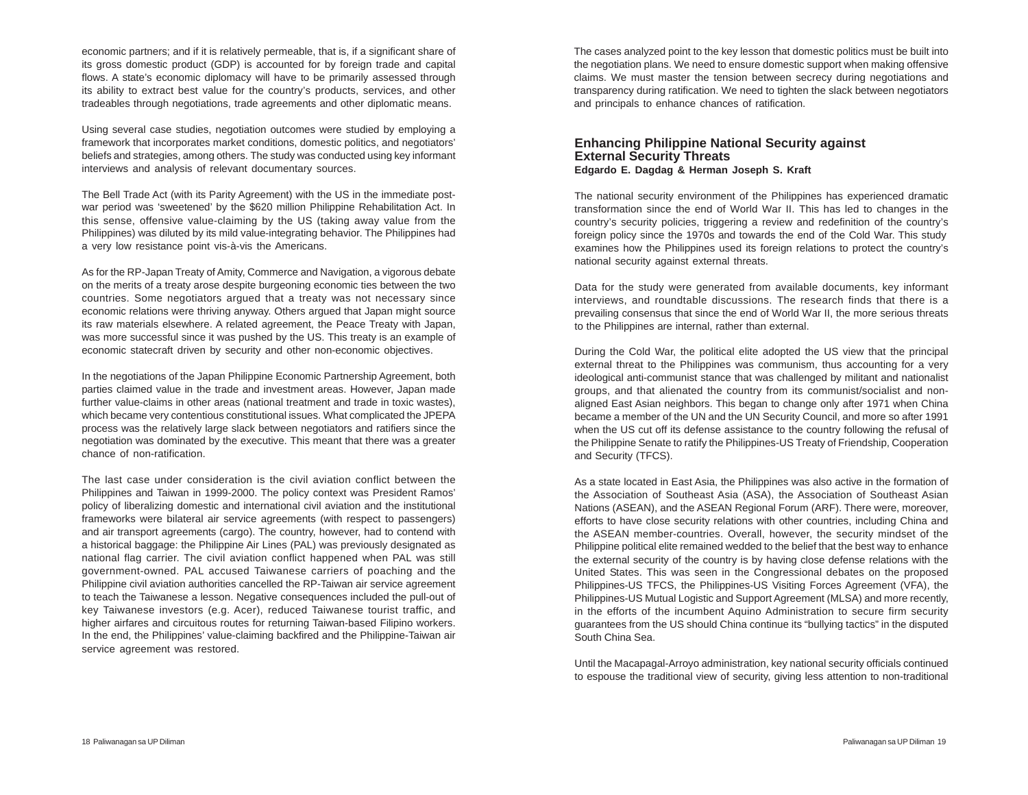economic partners; and if it is relatively permeable, that is, if a significant share of its gross domestic product (GDP) is accounted for by foreign trade and capital flows. A state's economic diplomacy will have to be primarily assessed through its ability to extract best value for the country's products, services, and other tradeables through negotiations, trade agreements and other diplomatic means.

Using several case studies, negotiation outcomes were studied by employing a framework that incorporates market conditions, domestic politics, and negotiators' beliefs and strategies, among others. The study was conducted using key informant interviews and analysis of relevant documentary sources.

The Bell Trade Act (with its Parity Agreement) with the US in the immediate postwar period was 'sweetened' by the \$620 million Philippine Rehabilitation Act. In this sense, offensive value-claiming by the US (taking away value from the Philippines) was diluted by its mild value-integrating behavior. The Philippines had a very low resistance point vis-à-vis the Americans.

As for the RP-Japan Treaty of Amity, Commerce and Navigation, a vigorous debate on the merits of a treaty arose despite burgeoning economic ties between the two countries. Some negotiators argued that a treaty was not necessary since economic relations were thriving anyway. Others argued that Japan might source its raw materials elsewhere. A related agreement, the Peace Treaty with Japan, was more successful since it was pushed by the US. This treaty is an example of economic statecraft driven by security and other non-economic objectives.

In the negotiations of the Japan Philippine Economic Partnership Agreement, both parties claimed value in the trade and investment areas. However, Japan made further value-claims in other areas (national treatment and trade in toxic wastes), which became very contentious constitutional issues. What complicated the JPEPA process was the relatively large slack between negotiators and ratifiers since the negotiation was dominated by the executive. This meant that there was a greater chance of non-ratification.

The last case under consideration is the civil aviation conflict between the Philippines and Taiwan in 1999-2000. The policy context was President Ramos' policy of liberalizing domestic and international civil aviation and the institutional frameworks were bilateral air service agreements (with respect to passengers) and air transport agreements (cargo). The country, however, had to contend with a historical baggage: the Philippine Air Lines (PAL) was previously designated as national flag carrier. The civil aviation conflict happened when PAL was still government-owned. PAL accused Taiwanese carriers of poaching and the Philippine civil aviation authorities cancelled the RP-Taiwan air service agreement to teach the Taiwanese a lesson. Negative consequences included the pull-out of key Taiwanese investors (e.g. Acer), reduced Taiwanese tourist traffic, and higher airfares and circuitous routes for returning Taiwan-based Filipino workers. In the end, the Philippines' value-claiming backfired and the Philippine-Taiwan air service agreement was restored.

The cases analyzed point to the key lesson that domestic politics must be built into the negotiation plans. We need to ensure domestic support when making offensive claims. We must master the tension between secrecy during negotiations and transparency during ratification. We need to tighten the slack between negotiators and principals to enhance chances of ratification.

#### **Enhancing Philippine National Security against External Security Threats Edgardo E. Dagdag & Herman Joseph S. Kraft**

The national security environment of the Philippines has experienced dramatic transformation since the end of World War II. This has led to changes in the country's security policies, triggering a review and redefinition of the country's foreign policy since the 1970s and towards the end of the Cold War. This study examines how the Philippines used its foreign relations to protect the country's national security against external threats.

Data for the study were generated from available documents, key informant interviews, and roundtable discussions. The research finds that there is a prevailing consensus that since the end of World War II, the more serious threats to the Philippines are internal, rather than external.

During the Cold War, the political elite adopted the US view that the principal external threat to the Philippines was communism, thus accounting for a very ideological anti-communist stance that was challenged by militant and nationalist groups, and that alienated the country from its communist/socialist and nonaligned East Asian neighbors. This began to change only after 1971 when China became a member of the UN and the UN Security Council, and more so after 1991 when the US cut off its defense assistance to the country following the refusal of the Philippine Senate to ratify the Philippines-US Treaty of Friendship, Cooperation and Security (TFCS).

As a state located in East Asia, the Philippines was also active in the formation of the Association of Southeast Asia (ASA), the Association of Southeast Asian Nations (ASEAN), and the ASEAN Regional Forum (ARF). There were, moreover, efforts to have close security relations with other countries, including China and the ASEAN member-countries. Overall, however, the security mindset of the Philippine political elite remained wedded to the belief that the best way to enhance the external security of the country is by having close defense relations with the United States. This was seen in the Congressional debates on the proposed Philippines-US TFCS, the Philippines-US Visiting Forces Agreement (VFA), the Philippines-US Mutual Logistic and Support Agreement (MLSA) and more recently, in the efforts of the incumbent Aquino Administration to secure firm security guarantees from the US should China continue its "bullying tactics" in the disputed South China Sea.

Until the Macapagal-Arroyo administration, key national security officials continued to espouse the traditional view of security, giving less attention to non-traditional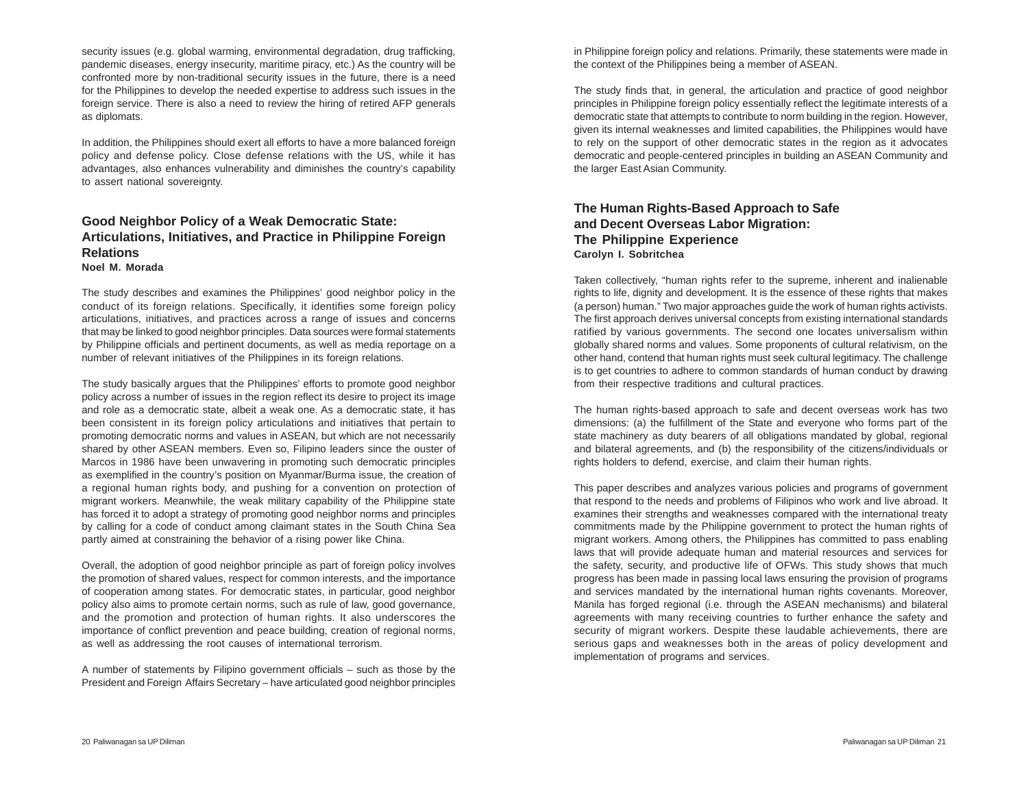security issues (e.g. global warming, environmental degradation, drug trafficking, pandemic diseases, energy insecurity, maritime piracy, etc.) As the country will be confronted more by non-traditional security issues in the future, there is a need for the Philippines to develop the needed expertise to address such issues in the foreign service. There is also a need to review the hiring of retired AFP generals as diplomats.

In addition, the Philippines should exert all efforts to have a more balanced foreign policy and defense policy. Close defense relations with the US, while it has advantages, also enhances vulnerability and diminishes the country's capability to assert national sovereignty.

### **Good Neighbor Policy of a Weak Democratic State: Articulations, Initiatives, and Practice in Philippine Foreign Relations Noel M. Morada**

The study describes and examines the Philippines' good neighbor policy in the conduct of its foreign relations. Specifically, it identifies some foreign policy articulations, initiatives, and practices across a range of issues and concerns that may be linked to good neighbor principles. Data sources were formal statements by Philippine officials and pertinent documents, as well as media reportage on a number of relevant initiatives of the Philippines in its foreign relations.

The study basically argues that the Philippines' efforts to promote good neighbor policy across a number of issues in the region reflect its desire to project its image and role as a democratic state, albeit a weak one. As a democratic state, it has been consistent in its foreign policy articulations and initiatives that pertain to promoting democratic norms and values in ASEAN, but which are not necessarily shared by other ASEAN members. Even so, Filipino leaders since the ouster of Marcos in 1986 have been unwavering in promoting such democratic principles as exemplified in the country's position on Myanmar/Burma issue, the creation of a regional human rights body, and pushing for a convention on protection of migrant workers. Meanwhile, the weak military capability of the Philippine state has forced it to adopt a strategy of promoting good neighbor norms and principles by calling for a code of conduct among claimant states in the South China Sea partly aimed at constraining the behavior of a rising power like China.

Overall, the adoption of good neighbor principle as part of foreign policy involves the promotion of shared values, respect for common interests, and the importance of cooperation among states. For democratic states, in particular, good neighbor policy also aims to promote certain norms, such as rule of law, good governance, and the promotion and protection of human rights. It also underscores the importance of conflict prevention and peace building, creation of regional norms, as well as addressing the root causes of international terrorism.

A number of statements by Filipino government officials – such as those by the President and Foreign Affairs Secretary – have articulated good neighbor principles in Philippine foreign policy and relations. Primarily, these statements were made in the context of the Philippines being a member of ASEAN.

The study finds that, in general, the articulation and practice of good neighbor principles in Philippine foreign policy essentially reflect the legitimate interests of a democratic state that attempts to contribute to norm building in the region. However, given its internal weaknesses and limited capabilities, the Philippines would have to rely on the support of other democratic states in the region as it advocates democratic and people-centered principles in building an ASEAN Community and the larger East Asian Community.

### **The Human Rights-Based Approach to Safe and Decent Overseas Labor Migration: The Philippine Experience Carolyn I. Sobritchea**

Taken collectively, "human rights refer to the supreme, inherent and inalienable rights to life, dignity and development. It is the essence of these rights that makes (a person) human." Two major approaches guide the work of human rights activists. The first approach derives universal concepts from existing international standards ratified by various governments. The second one locates universalism within globally shared norms and values. Some proponents of cultural relativism, on the other hand, contend that human rights must seek cultural legitimacy. The challenge is to get countries to adhere to common standards of human conduct by drawing from their respective traditions and cultural practices.

The human rights-based approach to safe and decent overseas work has two dimensions: (a) the fulfillment of the State and everyone who forms part of the state machinery as duty bearers of all obligations mandated by global, regional and bilateral agreements, and (b) the responsibility of the citizens/individuals or rights holders to defend, exercise, and claim their human rights.

This paper describes and analyzes various policies and programs of government that respond to the needs and problems of Filipinos who work and live abroad. It examines their strengths and weaknesses compared with the international treaty commitments made by the Philippine government to protect the human rights of migrant workers. Among others, the Philippines has committed to pass enabling laws that will provide adequate human and material resources and services for the safety, security, and productive life of OFWs. This study shows that much progress has been made in passing local laws ensuring the provision of programs and services mandated by the international human rights covenants. Moreover, Manila has forged regional (i.e. through the ASEAN mechanisms) and bilateral agreements with many receiving countries to further enhance the safety and security of migrant workers. Despite these laudable achievements, there are serious gaps and weaknesses both in the areas of policy development and implementation of programs and services.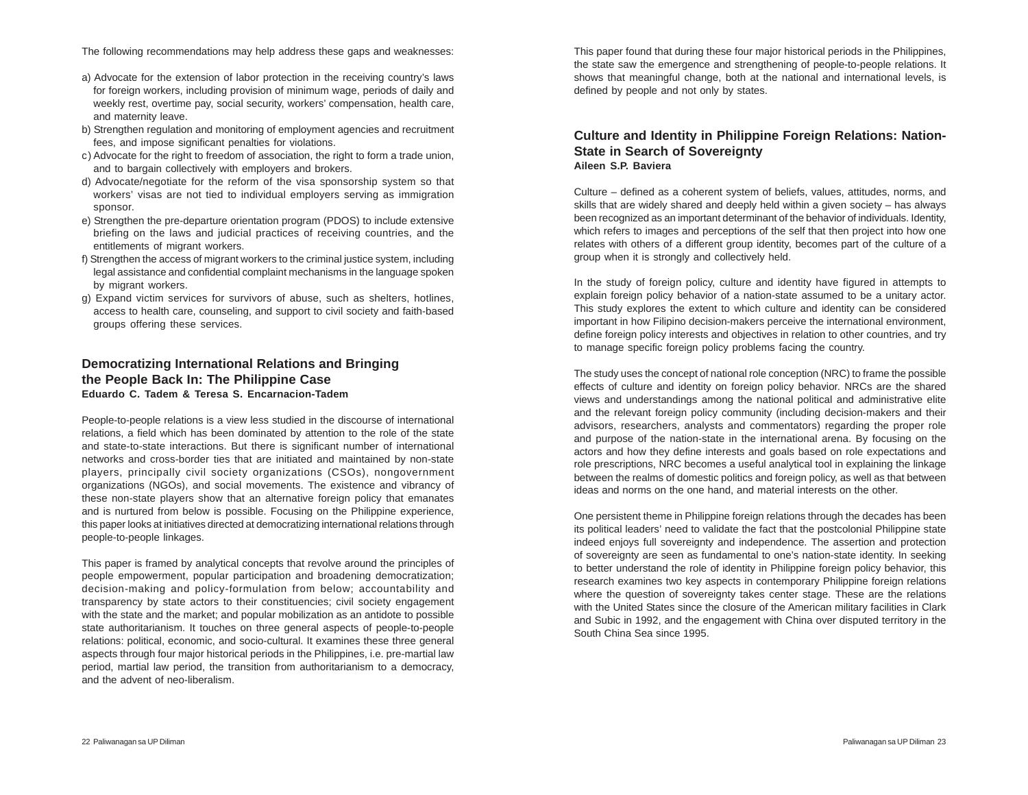The following recommendations may help address these gaps and weaknesses:

- a) Advocate for the extension of labor protection in the receiving country's laws for foreign workers, including provision of minimum wage, periods of daily and weekly rest, overtime pay, social security, workers' compensation, health care, and maternity leave.
- b) Strengthen regulation and monitoring of employment agencies and recruitment fees, and impose significant penalties for violations.
- c) Advocate for the right to freedom of association, the right to form a trade union, and to bargain collectively with employers and brokers.
- d) Advocate/negotiate for the reform of the visa sponsorship system so that workers' visas are not tied to individual employers serving as immigration sponsor.
- e) Strengthen the pre-departure orientation program (PDOS) to include extensive briefing on the laws and judicial practices of receiving countries, and the entitlements of migrant workers.
- f) Strengthen the access of migrant workers to the criminal justice system, including legal assistance and confidential complaint mechanisms in the language spoken by migrant workers.
- g) Expand victim services for survivors of abuse, such as shelters, hotlines, access to health care, counseling, and support to civil society and faith-based groups offering these services.

### **Democratizing International Relations and Bringing the People Back In: The Philippine Case Eduardo C. Tadem & Teresa S. Encarnacion-Tadem**

People-to-people relations is a view less studied in the discourse of international relations, a field which has been dominated by attention to the role of the state and state-to-state interactions. But there is significant number of international networks and cross-border ties that are initiated and maintained by non-state players, principally civil society organizations (CSOs), nongovernment organizations (NGOs), and social movements. The existence and vibrancy of these non-state players show that an alternative foreign policy that emanates and is nurtured from below is possible. Focusing on the Philippine experience, this paper looks at initiatives directed at democratizing international relations through people-to-people linkages.

This paper is framed by analytical concepts that revolve around the principles of people empowerment, popular participation and broadening democratization; decision-making and policy-formulation from below; accountability and transparency by state actors to their constituencies; civil society engagement with the state and the market; and popular mobilization as an antidote to possible state authoritarianism. It touches on three general aspects of people-to-people relations: political, economic, and socio-cultural. It examines these three general aspects through four major historical periods in the Philippines, i.e. pre-martial law period, martial law period, the transition from authoritarianism to a democracy, and the advent of neo-liberalism.

This paper found that during these four major historical periods in the Philippines, the state saw the emergence and strengthening of people-to-people relations. It shows that meaningful change, both at the national and international levels, is defined by people and not only by states.

### **Culture and Identity in Philippine Foreign Relations: Nation-State in Search of Sovereignty Aileen S.P. Baviera**

Culture – defined as a coherent system of beliefs, values, attitudes, norms, and skills that are widely shared and deeply held within a given society – has always been recognized as an important determinant of the behavior of individuals. Identity, which refers to images and perceptions of the self that then project into how one relates with others of a different group identity, becomes part of the culture of a group when it is strongly and collectively held.

In the study of foreign policy, culture and identity have figured in attempts to explain foreign policy behavior of a nation-state assumed to be a unitary actor. This study explores the extent to which culture and identity can be considered important in how Filipino decision-makers perceive the international environment, define foreign policy interests and objectives in relation to other countries, and try to manage specific foreign policy problems facing the country.

The study uses the concept of national role conception (NRC) to frame the possible effects of culture and identity on foreign policy behavior. NRCs are the shared views and understandings among the national political and administrative elite and the relevant foreign policy community (including decision-makers and their advisors, researchers, analysts and commentators) regarding the proper role and purpose of the nation-state in the international arena. By focusing on the actors and how they define interests and goals based on role expectations and role prescriptions, NRC becomes a useful analytical tool in explaining the linkage between the realms of domestic politics and foreign policy, as well as that between ideas and norms on the one hand, and material interests on the other.

One persistent theme in Philippine foreign relations through the decades has been its political leaders' need to validate the fact that the postcolonial Philippine state indeed enjoys full sovereignty and independence. The assertion and protection of sovereignty are seen as fundamental to one's nation-state identity. In seeking to better understand the role of identity in Philippine foreign policy behavior, this research examines two key aspects in contemporary Philippine foreign relations where the question of sovereignty takes center stage. These are the relations with the United States since the closure of the American military facilities in Clark and Subic in 1992, and the engagement with China over disputed territory in the South China Sea since 1995.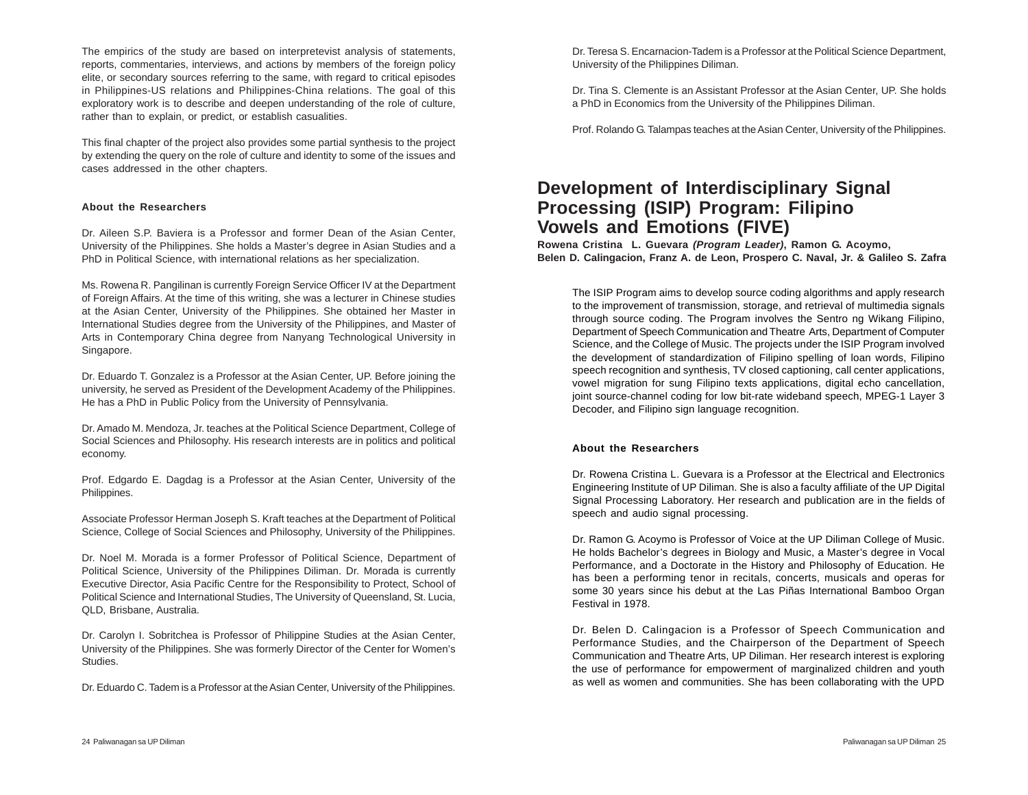The empirics of the study are based on interpretevist analysis of statements, reports, commentaries, interviews, and actions by members of the foreign policy elite, or secondary sources referring to the same, with regard to critical episodes in Philippines-US relations and Philippines-China relations. The goal of this exploratory work is to describe and deepen understanding of the role of culture, rather than to explain, or predict, or establish casualities.

This final chapter of the project also provides some partial synthesis to the project by extending the query on the role of culture and identity to some of the issues and cases addressed in the other chapters.

#### **About the Researchers**

Dr. Aileen S.P. Baviera is a Professor and former Dean of the Asian Center, University of the Philippines. She holds a Master's degree in Asian Studies and a PhD in Political Science, with international relations as her specialization.

Ms. Rowena R. Pangilinan is currently Foreign Service Officer IV at the Department of Foreign Affairs. At the time of this writing, she was a lecturer in Chinese studies at the Asian Center, University of the Philippines. She obtained her Master in International Studies degree from the University of the Philippines, and Master of Arts in Contemporary China degree from Nanyang Technological University in Singapore.

Dr. Eduardo T. Gonzalez is a Professor at the Asian Center, UP. Before joining the university, he served as President of the Development Academy of the Philippines. He has a PhD in Public Policy from the University of Pennsylvania.

Dr. Amado M. Mendoza, Jr. teaches at the Political Science Department, College of Social Sciences and Philosophy. His research interests are in politics and political economy.

Prof. Edgardo E. Dagdag is a Professor at the Asian Center, University of the Philippines.

Associate Professor Herman Joseph S. Kraft teaches at the Department of Political Science, College of Social Sciences and Philosophy, University of the Philippines.

Dr. Noel M. Morada is a former Professor of Political Science, Department of Political Science, University of the Philippines Diliman. Dr. Morada is currently Executive Director, Asia Pacific Centre for the Responsibility to Protect, School of Political Science and International Studies, The University of Queensland, St. Lucia, QLD, Brisbane, Australia.

Dr. Carolyn I. Sobritchea is Professor of Philippine Studies at the Asian Center, University of the Philippines. She was formerly Director of the Center for Women's Studies.

Dr. Eduardo C. Tadem is a Professor at the Asian Center, University of the Philippines.

Dr. Teresa S. Encarnacion-Tadem is a Professor at the Political Science Department, University of the Philippines Diliman.

Dr. Tina S. Clemente is an Assistant Professor at the Asian Center, UP. She holds a PhD in Economics from the University of the Philippines Diliman.

Prof. Rolando G. Talampas teaches at the Asian Center, University of the Philippines.

# **Development of Interdisciplinary Signal Processing (ISIP) Program: Filipino Vowels and Emotions (FIVE)**

**Rowena Cristina L. Guevara** *(Program Leader)***, Ramon G. Acoymo, Belen D. Calingacion, Franz A. de Leon, Prospero C. Naval, Jr. & Galileo S. Zafra**

The ISIP Program aims to develop source coding algorithms and apply research to the improvement of transmission, storage, and retrieval of multimedia signals through source coding. The Program involves the Sentro ng Wikang Filipino, Department of Speech Communication and Theatre Arts, Department of Computer Science, and the College of Music. The projects under the ISIP Program involved the development of standardization of Filipino spelling of loan words, Filipino speech recognition and synthesis, TV closed captioning, call center applications, vowel migration for sung Filipino texts applications, digital echo cancellation, joint source-channel coding for low bit-rate wideband speech, MPEG-1 Layer 3 Decoder, and Filipino sign language recognition.

#### **About the Researchers**

Dr. Rowena Cristina L. Guevara is a Professor at the Electrical and Electronics Engineering Institute of UP Diliman. She is also a faculty affiliate of the UP Digital Signal Processing Laboratory. Her research and publication are in the fields of speech and audio signal processing.

Dr. Ramon G. Acoymo is Professor of Voice at the UP Diliman College of Music. He holds Bachelor's degrees in Biology and Music, a Master's degree in Vocal Performance, and a Doctorate in the History and Philosophy of Education. He has been a performing tenor in recitals, concerts, musicals and operas for some 30 years since his debut at the Las Piñas International Bamboo Organ Festival in 1978.

Dr. Belen D. Calingacion is a Professor of Speech Communication and Performance Studies, and the Chairperson of the Department of Speech Communication and Theatre Arts, UP Diliman. Her research interest is exploring the use of performance for empowerment of marginalized children and youth as well as women and communities. She has been collaborating with the UPD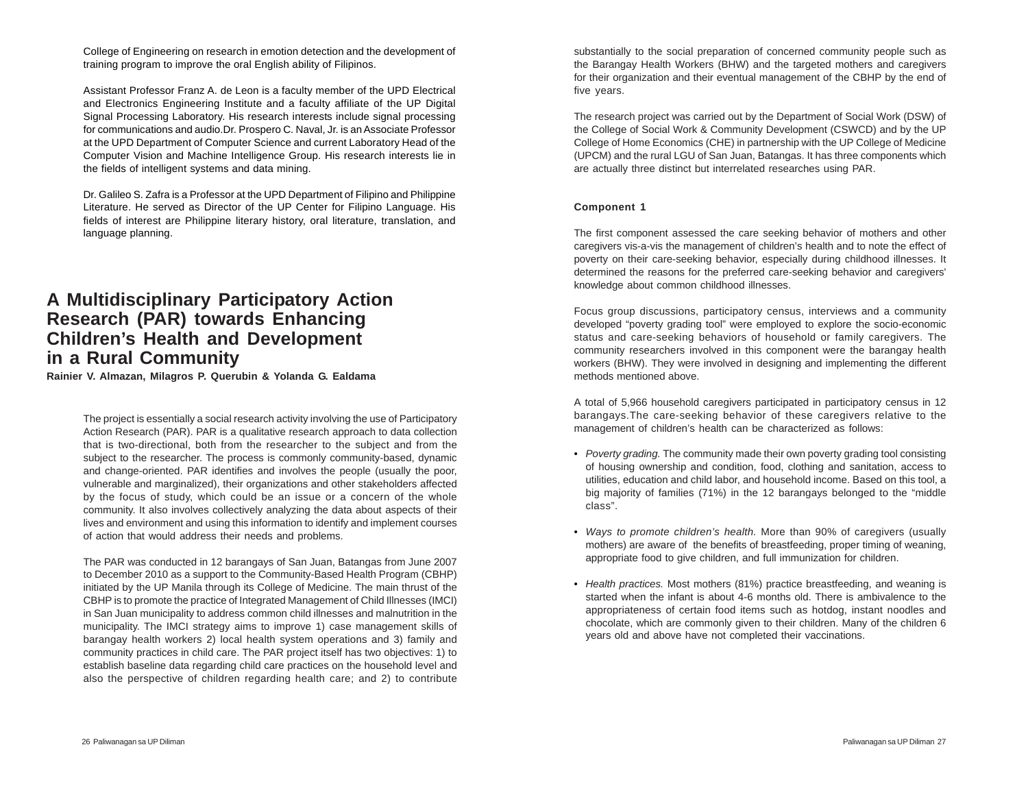College of Engineering on research in emotion detection and the development of training program to improve the oral English ability of Filipinos.

Assistant Professor Franz A. de Leon is a faculty member of the UPD Electrical and Electronics Engineering Institute and a faculty affiliate of the UP Digital Signal Processing Laboratory. His research interests include signal processing for communications and audio.Dr. Prospero C. Naval, Jr. is an Associate Professor at the UPD Department of Computer Science and current Laboratory Head of the Computer Vision and Machine Intelligence Group. His research interests lie in the fields of intelligent systems and data mining.

Dr. Galileo S. Zafra is a Professor at the UPD Department of Filipino and Philippine Literature. He served as Director of the UP Center for Filipino Language. His fields of interest are Philippine literary history, oral literature, translation, and language planning.

## **A Multidisciplinary Participatory Action Research (PAR) towards Enhancing Children's Health and Development in a Rural Community**

**Rainier V. Almazan, Milagros P. Querubin & Yolanda G. Ealdama**

The project is essentially a social research activity involving the use of Participatory Action Research (PAR). PAR is a qualitative research approach to data collection that is two-directional, both from the researcher to the subject and from the subject to the researcher. The process is commonly community-based, dynamic and change-oriented. PAR identifies and involves the people (usually the poor, vulnerable and marginalized), their organizations and other stakeholders affected by the focus of study, which could be an issue or a concern of the whole community. It also involves collectively analyzing the data about aspects of their lives and environment and using this information to identify and implement courses of action that would address their needs and problems.

The PAR was conducted in 12 barangays of San Juan, Batangas from June 2007 to December 2010 as a support to the Community-Based Health Program (CBHP) initiated by the UP Manila through its College of Medicine. The main thrust of the CBHP is to promote the practice of Integrated Management of Child Illnesses (IMCI) in San Juan municipality to address common child illnesses and malnutrition in the municipality. The IMCI strategy aims to improve 1) case management skills of barangay health workers 2) local health system operations and 3) family and community practices in child care. The PAR project itself has two objectives: 1) to establish baseline data regarding child care practices on the household level and also the perspective of children regarding health care; and 2) to contribute

substantially to the social preparation of concerned community people such as the Barangay Health Workers (BHW) and the targeted mothers and caregivers for their organization and their eventual management of the CBHP by the end of five years.

The research project was carried out by the Department of Social Work (DSW) of the College of Social Work & Community Development (CSWCD) and by the UP College of Home Economics (CHE) in partnership with the UP College of Medicine (UPCM) and the rural LGU of San Juan, Batangas. It has three components which are actually three distinct but interrelated researches using PAR.

#### **Component 1**

The first component assessed the care seeking behavior of mothers and other caregivers vis-a-vis the management of children's health and to note the effect of poverty on their care-seeking behavior, especially during childhood illnesses. It determined the reasons for the preferred care-seeking behavior and caregivers' knowledge about common childhood illnesses.

Focus group discussions, participatory census, interviews and a community developed "poverty grading tool" were employed to explore the socio-economic status and care-seeking behaviors of household or family caregivers. The community researchers involved in this component were the barangay health workers (BHW). They were involved in designing and implementing the different methods mentioned above.

A total of 5,966 household caregivers participated in participatory census in 12 barangays.The care-seeking behavior of these caregivers relative to the management of children's health can be characterized as follows:

- *Poverty grading.* The community made their own poverty grading tool consisting of housing ownership and condition, food, clothing and sanitation, access to utilities, education and child labor, and household income. Based on this tool, a big majority of families (71%) in the 12 barangays belonged to the "middle class".
- *Ways to promote children's health.* More than 90% of caregivers (usually mothers) are aware of the benefits of breastfeeding, proper timing of weaning, appropriate food to give children, and full immunization for children.
- *Health practices.* Most mothers (81%) practice breastfeeding, and weaning is started when the infant is about 4-6 months old. There is ambivalence to the appropriateness of certain food items such as hotdog, instant noodles and chocolate, which are commonly given to their children. Many of the children 6 years old and above have not completed their vaccinations.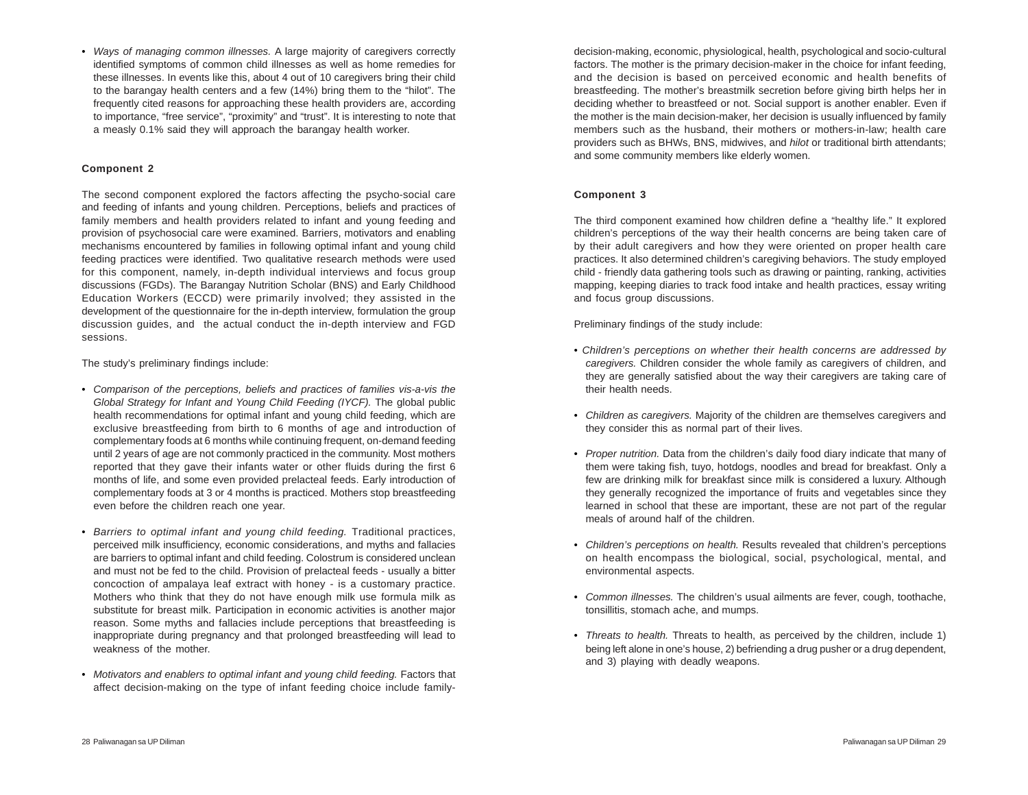• *Ways of managing common illnesses.* A large majority of caregivers correctly identified symptoms of common child illnesses as well as home remedies for these illnesses. In events like this, about 4 out of 10 caregivers bring their child to the barangay health centers and a few (14%) bring them to the "hilot". The frequently cited reasons for approaching these health providers are, according to importance, "free service", "proximity" and "trust". It is interesting to note that a measly 0.1% said they will approach the barangay health worker.

#### **Component 2**

The second component explored the factors affecting the psycho-social care and feeding of infants and young children. Perceptions, beliefs and practices of family members and health providers related to infant and young feeding and provision of psychosocial care were examined. Barriers, motivators and enabling mechanisms encountered by families in following optimal infant and young child feeding practices were identified. Two qualitative research methods were used for this component, namely, in-depth individual interviews and focus group discussions (FGDs). The Barangay Nutrition Scholar (BNS) and Early Childhood Education Workers (ECCD) were primarily involved; they assisted in the development of the questionnaire for the in-depth interview, formulation the group discussion guides, and the actual conduct the in-depth interview and FGD sessions.

The study's preliminary findings include:

- *Comparison of the perceptions, beliefs and practices of families vis-a-vis the Global Strategy for Infant and Young Child Feeding (IYCF).* The global public health recommendations for optimal infant and young child feeding, which are exclusive breastfeeding from birth to 6 months of age and introduction of complementary foods at 6 months while continuing frequent, on-demand feeding until 2 years of age are not commonly practiced in the community. Most mothers reported that they gave their infants water or other fluids during the first 6 months of life, and some even provided prelacteal feeds. Early introduction of complementary foods at 3 or 4 months is practiced. Mothers stop breastfeeding even before the children reach one year.
- *Barriers to optimal infant and young child feeding.* Traditional practices, perceived milk insufficiency, economic considerations, and myths and fallacies are barriers to optimal infant and child feeding. Colostrum is considered unclean and must not be fed to the child. Provision of prelacteal feeds - usually a bitter concoction of ampalaya leaf extract with honey - is a customary practice. Mothers who think that they do not have enough milk use formula milk as substitute for breast milk. Participation in economic activities is another major reason. Some myths and fallacies include perceptions that breastfeeding is inappropriate during pregnancy and that prolonged breastfeeding will lead to weakness of the mother.
- *Motivators and enablers to optimal infant and young child feeding.* Factors that affect decision-making on the type of infant feeding choice include family-

decision-making, economic, physiological, health, psychological and socio-cultural factors. The mother is the primary decision-maker in the choice for infant feeding, and the decision is based on perceived economic and health benefits of breastfeeding. The mother's breastmilk secretion before giving birth helps her in deciding whether to breastfeed or not. Social support is another enabler. Even if the mother is the main decision-maker, her decision is usually influenced by family members such as the husband, their mothers or mothers-in-law; health care providers such as BHWs, BNS, midwives, and *hilot* or traditional birth attendants; and some community members like elderly women.

#### **Component 3**

The third component examined how children define a "healthy life." It explored children's perceptions of the way their health concerns are being taken care of by their adult caregivers and how they were oriented on proper health care practices. It also determined children's caregiving behaviors. The study employed child - friendly data gathering tools such as drawing or painting, ranking, activities mapping, keeping diaries to track food intake and health practices, essay writing and focus group discussions.

Preliminary findings of the study include:

- *Children's perceptions on whether their health concerns are addressed by caregivers.* Children consider the whole family as caregivers of children, and they are generally satisfied about the way their caregivers are taking care of their health needs.
- *Children as caregivers.* Majority of the children are themselves caregivers and they consider this as normal part of their lives.
- *Proper nutrition.* Data from the children's daily food diary indicate that many of them were taking fish, tuyo, hotdogs, noodles and bread for breakfast. Only a few are drinking milk for breakfast since milk is considered a luxury. Although they generally recognized the importance of fruits and vegetables since they learned in school that these are important, these are not part of the regular meals of around half of the children.
- *Children's perceptions on health.* Results revealed that children's perceptions on health encompass the biological, social, psychological, mental, and environmental aspects.
- *Common illnesses.* The children's usual ailments are fever, cough, toothache, tonsillitis, stomach ache, and mumps.
- *Threats to health.* Threats to health, as perceived by the children, include 1) being left alone in one's house, 2) befriending a drug pusher or a drug dependent, and 3) playing with deadly weapons.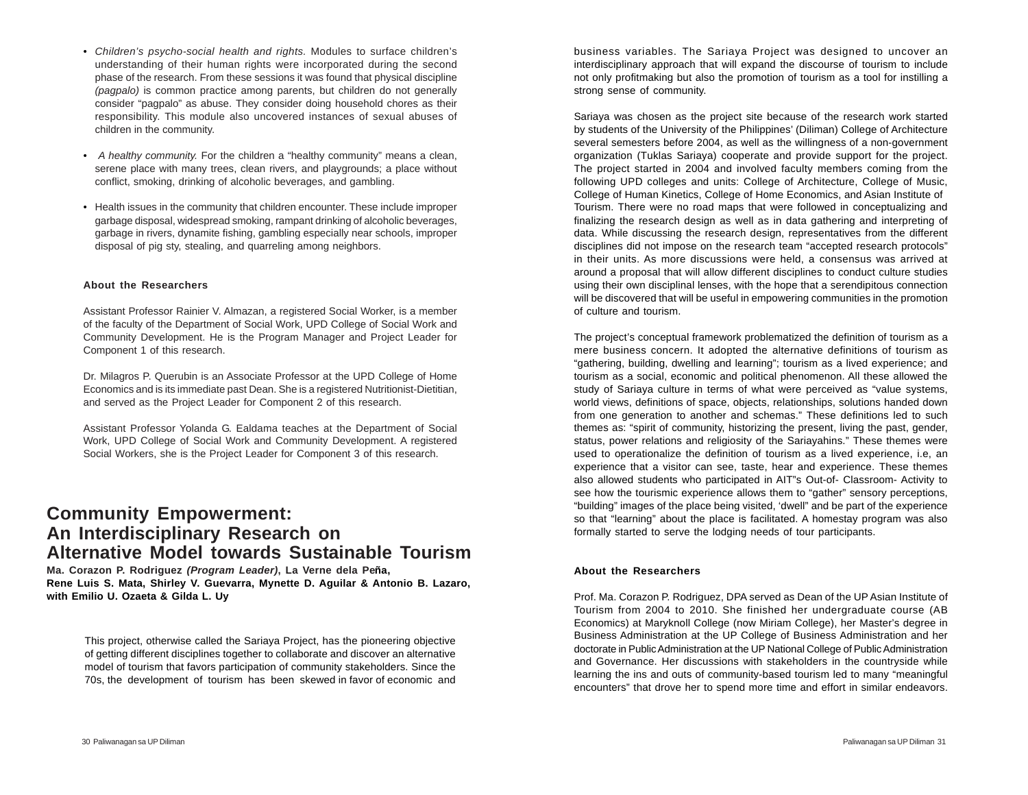- *Children's psycho-social health and rights.* Modules to surface children's understanding of their human rights were incorporated during the second phase of the research. From these sessions it was found that physical discipline *(pagpalo)* is common practice among parents, but children do not generally consider "pagpalo" as abuse. They consider doing household chores as their responsibility. This module also uncovered instances of sexual abuses of children in the community.
- *A healthy community.* For the children a "healthy community" means a clean, serene place with many trees, clean rivers, and playgrounds; a place without conflict, smoking, drinking of alcoholic beverages, and gambling.
- Health issues in the community that children encounter. These include improper garbage disposal, widespread smoking, rampant drinking of alcoholic beverages, garbage in rivers, dynamite fishing, gambling especially near schools, improper disposal of pig sty, stealing, and quarreling among neighbors.

#### **About the Researchers**

Assistant Professor Rainier V. Almazan, a registered Social Worker, is a member of the faculty of the Department of Social Work, UPD College of Social Work and Community Development. He is the Program Manager and Project Leader for Component 1 of this research.

Dr. Milagros P. Querubin is an Associate Professor at the UPD College of Home Economics and is its immediate past Dean. She is a registered Nutritionist-Dietitian, and served as the Project Leader for Component 2 of this research.

Assistant Professor Yolanda G. Ealdama teaches at the Department of Social Work, UPD College of Social Work and Community Development. A registered Social Workers, she is the Project Leader for Component 3 of this research.

### **Community Empowerment: An Interdisciplinary Research on Alternative Model towards Sustainable Tourism**

**Ma. Corazon P. Rodriguez** *(Program Leader)***, La Verne dela Peña, Rene Luis S. Mata, Shirley V. Guevarra, Mynette D. Aguilar & Antonio B. Lazaro, with Emilio U. Ozaeta & Gilda L. Uy**

This project, otherwise called the Sariaya Project, has the pioneering objective of getting different disciplines together to collaborate and discover an alternative model of tourism that favors participation of community stakeholders. Since the 70s, the development of tourism has been skewed in favor of economic and

business variables. The Sariaya Project was designed to uncover an interdisciplinary approach that will expand the discourse of tourism to include not only profitmaking but also the promotion of tourism as a tool for instilling a strong sense of community.

Sariaya was chosen as the project site because of the research work started by students of the University of the Philippines' (Diliman) College of Architecture several semesters before 2004, as well as the willingness of a non-government organization (Tuklas Sariaya) cooperate and provide support for the project. The project started in 2004 and involved faculty members coming from the following UPD colleges and units: College of Architecture, College of Music, College of Human Kinetics, College of Home Economics, and Asian Institute of Tourism. There were no road maps that were followed in conceptualizing and finalizing the research design as well as in data gathering and interpreting of data. While discussing the research design, representatives from the different disciplines did not impose on the research team "accepted research protocols" in their units. As more discussions were held, a consensus was arrived at around a proposal that will allow different disciplines to conduct culture studies using their own disciplinal lenses, with the hope that a serendipitous connection will be discovered that will be useful in empowering communities in the promotion of culture and tourism.

The project's conceptual framework problematized the definition of tourism as a mere business concern. It adopted the alternative definitions of tourism as "gathering, building, dwelling and learning"; tourism as a lived experience; and tourism as a social, economic and political phenomenon. All these allowed the study of Sariaya culture in terms of what were perceived as "value systems, world views, definitions of space, objects, relationships, solutions handed down from one generation to another and schemas." These definitions led to such themes as: "spirit of community, historizing the present, living the past, gender, status, power relations and religiosity of the Sariayahins." These themes were used to operationalize the definition of tourism as a lived experience, i.e, an experience that a visitor can see, taste, hear and experience. These themes also allowed students who participated in AIT"s Out-of- Classroom- Activity to see how the tourismic experience allows them to "gather" sensory perceptions, "building" images of the place being visited, 'dwell" and be part of the experience so that "learning" about the place is facilitated. A homestay program was also formally started to serve the lodging needs of tour participants.

#### **About the Researchers**

Prof. Ma. Corazon P. Rodriguez, DPA served as Dean of the UP Asian Institute of Tourism from 2004 to 2010. She finished her undergraduate course (AB Economics) at Maryknoll College (now Miriam College), her Master's degree in Business Administration at the UP College of Business Administration and her doctorate in Public Administration at the UP National College of Public Administration and Governance. Her discussions with stakeholders in the countryside while learning the ins and outs of community-based tourism led to many "meaningful encounters" that drove her to spend more time and effort in similar endeavors.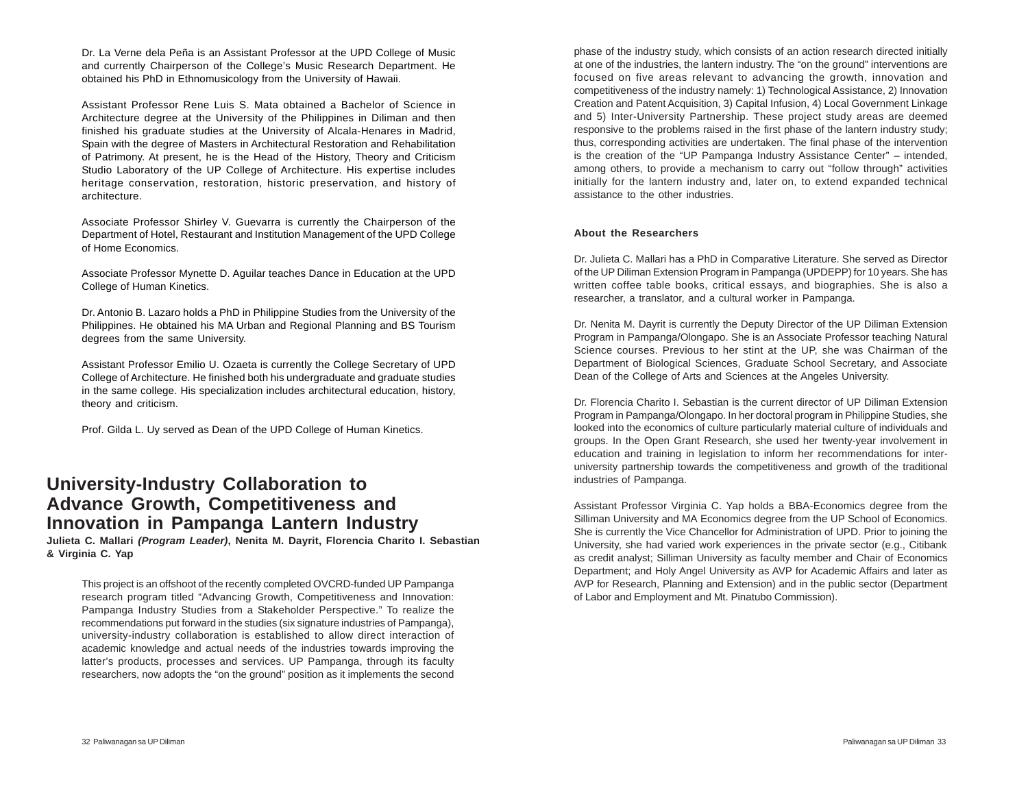Dr. La Verne dela Peña is an Assistant Professor at the UPD College of Music and currently Chairperson of the College's Music Research Department. He obtained his PhD in Ethnomusicology from the University of Hawaii.

Assistant Professor Rene Luis S. Mata obtained a Bachelor of Science in Architecture degree at the University of the Philippines in Diliman and then finished his graduate studies at the University of Alcala-Henares in Madrid, Spain with the degree of Masters in Architectural Restoration and Rehabilitation of Patrimony. At present, he is the Head of the History, Theory and Criticism Studio Laboratory of the UP College of Architecture. His expertise includes heritage conservation, restoration, historic preservation, and history of architecture.

Associate Professor Shirley V. Guevarra is currently the Chairperson of the Department of Hotel, Restaurant and Institution Management of the UPD College of Home Economics.

Associate Professor Mynette D. Aguilar teaches Dance in Education at the UPD College of Human Kinetics.

Dr. Antonio B. Lazaro holds a PhD in Philippine Studies from the University of the Philippines. He obtained his MA Urban and Regional Planning and BS Tourism degrees from the same University.

Assistant Professor Emilio U. Ozaeta is currently the College Secretary of UPD College of Architecture. He finished both his undergraduate and graduate studies in the same college. His specialization includes architectural education, history, theory and criticism.

Prof. Gilda L. Uy served as Dean of the UPD College of Human Kinetics.

### **University-Industry Collaboration to Advance Growth, Competitiveness and Innovation in Pampanga Lantern Industry**

**Julieta C. Mallari** *(Program Leader)***, Nenita M. Dayrit, Florencia Charito I. Sebastian & Virginia C. Yap**

This project is an offshoot of the recently completed OVCRD-funded UP Pampanga research program titled "Advancing Growth, Competitiveness and Innovation: Pampanga Industry Studies from a Stakeholder Perspective." To realize the recommendations put forward in the studies (six signature industries of Pampanga), university-industry collaboration is established to allow direct interaction of academic knowledge and actual needs of the industries towards improving the latter's products, processes and services. UP Pampanga, through its faculty researchers, now adopts the "on the ground" position as it implements the second

phase of the industry study, which consists of an action research directed initially at one of the industries, the lantern industry. The "on the ground" interventions are focused on five areas relevant to advancing the growth, innovation and competitiveness of the industry namely: 1) Technological Assistance, 2) Innovation Creation and Patent Acquisition, 3) Capital Infusion, 4) Local Government Linkage and 5) Inter-University Partnership. These project study areas are deemed responsive to the problems raised in the first phase of the lantern industry study; thus, corresponding activities are undertaken. The final phase of the intervention is the creation of the "UP Pampanga Industry Assistance Center" – intended, among others, to provide a mechanism to carry out "follow through" activities initially for the lantern industry and, later on, to extend expanded technical assistance to the other industries.

#### **About the Researchers**

Dr. Julieta C. Mallari has a PhD in Comparative Literature. She served as Director of the UP Diliman Extension Program in Pampanga (UPDEPP) for 10 years. She has written coffee table books, critical essays, and biographies. She is also a researcher, a translator, and a cultural worker in Pampanga.

Dr. Nenita M. Dayrit is currently the Deputy Director of the UP Diliman Extension Program in Pampanga/Olongapo. She is an Associate Professor teaching Natural Science courses. Previous to her stint at the UP, she was Chairman of the Department of Biological Sciences, Graduate School Secretary, and Associate Dean of the College of Arts and Sciences at the Angeles University.

Dr. Florencia Charito I. Sebastian is the current director of UP Diliman Extension Program in Pampanga/Olongapo. In her doctoral program in Philippine Studies, she looked into the economics of culture particularly material culture of individuals and groups. In the Open Grant Research, she used her twenty-year involvement in education and training in legislation to inform her recommendations for interuniversity partnership towards the competitiveness and growth of the traditional industries of Pampanga.

Assistant Professor Virginia C. Yap holds a BBA-Economics degree from the Silliman University and MA Economics degree from the UP School of Economics. She is currently the Vice Chancellor for Administration of UPD. Prior to joining the University, she had varied work experiences in the private sector (e.g., Citibank as credit analyst; Silliman University as faculty member and Chair of Economics Department; and Holy Angel University as AVP for Academic Affairs and later as AVP for Research, Planning and Extension) and in the public sector (Department of Labor and Employment and Mt. Pinatubo Commission).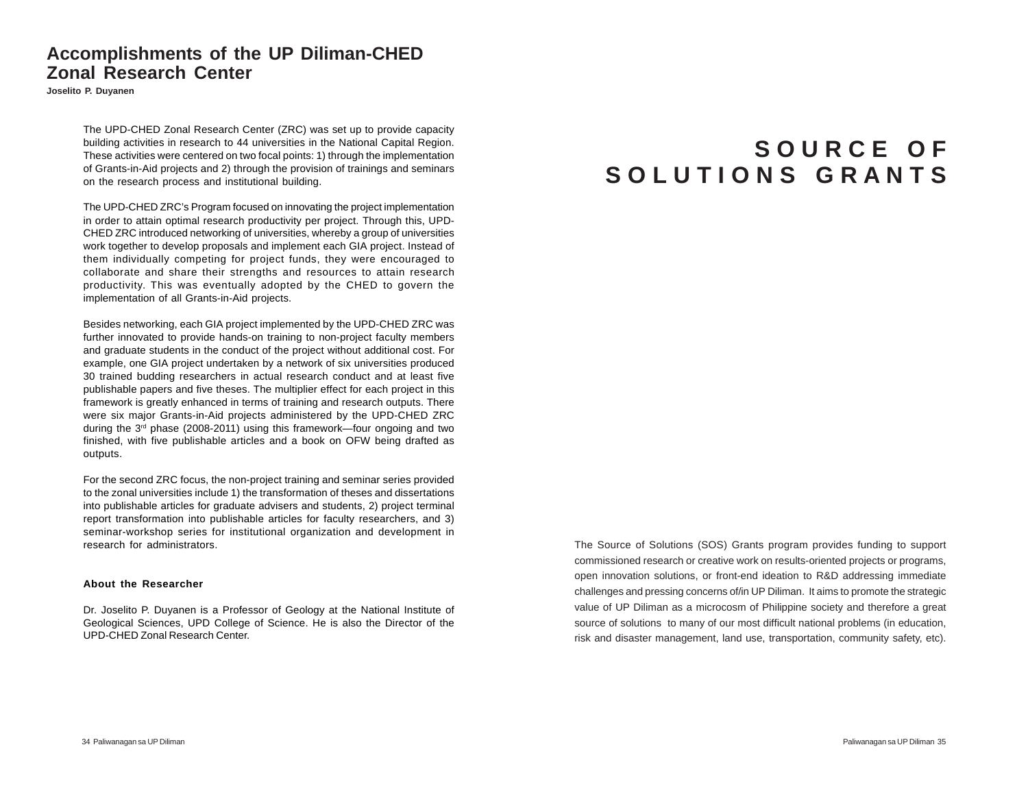### **Accomplishments of the UP Diliman-CHED Zonal Research Center**

**Joselito P. Duyanen**

The UPD-CHED Zonal Research Center (ZRC) was set up to provide capacity building activities in research to 44 universities in the National Capital Region. These activities were centered on two focal points: 1) through the implementation of Grants-in-Aid projects and 2) through the provision of trainings and seminars on the research process and institutional building.

The UPD-CHED ZRC's Program focused on innovating the project implementation in order to attain optimal research productivity per project. Through this, UPD-CHED ZRC introduced networking of universities, whereby a group of universities work together to develop proposals and implement each GIA project. Instead of them individually competing for project funds, they were encouraged to collaborate and share their strengths and resources to attain research productivity. This was eventually adopted by the CHED to govern the implementation of all Grants-in-Aid projects.

Besides networking, each GIA project implemented by the UPD-CHED ZRC was further innovated to provide hands-on training to non-project faculty members and graduate students in the conduct of the project without additional cost. For example, one GIA project undertaken by a network of six universities produced 30 trained budding researchers in actual research conduct and at least five publishable papers and five theses. The multiplier effect for each project in this framework is greatly enhanced in terms of training and research outputs. There were six major Grants-in-Aid projects administered by the UPD-CHED ZRC during the  $3<sup>rd</sup>$  phase (2008-2011) using this framework—four ongoing and two finished, with five publishable articles and a book on OFW being drafted as outputs.

For the second ZRC focus, the non-project training and seminar series provided to the zonal universities include 1) the transformation of theses and dissertations into publishable articles for graduate advisers and students, 2) project terminal report transformation into publishable articles for faculty researchers, and 3) seminar-workshop series for institutional organization and development in research for administrators.

#### **About the Researcher**

Dr. Joselito P. Duyanen is a Professor of Geology at the National Institute of Geological Sciences, UPD College of Science. He is also the Director of the UPD-CHED Zonal Research Center.

# **S O U R C E O F S O L U T I O N S G R A N T S**

The Source of Solutions (SOS) Grants program provides funding to support commissioned research or creative work on results-oriented projects or programs, open innovation solutions, or front-end ideation to R&D addressing immediate challenges and pressing concerns of/in UP Diliman. It aims to promote the strategic value of UP Diliman as a microcosm of Philippine society and therefore a great source of solutions to many of our most difficult national problems (in education, risk and disaster management, land use, transportation, community safety, etc).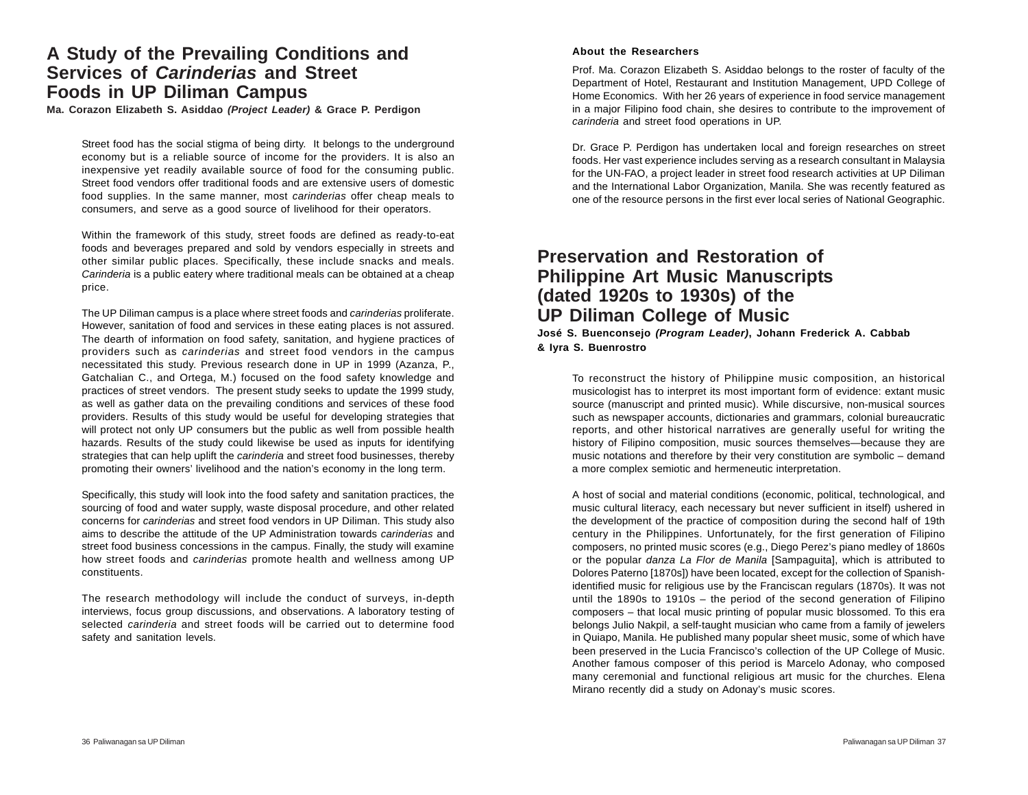### **A Study of the Prevailing Conditions and Services of** *Carinderias* **and Street Foods in UP Diliman Campus**

**Ma. Corazon Elizabeth S. Asiddao** *(Project Leader)* **& Grace P. Perdigon**

Street food has the social stigma of being dirty. It belongs to the underground economy but is a reliable source of income for the providers. It is also an inexpensive yet readily available source of food for the consuming public. Street food vendors offer traditional foods and are extensive users of domestic food supplies. In the same manner, most *carinderias* offer cheap meals to consumers, and serve as a good source of livelihood for their operators.

Within the framework of this study, street foods are defined as ready-to-eat foods and beverages prepared and sold by vendors especially in streets and other similar public places*.* Specifically, these include snacks and meals. *Carinderia* is a public eatery where traditional meals can be obtained at a cheap price.

The UP Diliman campus is a place where street foods and *carinderias* proliferate. However, sanitation of food and services in these eating places is not assured. The dearth of information on food safety, sanitation, and hygiene practices of providers such as *carinderias* and street food vendors in the campus necessitated this study. Previous research done in UP in 1999 (Azanza, P., Gatchalian C., and Ortega, M.) focused on the food safety knowledge and practices of street vendors. The present study seeks to update the 1999 study, as well as gather data on the prevailing conditions and services of these food providers. Results of this study would be useful for developing strategies that will protect not only UP consumers but the public as well from possible health hazards. Results of the study could likewise be used as inputs for identifying strategies that can help uplift the *carinderia* and street food businesses, thereby promoting their owners' livelihood and the nation's economy in the long term.

Specifically, this study will look into the food safety and sanitation practices, the sourcing of food and water supply, waste disposal procedure, and other related concerns for *carinderias* and street food vendors in UP Diliman. This study also aims to describe the attitude of the UP Administration towards *carinderias* and street food business concessions in the campus. Finally, the study will examine how street foods and *carinderias* promote health and wellness among UP constituents.

The research methodology will include the conduct of surveys, in-depth interviews, focus group discussions, and observations. A laboratory testing of selected *carinderia* and street foods will be carried out to determine food safety and sanitation levels.

#### **About the Researchers**

Prof. Ma. Corazon Elizabeth S. Asiddao belongs to the roster of faculty of the Department of Hotel, Restaurant and Institution Management, UPD College of Home Economics. With her 26 years of experience in food service management in a major Filipino food chain, she desires to contribute to the improvement of *carinderia* and street food operations in UP.

Dr. Grace P. Perdigon has undertaken local and foreign researches on street foods. Her vast experience includes serving as a research consultant in Malaysia for the UN-FAO, a project leader in street food research activities at UP Diliman and the International Labor Organization, Manila. She was recently featured as one of the resource persons in the first ever local series of National Geographic.

### **Preservation and Restoration of Philippine Art Music Manuscripts (dated 1920s to 1930s) of the UP Diliman College of Music**

#### **José S. Buenconsejo** *(Program Leader)***, Johann Frederick A. Cabbab & Iyra S. Buenrostro**

To reconstruct the history of Philippine music composition, an historical musicologist has to interpret its most important form of evidence: extant music source (manuscript and printed music). While discursive, non-musical sources such as newspaper accounts, dictionaries and grammars, colonial bureaucratic reports, and other historical narratives are generally useful for writing the history of Filipino composition, music sources themselves—because they are music notations and therefore by their very constitution are symbolic – demand a more complex semiotic and hermeneutic interpretation.

A host of social and material conditions (economic, political, technological, and music cultural literacy, each necessary but never sufficient in itself) ushered in the development of the practice of composition during the second half of 19th century in the Philippines. Unfortunately, for the first generation of Filipino composers, no printed music scores (e.g., Diego Perez's piano medley of 1860s or the popular *danza La Flor de Manila* [Sampaguita], which is attributed to Dolores Paterno [1870s]) have been located, except for the collection of Spanishidentified music for religious use by the Franciscan regulars (1870s). It was not until the 1890s to 1910s – the period of the second generation of Filipino composers – that local music printing of popular music blossomed. To this era belongs Julio Nakpil, a self-taught musician who came from a family of jewelers in Quiapo, Manila. He published many popular sheet music, some of which have been preserved in the Lucia Francisco's collection of the UP College of Music. Another famous composer of this period is Marcelo Adonay, who composed many ceremonial and functional religious art music for the churches. Elena Mirano recently did a study on Adonay's music scores.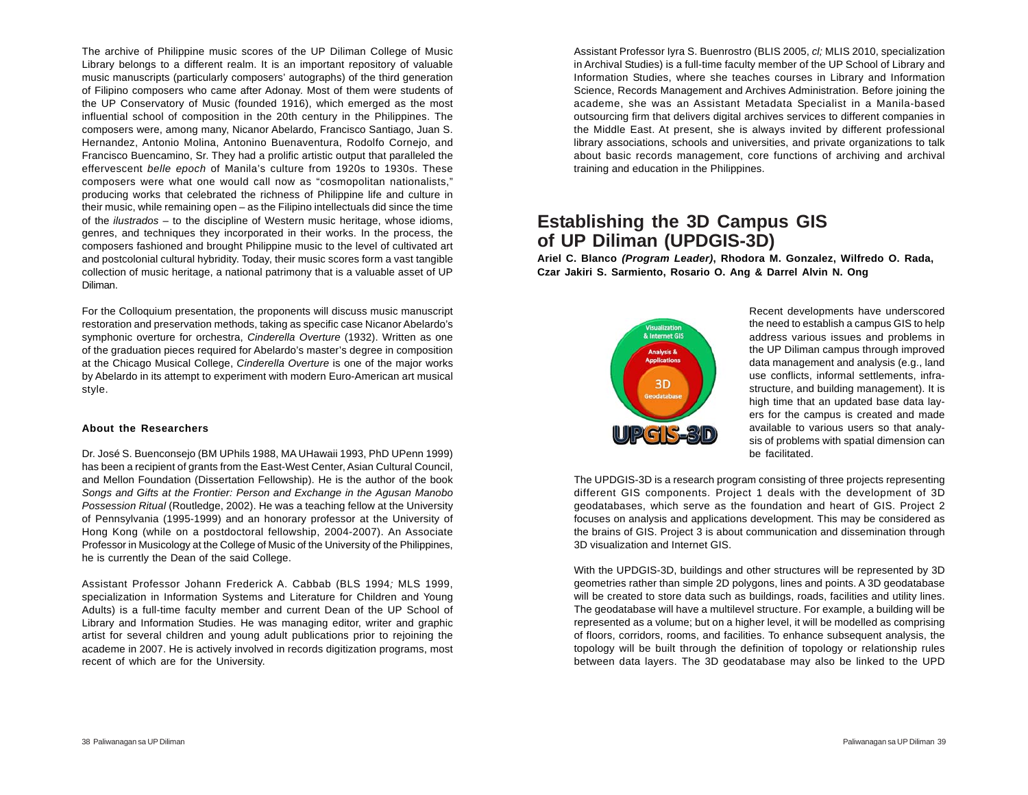The archive of Philippine music scores of the UP Diliman College of Music Library belongs to a different realm. It is an important repository of valuable music manuscripts (particularly composers' autographs) of the third generation of Filipino composers who came after Adonay. Most of them were students of the UP Conservatory of Music (founded 1916), which emerged as the most influential school of composition in the 20th century in the Philippines. The composers were, among many, Nicanor Abelardo, Francisco Santiago, Juan S. Hernandez, Antonio Molina, Antonino Buenaventura, Rodolfo Cornejo, and Francisco Buencamino, Sr. They had a prolific artistic output that paralleled the effervescent *belle epoch* of Manila's culture from 1920s to 1930s. These composers were what one would call now as "cosmopolitan nationalists," producing works that celebrated the richness of Philippine life and culture in their music, while remaining open – as the Filipino intellectuals did since the time of the *ilustrados* – to the discipline of Western music heritage, whose idioms, genres, and techniques they incorporated in their works. In the process, the composers fashioned and brought Philippine music to the level of cultivated art and postcolonial cultural hybridity. Today, their music scores form a vast tangible collection of music heritage, a national patrimony that is a valuable asset of UP Diliman.

For the Colloquium presentation, the proponents will discuss music manuscript restoration and preservation methods, taking as specific case Nicanor Abelardo's symphonic overture for orchestra, *Cinderella Overture* (1932). Written as one of the graduation pieces required for Abelardo's master's degree in composition at the Chicago Musical College, *Cinderella Overture* is one of the major works by Abelardo in its attempt to experiment with modern Euro-American art musical style.

#### **About the Researchers**

Dr. José S. Buenconsejo (BM UPhils 1988, MA UHawaii 1993, PhD UPenn 1999) has been a recipient of grants from the East-West Center, Asian Cultural Council, and Mellon Foundation (Dissertation Fellowship). He is the author of the book *Songs and Gifts at the Frontier: Person and Exchange in the Agusan Manobo Possession Ritual* (Routledge, 2002). He was a teaching fellow at the University of Pennsylvania (1995-1999) and an honorary professor at the University of Hong Kong (while on a postdoctoral fellowship, 2004-2007). An Associate Professor in Musicology at the College of Music of the University of the Philippines, he is currently the Dean of the said College.

Assistant Professor Johann Frederick A. Cabbab (BLS 1994*;* MLS 1999, specialization in Information Systems and Literature for Children and Young Adults) is a full-time faculty member and current Dean of the UP School of Library and Information Studies. He was managing editor, writer and graphic artist for several children and young adult publications prior to rejoining the academe in 2007. He is actively involved in records digitization programs, most recent of which are for the University.

Assistant Professor Iyra S. Buenrostro (BLIS 2005, *cl;* MLIS 2010, specialization in Archival Studies) is a full-time faculty member of the UP School of Library and Information Studies, where she teaches courses in Library and Information Science, Records Management and Archives Administration. Before joining the academe, she was an Assistant Metadata Specialist in a Manila-based outsourcing firm that delivers digital archives services to different companies in the Middle East. At present, she is always invited by different professional library associations, schools and universities, and private organizations to talk about basic records management, core functions of archiving and archival training and education in the Philippines.

## **Establishing the 3D Campus GIS of UP Diliman (UPDGIS-3D)**

**Ariel C. Blanco** *(Program Leader)***, Rhodora M. Gonzalez, Wilfredo O. Rada, Czar Jakiri S. Sarmiento, Rosario O. Ang & Darrel Alvin N. Ong**



Recent developments have underscored the need to establish a campus GIS to help address various issues and problems in the UP Diliman campus through improved data management and analysis (e.g., land use conflicts, informal settlements, infrastructure, and building management). It is high time that an updated base data layers for the campus is created and made available to various users so that analysis of problems with spatial dimension can be facilitated.

The UPDGIS-3D is a research program consisting of three projects representing different GIS components. Project 1 deals with the development of 3D geodatabases, which serve as the foundation and heart of GIS. Project 2 focuses on analysis and applications development. This may be considered as the brains of GIS. Project 3 is about communication and dissemination through 3D visualization and Internet GIS.

With the UPDGIS-3D, buildings and other structures will be represented by 3D geometries rather than simple 2D polygons, lines and points. A 3D geodatabase will be created to store data such as buildings, roads, facilities and utility lines. The geodatabase will have a multilevel structure. For example, a building will be represented as a volume; but on a higher level, it will be modelled as comprising of floors, corridors, rooms, and facilities. To enhance subsequent analysis, the topology will be built through the definition of topology or relationship rules between data layers. The 3D geodatabase may also be linked to the UPD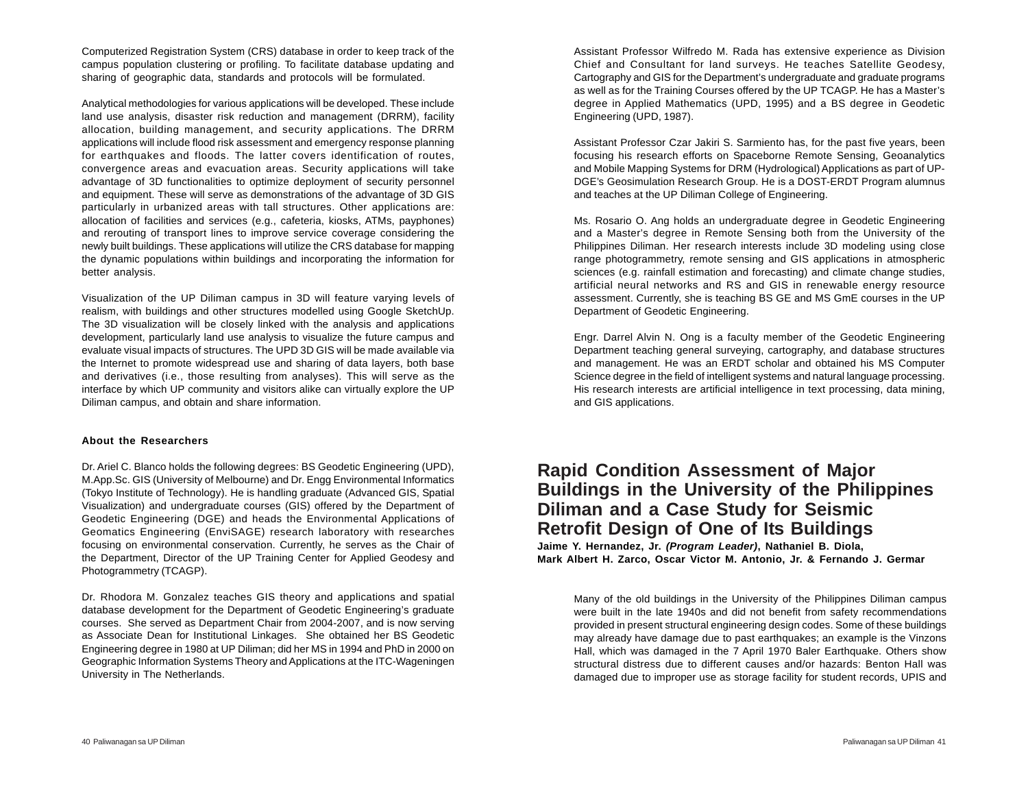Computerized Registration System (CRS) database in order to keep track of the campus population clustering or profiling. To facilitate database updating and sharing of geographic data, standards and protocols will be formulated.

Analytical methodologies for various applications will be developed. These include land use analysis, disaster risk reduction and management (DRRM), facility allocation, building management, and security applications. The DRRM applications will include flood risk assessment and emergency response planning for earthquakes and floods. The latter covers identification of routes, convergence areas and evacuation areas. Security applications will take advantage of 3D functionalities to optimize deployment of security personnel and equipment. These will serve as demonstrations of the advantage of 3D GIS particularly in urbanized areas with tall structures. Other applications are: allocation of facilities and services (e.g., cafeteria, kiosks, ATMs, payphones) and rerouting of transport lines to improve service coverage considering the newly built buildings. These applications will utilize the CRS database for mapping the dynamic populations within buildings and incorporating the information for better analysis.

Visualization of the UP Diliman campus in 3D will feature varying levels of realism, with buildings and other structures modelled using Google SketchUp. The 3D visualization will be closely linked with the analysis and applications development, particularly land use analysis to visualize the future campus and evaluate visual impacts of structures. The UPD 3D GIS will be made available via the Internet to promote widespread use and sharing of data layers, both base and derivatives (i.e., those resulting from analyses). This will serve as the interface by which UP community and visitors alike can virtually explore the UP Diliman campus, and obtain and share information.

#### **About the Researchers**

Dr. Ariel C. Blanco holds the following degrees: BS Geodetic Engineering (UPD), M.App.Sc. GIS (University of Melbourne) and Dr. Engg Environmental Informatics (Tokyo Institute of Technology). He is handling graduate (Advanced GIS, Spatial Visualization) and undergraduate courses (GIS) offered by the Department of Geodetic Engineering (DGE) and heads the Environmental Applications of Geomatics Engineering (EnviSAGE) research laboratory with researches focusing on environmental conservation. Currently, he serves as the Chair of the Department, Director of the UP Training Center for Applied Geodesy and Photogrammetry (TCAGP).

Dr. Rhodora M. Gonzalez teaches GIS theory and applications and spatial database development for the Department of Geodetic Engineering's graduate courses. She served as Department Chair from 2004-2007, and is now serving as Associate Dean for Institutional Linkages. She obtained her BS Geodetic Engineering degree in 1980 at UP Diliman; did her MS in 1994 and PhD in 2000 on Geographic Information Systems Theory and Applications at the ITC-Wageningen University in The Netherlands.

Assistant Professor Wilfredo M. Rada has extensive experience as Division Chief and Consultant for land surveys. He teaches Satellite Geodesy, Cartography and GIS for the Department's undergraduate and graduate programs as well as for the Training Courses offered by the UP TCAGP. He has a Master's degree in Applied Mathematics (UPD, 1995) and a BS degree in Geodetic Engineering (UPD, 1987).

Assistant Professor Czar Jakiri S. Sarmiento has, for the past five years, been focusing his research efforts on Spaceborne Remote Sensing, Geoanalytics and Mobile Mapping Systems for DRM (Hydrological) Applications as part of UP-DGE's Geosimulation Research Group. He is a DOST-ERDT Program alumnus and teaches at the UP Diliman College of Engineering.

Ms. Rosario O. Ang holds an undergraduate degree in Geodetic Engineering and a Master's degree in Remote Sensing both from the University of the Philippines Diliman. Her research interests include 3D modeling using close range photogrammetry, remote sensing and GIS applications in atmospheric sciences (e.g. rainfall estimation and forecasting) and climate change studies, artificial neural networks and RS and GIS in renewable energy resource assessment. Currently, she is teaching BS GE and MS GmE courses in the UP Department of Geodetic Engineering.

Engr. Darrel Alvin N. Ong is a faculty member of the Geodetic Engineering Department teaching general surveying, cartography, and database structures and management. He was an ERDT scholar and obtained his MS Computer Science degree in the field of intelligent systems and natural language processing. His research interests are artificial intelligence in text processing, data mining, and GIS applications.

# **Rapid Condition Assessment of Major Buildings in the University of the Philippines Diliman and a Case Study for Seismic Retrofit Design of One of Its Buildings**

**Jaime Y. Hernandez, Jr.** *(Program Leader)***, Nathaniel B. Diola, Mark Albert H. Zarco, Oscar Victor M. Antonio, Jr. & Fernando J. Germar**

Many of the old buildings in the University of the Philippines Diliman campus were built in the late 1940s and did not benefit from safety recommendations provided in present structural engineering design codes. Some of these buildings may already have damage due to past earthquakes; an example is the Vinzons Hall, which was damaged in the 7 April 1970 Baler Earthquake. Others show structural distress due to different causes and/or hazards: Benton Hall was damaged due to improper use as storage facility for student records, UPIS and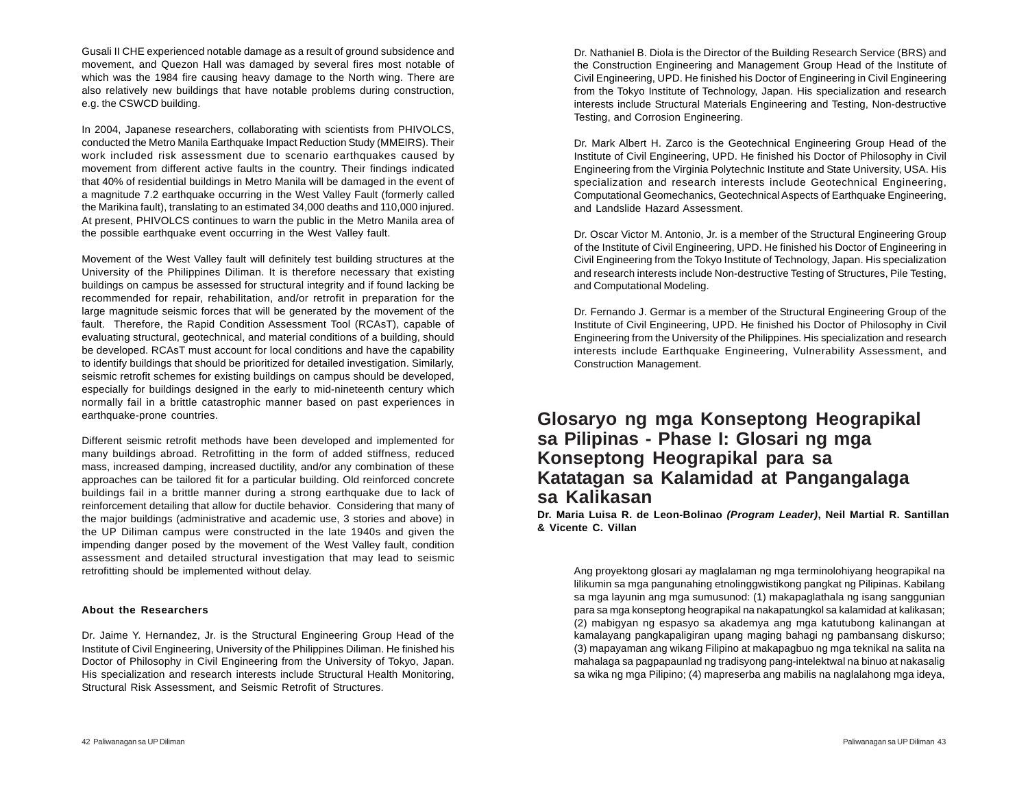Gusali II CHE experienced notable damage as a result of ground subsidence and movement, and Quezon Hall was damaged by several fires most notable of which was the 1984 fire causing heavy damage to the North wing. There are also relatively new buildings that have notable problems during construction, e.g. the CSWCD building.

In 2004, Japanese researchers, collaborating with scientists from PHIVOLCS, conducted the Metro Manila Earthquake Impact Reduction Study (MMEIRS). Their work included risk assessment due to scenario earthquakes caused by movement from different active faults in the country. Their findings indicated that 40% of residential buildings in Metro Manila will be damaged in the event of a magnitude 7.2 earthquake occurring in the West Valley Fault (formerly called the Marikina fault), translating to an estimated 34,000 deaths and 110,000 injured. At present, PHIVOLCS continues to warn the public in the Metro Manila area of the possible earthquake event occurring in the West Valley fault.

Movement of the West Valley fault will definitely test building structures at the University of the Philippines Diliman. It is therefore necessary that existing buildings on campus be assessed for structural integrity and if found lacking be recommended for repair, rehabilitation, and/or retrofit in preparation for the large magnitude seismic forces that will be generated by the movement of the fault. Therefore, the Rapid Condition Assessment Tool (RCAsT), capable of evaluating structural, geotechnical, and material conditions of a building, should be developed. RCAsT must account for local conditions and have the capability to identify buildings that should be prioritized for detailed investigation. Similarly, seismic retrofit schemes for existing buildings on campus should be developed, especially for buildings designed in the early to mid-nineteenth century which normally fail in a brittle catastrophic manner based on past experiences in earthquake-prone countries.

Different seismic retrofit methods have been developed and implemented for many buildings abroad. Retrofitting in the form of added stiffness, reduced mass, increased damping, increased ductility, and/or any combination of these approaches can be tailored fit for a particular building. Old reinforced concrete buildings fail in a brittle manner during a strong earthquake due to lack of reinforcement detailing that allow for ductile behavior. Considering that many of the major buildings (administrative and academic use, 3 stories and above) in the UP Diliman campus were constructed in the late 1940s and given the impending danger posed by the movement of the West Valley fault, condition assessment and detailed structural investigation that may lead to seismic retrofitting should be implemented without delay.

#### **About the Researchers**

Dr. Jaime Y. Hernandez, Jr. is the Structural Engineering Group Head of the Institute of Civil Engineering, University of the Philippines Diliman. He finished his Doctor of Philosophy in Civil Engineering from the University of Tokyo, Japan. His specialization and research interests include Structural Health Monitoring, Structural Risk Assessment, and Seismic Retrofit of Structures.

Dr. Nathaniel B. Diola is the Director of the Building Research Service (BRS) and the Construction Engineering and Management Group Head of the Institute of Civil Engineering, UPD. He finished his Doctor of Engineering in Civil Engineering from the Tokyo Institute of Technology, Japan. His specialization and research interests include Structural Materials Engineering and Testing, Non-destructive Testing, and Corrosion Engineering.

Dr. Mark Albert H. Zarco is the Geotechnical Engineering Group Head of the Institute of Civil Engineering, UPD. He finished his Doctor of Philosophy in Civil Engineering from the Virginia Polytechnic Institute and State University, USA. His specialization and research interests include Geotechnical Engineering, Computational Geomechanics, Geotechnical Aspects of Earthquake Engineering, and Landslide Hazard Assessment.

Dr. Oscar Victor M. Antonio, Jr. is a member of the Structural Engineering Group of the Institute of Civil Engineering, UPD. He finished his Doctor of Engineering in Civil Engineering from the Tokyo Institute of Technology, Japan. His specialization and research interests include Non-destructive Testing of Structures, Pile Testing, and Computational Modeling.

Dr. Fernando J. Germar is a member of the Structural Engineering Group of the Institute of Civil Engineering, UPD. He finished his Doctor of Philosophy in Civil Engineering from the University of the Philippines. His specialization and research interests include Earthquake Engineering, Vulnerability Assessment, and Construction Management.

### **Glosaryo ng mga Konseptong Heograpikal sa Pilipinas - Phase I: Glosari ng mga Konseptong Heograpikal para sa Katatagan sa Kalamidad at Pangangalaga sa Kalikasan**

**Dr. Maria Luisa R. de Leon-Bolinao** *(Program Leader)***, Neil Martial R. Santillan & Vicente C. Villan**

Ang proyektong glosari ay maglalaman ng mga terminolohiyang heograpikal na lilikumin sa mga pangunahing etnolinggwistikong pangkat ng Pilipinas. Kabilang sa mga layunin ang mga sumusunod: (1) makapaglathala ng isang sanggunian para sa mga konseptong heograpikal na nakapatungkol sa kalamidad at kalikasan; (2) mabigyan ng espasyo sa akademya ang mga katutubong kalinangan at kamalayang pangkapaligiran upang maging bahagi ng pambansang diskurso; (3) mapayaman ang wikang Filipino at makapagbuo ng mga teknikal na salita na mahalaga sa pagpapaunlad ng tradisyong pang-intelektwal na binuo at nakasalig sa wika ng mga Pilipino; (4) mapreserba ang mabilis na naglalahong mga ideya,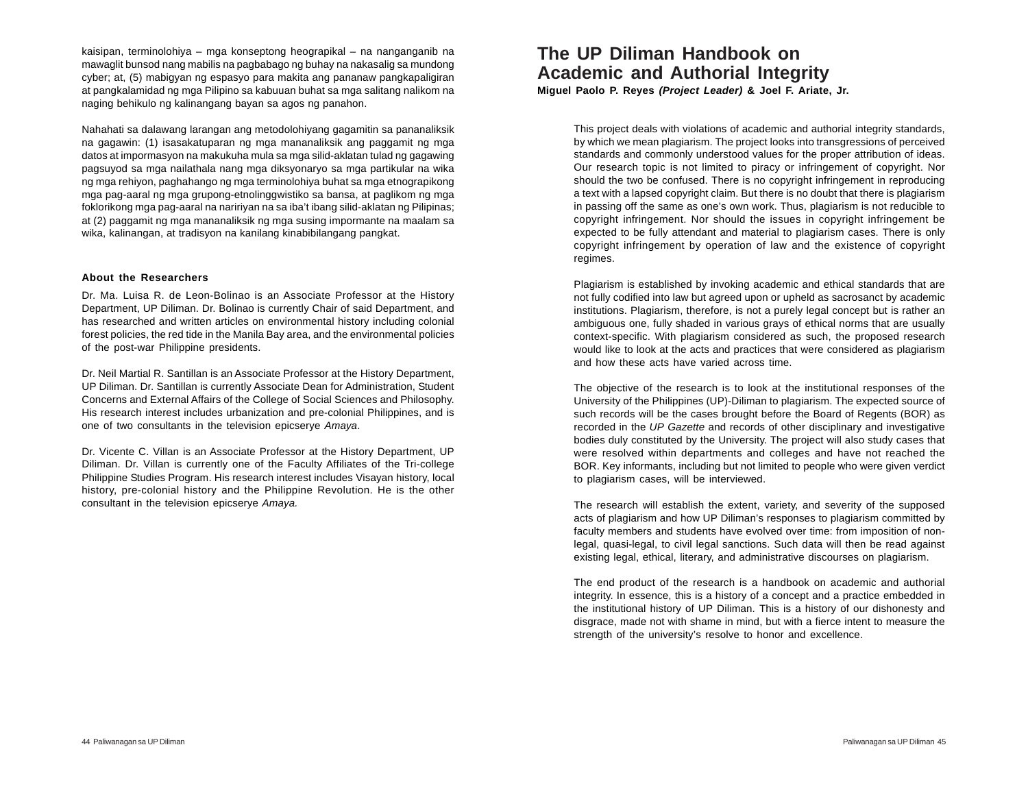kaisipan, terminolohiya – mga konseptong heograpikal – na nanganganib na mawaglit bunsod nang mabilis na pagbabago ng buhay na nakasalig sa mundong cyber; at, (5) mabigyan ng espasyo para makita ang pananaw pangkapaligiran at pangkalamidad ng mga Pilipino sa kabuuan buhat sa mga salitang nalikom na naging behikulo ng kalinangang bayan sa agos ng panahon.

Nahahati sa dalawang larangan ang metodolohiyang gagamitin sa pananaliksik na gagawin: (1) isasakatuparan ng mga mananaliksik ang paggamit ng mga datos at impormasyon na makukuha mula sa mga silid-aklatan tulad ng gagawing pagsuyod sa mga nailathala nang mga diksyonaryo sa mga partikular na wika ng mga rehiyon, paghahango ng mga terminolohiya buhat sa mga etnograpikong mga pag-aaral ng mga grupong-etnolinggwistiko sa bansa, at paglikom ng mga foklorikong mga pag-aaral na naririyan na sa iba't ibang silid-aklatan ng Pilipinas; at (2) paggamit ng mga mananaliksik ng mga susing impormante na maalam sa wika, kalinangan, at tradisyon na kanilang kinabibilangang pangkat.

#### **About the Researchers**

Dr. Ma. Luisa R. de Leon-Bolinao is an Associate Professor at the History Department, UP Diliman. Dr. Bolinao is currently Chair of said Department, and has researched and written articles on environmental history including colonial forest policies, the red tide in the Manila Bay area, and the environmental policies of the post-war Philippine presidents.

Dr. Neil Martial R. Santillan is an Associate Professor at the History Department, UP Diliman. Dr. Santillan is currently Associate Dean for Administration, Student Concerns and External Affairs of the College of Social Sciences and Philosophy. His research interest includes urbanization and pre-colonial Philippines, and is one of two consultants in the television epicserye *Amaya*.

Dr. Vicente C. Villan is an Associate Professor at the History Department, UP Diliman. Dr. Villan is currently one of the Faculty Affiliates of the Tri-college Philippine Studies Program. His research interest includes Visayan history, local history, pre-colonial history and the Philippine Revolution. He is the other consultant in the television epicserye *Amaya.*

# **The UP Diliman Handbook on Academic and Authorial Integrity**

**Miguel Paolo P. Reyes** *(Project Leader)* **& Joel F. Ariate, Jr.**

This project deals with violations of academic and authorial integrity standards, by which we mean plagiarism. The project looks into transgressions of perceived standards and commonly understood values for the proper attribution of ideas. Our research topic is not limited to piracy or infringement of copyright. Nor should the two be confused. There is no copyright infringement in reproducing a text with a lapsed copyright claim. But there is no doubt that there is plagiarism in passing off the same as one's own work. Thus, plagiarism is not reducible to copyright infringement. Nor should the issues in copyright infringement be expected to be fully attendant and material to plagiarism cases. There is only copyright infringement by operation of law and the existence of copyright regimes.

Plagiarism is established by invoking academic and ethical standards that are not fully codified into law but agreed upon or upheld as sacrosanct by academic institutions. Plagiarism, therefore, is not a purely legal concept but is rather an ambiguous one, fully shaded in various grays of ethical norms that are usually context-specific. With plagiarism considered as such, the proposed research would like to look at the acts and practices that were considered as plagiarism and how these acts have varied across time.

The objective of the research is to look at the institutional responses of the University of the Philippines (UP)-Diliman to plagiarism. The expected source of such records will be the cases brought before the Board of Regents (BOR) as recorded in the *UP Gazette* and records of other disciplinary and investigative bodies duly constituted by the University. The project will also study cases that were resolved within departments and colleges and have not reached the BOR. Key informants, including but not limited to people who were given verdict to plagiarism cases, will be interviewed.

The research will establish the extent, variety, and severity of the supposed acts of plagiarism and how UP Diliman's responses to plagiarism committed by faculty members and students have evolved over time: from imposition of nonlegal, quasi-legal, to civil legal sanctions. Such data will then be read against existing legal, ethical, literary, and administrative discourses on plagiarism.

The end product of the research is a handbook on academic and authorial integrity. In essence, this is a history of a concept and a practice embedded in the institutional history of UP Diliman. This is a history of our dishonesty and disgrace, made not with shame in mind, but with a fierce intent to measure the strength of the university's resolve to honor and excellence.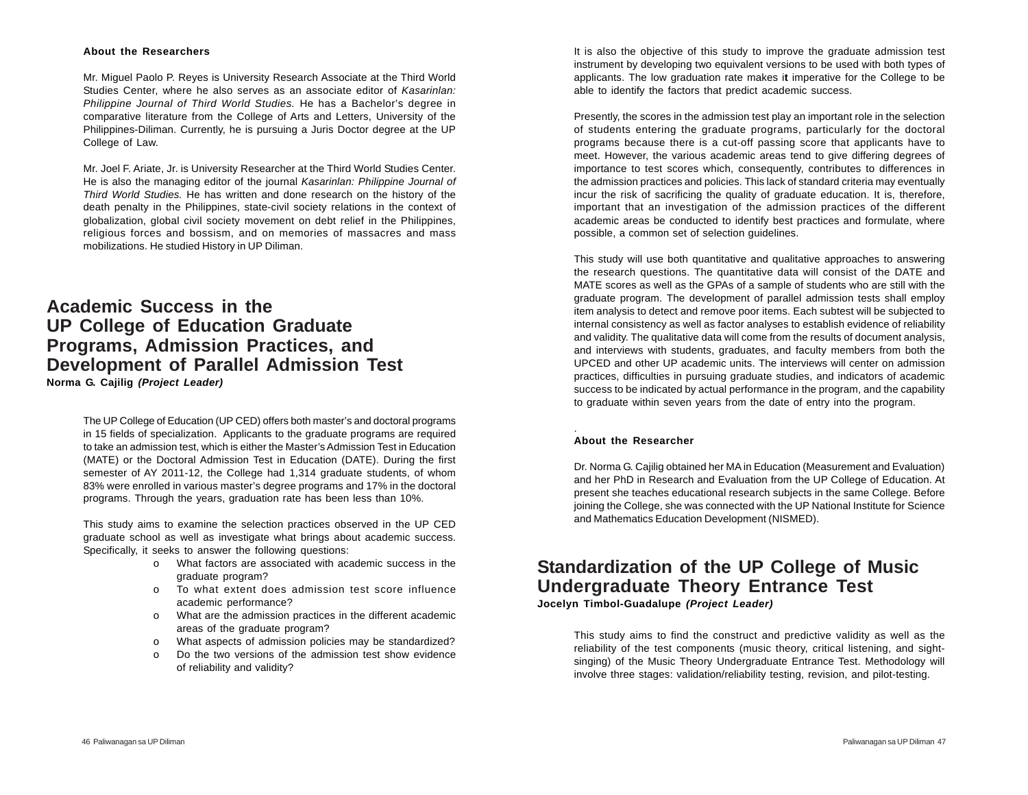#### **About the Researchers**

Mr. Miguel Paolo P. Reyes is University Research Associate at the Third World Studies Center, where he also serves as an associate editor of *Kasarinlan: Philippine Journal of Third World Studies.* He has a Bachelor's degree in comparative literature from the College of Arts and Letters, University of the Philippines-Diliman. Currently, he is pursuing a Juris Doctor degree at the UP College of Law.

Mr. Joel F. Ariate, Jr. is University Researcher at the Third World Studies Center. He is also the managing editor of the journal *Kasarinlan: Philippine Journal of Third World Studies.* He has written and done research on the history of the death penalty in the Philippines, state-civil society relations in the context of globalization, global civil society movement on debt relief in the Philippines, religious forces and bossism, and on memories of massacres and mass mobilizations. He studied History in UP Diliman.

**Academic Success in the UP College of Education Graduate Programs, Admission Practices, and Development of Parallel Admission Test Norma G. Cajilig** *(Project Leader)*

> The UP College of Education (UP CED) offers both master's and doctoral programs in 15 fields of specialization. Applicants to the graduate programs are required to take an admission test, which is either the Master's Admission Test in Education (MATE) or the Doctoral Admission Test in Education (DATE). During the first semester of AY 2011-12, the College had 1,314 graduate students, of whom 83% were enrolled in various master's degree programs and 17% in the doctoral programs. Through the years, graduation rate has been less than 10%.

> This study aims to examine the selection practices observed in the UP CED graduate school as well as investigate what brings about academic success. Specifically, it seeks to answer the following questions:

- o What factors are associated with academic success in the graduate program?
- o To what extent does admission test score influence academic performance?
- o What are the admission practices in the different academic areas of the graduate program?
- o What aspects of admission policies may be standardized?
- o Do the two versions of the admission test show evidence of reliability and validity?

It is also the objective of this study to improve the graduate admission test instrument by developing two equivalent versions to be used with both types of applicants. The low graduation rate makes i**t** imperative for the College to be able to identify the factors that predict academic success.

Presently, the scores in the admission test play an important role in the selection of students entering the graduate programs, particularly for the doctoral programs because there is a cut-off passing score that applicants have to meet. However, the various academic areas tend to give differing degrees of importance to test scores which, consequently, contributes to differences in the admission practices and policies. This lack of standard criteria may eventually incur the risk of sacrificing the quality of graduate education. It is, therefore, important that an investigation of the admission practices of the different academic areas be conducted to identify best practices and formulate, where possible, a common set of selection guidelines.

This study will use both quantitative and qualitative approaches to answering the research questions. The quantitative data will consist of the DATE and MATE scores as well as the GPAs of a sample of students who are still with the graduate program. The development of parallel admission tests shall employ item analysis to detect and remove poor items. Each subtest will be subjected to internal consistency as well as factor analyses to establish evidence of reliability and validity. The qualitative data will come from the results of document analysis, and interviews with students, graduates, and faculty members from both the UPCED and other UP academic units. The interviews will center on admission practices, difficulties in pursuing graduate studies, and indicators of academic success to be indicated by actual performance in the program, and the capability to graduate within seven years from the date of entry into the program.

#### **About the Researcher**

.

Dr. Norma G. Cajilig obtained her MA in Education (Measurement and Evaluation) and her PhD in Research and Evaluation from the UP College of Education. At present she teaches educational research subjects in the same College. Before joining the College, she was connected with the UP National Institute for Science and Mathematics Education Development (NISMED).

### **Standardization of the UP College of Music Undergraduate Theory Entrance Test Jocelyn Timbol-Guadalupe** *(Project Leader)*

This study aims to find the construct and predictive validity as well as the reliability of the test components (music theory, critical listening, and sightsinging) of the Music Theory Undergraduate Entrance Test. Methodology will involve three stages: validation/reliability testing, revision, and pilot-testing.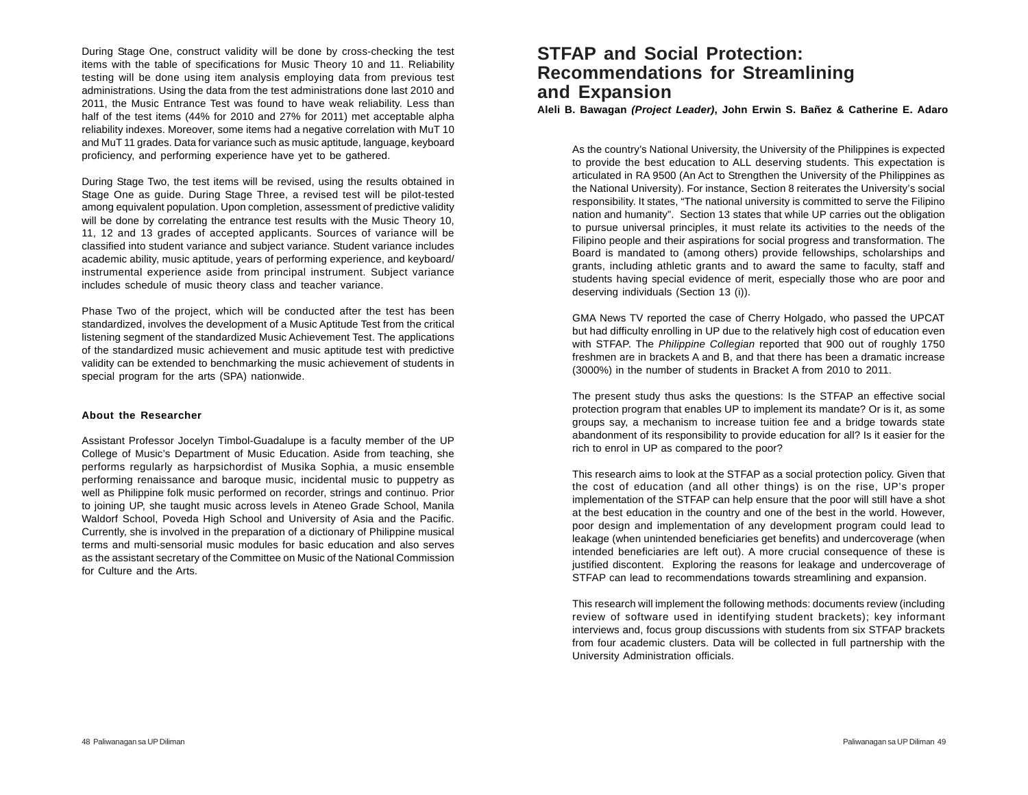During Stage One, construct validity will be done by cross-checking the test items with the table of specifications for Music Theory 10 and 11. Reliability testing will be done using item analysis employing data from previous test administrations. Using the data from the test administrations done last 2010 and 2011, the Music Entrance Test was found to have weak reliability. Less than half of the test items (44% for 2010 and 27% for 2011) met acceptable alpha reliability indexes. Moreover, some items had a negative correlation with MuT 10 and MuT 11 grades. Data for variance such as music aptitude, language, keyboard proficiency, and performing experience have yet to be gathered.

During Stage Two, the test items will be revised, using the results obtained in Stage One as guide. During Stage Three, a revised test will be pilot-tested among equivalent population. Upon completion, assessment of predictive validity will be done by correlating the entrance test results with the Music Theory 10, 11, 12 and 13 grades of accepted applicants. Sources of variance will be classified into student variance and subject variance. Student variance includes academic ability, music aptitude, years of performing experience, and keyboard/ instrumental experience aside from principal instrument. Subject variance includes schedule of music theory class and teacher variance.

Phase Two of the project, which will be conducted after the test has been standardized, involves the development of a Music Aptitude Test from the critical listening segment of the standardized Music Achievement Test. The applications of the standardized music achievement and music aptitude test with predictive validity can be extended to benchmarking the music achievement of students in special program for the arts (SPA) nationwide.

#### **About the Researcher**

Assistant Professor Jocelyn Timbol-Guadalupe is a faculty member of the UP College of Music's Department of Music Education. Aside from teaching, she performs regularly as harpsichordist of Musika Sophia, a music ensemble performing renaissance and baroque music, incidental music to puppetry as well as Philippine folk music performed on recorder, strings and continuo. Prior to joining UP, she taught music across levels in Ateneo Grade School, Manila Waldorf School, Poveda High School and University of Asia and the Pacific. Currently, she is involved in the preparation of a dictionary of Philippine musical terms and multi-sensorial music modules for basic education and also serves as the assistant secretary of the Committee on Music of the National Commission for Culture and the Arts.

# **STFAP and Social Protection: Recommendations for Streamlining and Expansion**

**Aleli B. Bawagan** *(Project Leader)***, John Erwin S. Bañez & Catherine E. Adaro**

As the country's National University, the University of the Philippines is expected to provide the best education to ALL deserving students. This expectation is articulated in RA 9500 (An Act to Strengthen the University of the Philippines as the National University). For instance, Section 8 reiterates the University's social responsibility. It states, "The national university is committed to serve the Filipino nation and humanity". Section 13 states that while UP carries out the obligation to pursue universal principles, it must relate its activities to the needs of the Filipino people and their aspirations for social progress and transformation. The Board is mandated to (among others) provide fellowships, scholarships and grants, including athletic grants and to award the same to faculty, staff and students having special evidence of merit, especially those who are poor and deserving individuals (Section 13 (i)).

GMA News TV reported the case of Cherry Holgado, who passed the UPCAT but had difficulty enrolling in UP due to the relatively high cost of education even with STFAP. The *Philippine Collegian* reported that 900 out of roughly 1750 freshmen are in brackets A and B, and that there has been a dramatic increase (3000%) in the number of students in Bracket A from 2010 to 2011.

The present study thus asks the questions: Is the STFAP an effective social protection program that enables UP to implement its mandate? Or is it, as some groups say, a mechanism to increase tuition fee and a bridge towards state abandonment of its responsibility to provide education for all? Is it easier for the rich to enrol in UP as compared to the poor?

This research aims to look at the STFAP as a social protection policy. Given that the cost of education (and all other things) is on the rise, UP's proper implementation of the STFAP can help ensure that the poor will still have a shot at the best education in the country and one of the best in the world. However, poor design and implementation of any development program could lead to leakage (when unintended beneficiaries get benefits) and undercoverage (when intended beneficiaries are left out). A more crucial consequence of these is justified discontent. Exploring the reasons for leakage and undercoverage of STFAP can lead to recommendations towards streamlining and expansion.

This research will implement the following methods: documents review (including review of software used in identifying student brackets); key informant interviews and, focus group discussions with students from six STFAP brackets from four academic clusters. Data will be collected in full partnership with the University Administration officials.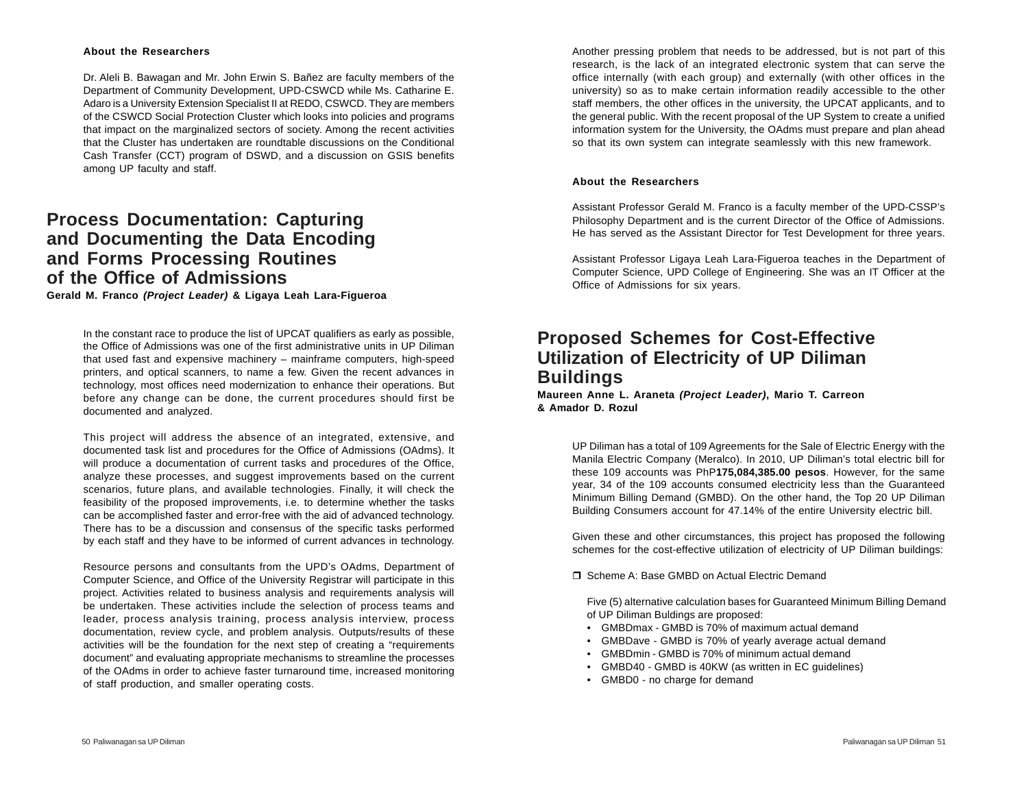#### **About the Researchers**

Dr. Aleli B. Bawagan and Mr. John Erwin S. Bañez are faculty members of the Department of Community Development, UPD-CSWCD while Ms. Catharine E. Adaro is a University Extension Specialist II at REDO, CSWCD. They are members of the CSWCD Social Protection Cluster which looks into policies and programs that impact on the marginalized sectors of society. Among the recent activities that the Cluster has undertaken are roundtable discussions on the Conditional Cash Transfer (CCT) program of DSWD, and a discussion on GSIS benefits among UP faculty and staff.

## **Process Documentation: Capturing and Documenting the Data Encoding and Forms Processing Routines of the Office of Admissions**

**Gerald M. Franco** *(Project Leader)* **& Ligaya Leah Lara-Figueroa**

In the constant race to produce the list of UPCAT qualifiers as early as possible, the Office of Admissions was one of the first administrative units in UP Diliman that used fast and expensive machinery – mainframe computers, high-speed printers, and optical scanners, to name a few. Given the recent advances in technology, most offices need modernization to enhance their operations. But before any change can be done, the current procedures should first be documented and analyzed.

This project will address the absence of an integrated, extensive, and documented task list and procedures for the Office of Admissions (OAdms). It will produce a documentation of current tasks and procedures of the Office, analyze these processes, and suggest improvements based on the current scenarios, future plans, and available technologies. Finally, it will check the feasibility of the proposed improvements, i.e. to determine whether the tasks can be accomplished faster and error-free with the aid of advanced technology. There has to be a discussion and consensus of the specific tasks performed by each staff and they have to be informed of current advances in technology.

Resource persons and consultants from the UPD's OAdms, Department of Computer Science, and Office of the University Registrar will participate in this project. Activities related to business analysis and requirements analysis will be undertaken. These activities include the selection of process teams and leader, process analysis training, process analysis interview, process documentation, review cycle, and problem analysis. Outputs/results of these activities will be the foundation for the next step of creating a "requirements document" and evaluating appropriate mechanisms to streamline the processes of the OAdms in order to achieve faster turnaround time, increased monitoring of staff production, and smaller operating costs.

Another pressing problem that needs to be addressed, but is not part of this research, is the lack of an integrated electronic system that can serve the office internally (with each group) and externally (with other offices in the university) so as to make certain information readily accessible to the other staff members, the other offices in the university, the UPCAT applicants, and to the general public. With the recent proposal of the UP System to create a unified information system for the University, the OAdms must prepare and plan ahead so that its own system can integrate seamlessly with this new framework.

#### **About the Researchers**

Assistant Professor Gerald M. Franco is a faculty member of the UPD-CSSP's Philosophy Department and is the current Director of the Office of Admissions. He has served as the Assistant Director for Test Development for three years.

Assistant Professor Ligaya Leah Lara-Figueroa teaches in the Department of Computer Science, UPD College of Engineering. She was an IT Officer at the Office of Admissions for six years.

### **Proposed Schemes for Cost-Effective Utilization of Electricity of UP Diliman Buildings**

**Maureen Anne L. Araneta** *(Project Leader)***, Mario T. Carreon & Amador D. Rozul**

> UP Diliman has a total of 109 Agreements for the Sale of Electric Energy with the Manila Electric Company (Meralco). In 2010, UP Diliman's total electric bill for these 109 accounts was PhP**175,084,385.00 pesos**. However, for the same year, 34 of the 109 accounts consumed electricity less than the Guaranteed Minimum Billing Demand (GMBD). On the other hand, the Top 20 UP Diliman Building Consumers account for 47.14% of the entire University electric bill.

> Given these and other circumstances, this project has proposed the following schemes for the cost-effective utilization of electricity of UP Diliman buildings:

□ Scheme A: Base GMBD on Actual Electric Demand

Five (5) alternative calculation bases for Guaranteed Minimum Billing Demand of UP Diliman Buldings are proposed:

- GMBDmax GMBD is 70% of maximum actual demand
- GMBDave GMBD is 70% of yearly average actual demand
- GMBDmin GMBD is 70% of minimum actual demand
- GMBD40 GMBD is 40KW (as written in EC guidelines)
- GMBD0 no charge for demand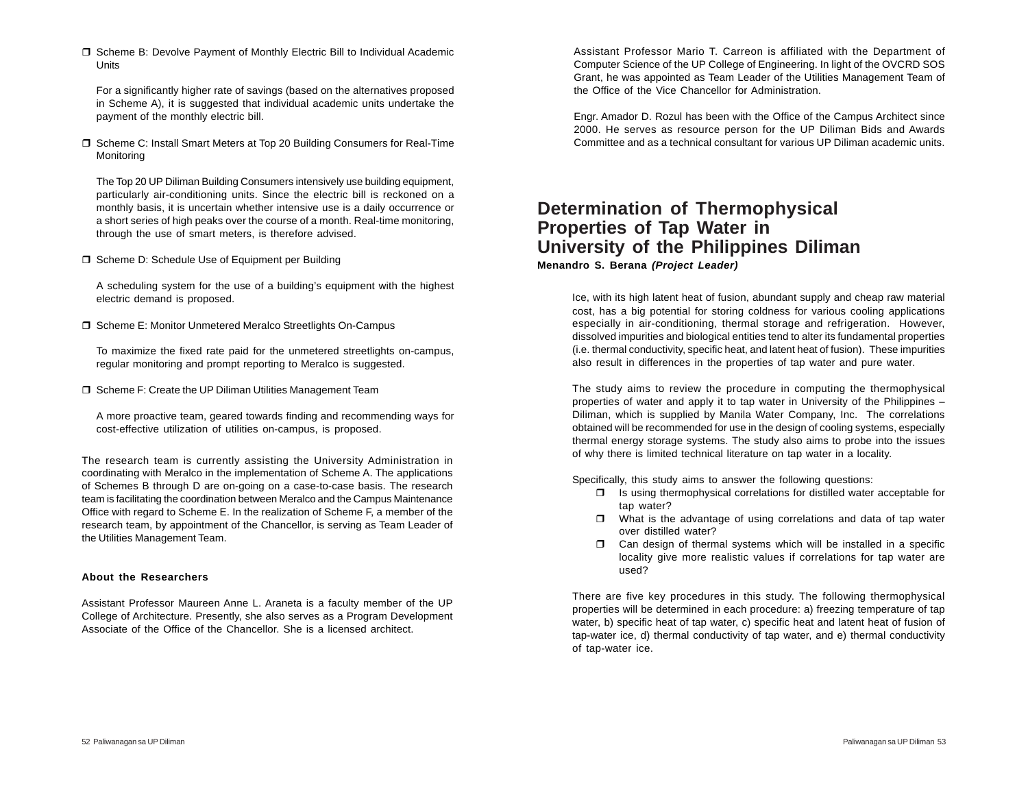□ Scheme B: Devolve Payment of Monthly Electric Bill to Individual Academic **Units** 

For a significantly higher rate of savings (based on the alternatives proposed in Scheme A), it is suggested that individual academic units undertake the payment of the monthly electric bill.

□ Scheme C: Install Smart Meters at Top 20 Building Consumers for Real-Time Monitoring

The Top 20 UP Diliman Building Consumers intensively use building equipment, particularly air-conditioning units. Since the electric bill is reckoned on a monthly basis, it is uncertain whether intensive use is a daily occurrence or a short series of high peaks over the course of a month. Real-time monitoring, through the use of smart meters, is therefore advised.

□ Scheme D: Schedule Use of Equipment per Building

A scheduling system for the use of a building's equipment with the highest electric demand is proposed.

□ Scheme E: Monitor Unmetered Meralco Streetlights On-Campus

To maximize the fixed rate paid for the unmetered streetlights on-campus, regular monitoring and prompt reporting to Meralco is suggested.

□ Scheme F: Create the UP Diliman Utilities Management Team

A more proactive team, geared towards finding and recommending ways for cost-effective utilization of utilities on-campus, is proposed.

The research team is currently assisting the University Administration in coordinating with Meralco in the implementation of Scheme A. The applications of Schemes B through D are on-going on a case-to-case basis. The research team is facilitating the coordination between Meralco and the Campus Maintenance Office with regard to Scheme E. In the realization of Scheme F, a member of the research team, by appointment of the Chancellor, is serving as Team Leader of the Utilities Management Team.

#### **About the Researchers**

Assistant Professor Maureen Anne L. Araneta is a faculty member of the UP College of Architecture. Presently, she also serves as a Program Development Associate of the Office of the Chancellor. She is a licensed architect.

Assistant Professor Mario T. Carreon is affiliated with the Department of Computer Science of the UP College of Engineering. In light of the OVCRD SOS Grant, he was appointed as Team Leader of the Utilities Management Team of the Office of the Vice Chancellor for Administration.

Engr. Amador D. Rozul has been with the Office of the Campus Architect since 2000. He serves as resource person for the UP Diliman Bids and Awards Committee and as a technical consultant for various UP Diliman academic units.

### **Determination of Thermophysical Properties of Tap Water in University of the Philippines Diliman Menandro S. Berana** *(Project Leader)*

Ice, with its high latent heat of fusion, abundant supply and cheap raw material cost, has a big potential for storing coldness for various cooling applications especially in air-conditioning, thermal storage and refrigeration. However, dissolved impurities and biological entities tend to alter its fundamental properties (i.e. thermal conductivity, specific heat, and latent heat of fusion). These impurities also result in differences in the properties of tap water and pure water.

The study aims to review the procedure in computing the thermophysical properties of water and apply it to tap water in University of the Philippines – Diliman, which is supplied by Manila Water Company, Inc. The correlations obtained will be recommended for use in the design of cooling systems, especially thermal energy storage systems. The study also aims to probe into the issues of why there is limited technical literature on tap water in a locality.

Specifically, this study aims to answer the following questions:

- $\Box$  Is using thermophysical correlations for distilled water acceptable for tap water?
- $\Box$  What is the advantage of using correlations and data of tap water over distilled water?
- $\square$  Can design of thermal systems which will be installed in a specific locality give more realistic values if correlations for tap water are used?

There are five key procedures in this study. The following thermophysical properties will be determined in each procedure: a) freezing temperature of tap water, b) specific heat of tap water, c) specific heat and latent heat of fusion of tap-water ice, d) thermal conductivity of tap water, and e) thermal conductivity of tap-water ice.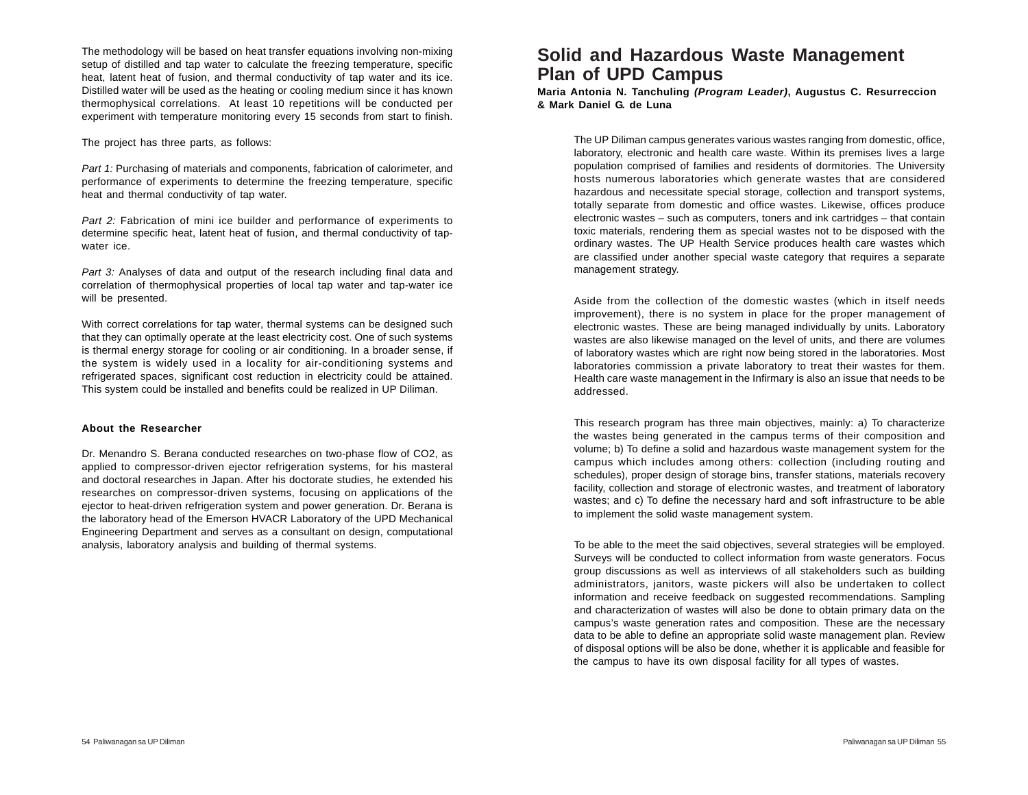The methodology will be based on heat transfer equations involving non-mixing setup of distilled and tap water to calculate the freezing temperature, specific heat, latent heat of fusion, and thermal conductivity of tap water and its ice. Distilled water will be used as the heating or cooling medium since it has known thermophysical correlations. At least 10 repetitions will be conducted per experiment with temperature monitoring every 15 seconds from start to finish.

The project has three parts, as follows:

*Part 1:* Purchasing of materials and components, fabrication of calorimeter, and performance of experiments to determine the freezing temperature, specific heat and thermal conductivity of tap water.

*Part 2:* Fabrication of mini ice builder and performance of experiments to determine specific heat, latent heat of fusion, and thermal conductivity of tapwater ice.

*Part 3:* Analyses of data and output of the research including final data and correlation of thermophysical properties of local tap water and tap-water ice will be presented.

With correct correlations for tap water, thermal systems can be designed such that they can optimally operate at the least electricity cost. One of such systems is thermal energy storage for cooling or air conditioning. In a broader sense, if the system is widely used in a locality for air-conditioning systems and refrigerated spaces, significant cost reduction in electricity could be attained. This system could be installed and benefits could be realized in UP Diliman.

#### **About the Researcher**

Dr. Menandro S. Berana conducted researches on two-phase flow of CO2, as applied to compressor-driven ejector refrigeration systems, for his masteral and doctoral researches in Japan. After his doctorate studies, he extended his researches on compressor-driven systems, focusing on applications of the ejector to heat-driven refrigeration system and power generation. Dr. Berana is the laboratory head of the Emerson HVACR Laboratory of the UPD Mechanical Engineering Department and serves as a consultant on design, computational analysis, laboratory analysis and building of thermal systems.

## **Solid and Hazardous Waste Management Plan of UPD Campus**

**Maria Antonia N. Tanchuling** *(Program Leader)***, Augustus C. Resurreccion & Mark Daniel G. de Luna**

The UP Diliman campus generates various wastes ranging from domestic, office, laboratory, electronic and health care waste. Within its premises lives a large population comprised of families and residents of dormitories. The University hosts numerous laboratories which generate wastes that are considered hazardous and necessitate special storage, collection and transport systems, totally separate from domestic and office wastes. Likewise, offices produce electronic wastes – such as computers, toners and ink cartridges – that contain toxic materials, rendering them as special wastes not to be disposed with the ordinary wastes. The UP Health Service produces health care wastes which are classified under another special waste category that requires a separate management strategy.

Aside from the collection of the domestic wastes (which in itself needs improvement), there is no system in place for the proper management of electronic wastes. These are being managed individually by units. Laboratory wastes are also likewise managed on the level of units, and there are volumes of laboratory wastes which are right now being stored in the laboratories. Most laboratories commission a private laboratory to treat their wastes for them. Health care waste management in the Infirmary is also an issue that needs to be addressed.

This research program has three main objectives, mainly: a) To characterize the wastes being generated in the campus terms of their composition and volume; b) To define a solid and hazardous waste management system for the campus which includes among others: collection (including routing and schedules), proper design of storage bins, transfer stations, materials recovery facility, collection and storage of electronic wastes, and treatment of laboratory wastes; and c) To define the necessary hard and soft infrastructure to be able to implement the solid waste management system.

To be able to the meet the said objectives, several strategies will be employed. Surveys will be conducted to collect information from waste generators. Focus group discussions as well as interviews of all stakeholders such as building administrators, janitors, waste pickers will also be undertaken to collect information and receive feedback on suggested recommendations. Sampling and characterization of wastes will also be done to obtain primary data on the campus's waste generation rates and composition. These are the necessary data to be able to define an appropriate solid waste management plan. Review of disposal options will be also be done, whether it is applicable and feasible for the campus to have its own disposal facility for all types of wastes.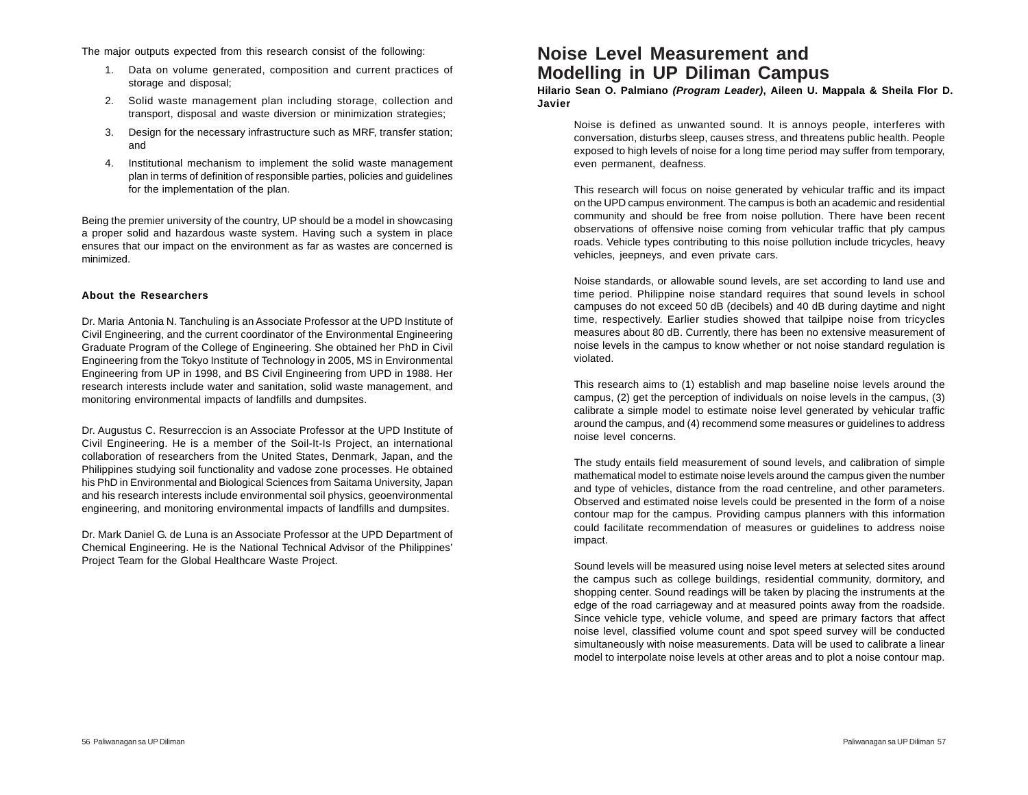The major outputs expected from this research consist of the following:

- 1. Data on volume generated, composition and current practices of storage and disposal;
- 2. Solid waste management plan including storage, collection and transport, disposal and waste diversion or minimization strategies;
- 3. Design for the necessary infrastructure such as MRF, transfer station; and
- 4. Institutional mechanism to implement the solid waste management plan in terms of definition of responsible parties, policies and guidelines for the implementation of the plan.

Being the premier university of the country, UP should be a model in showcasing a proper solid and hazardous waste system. Having such a system in place ensures that our impact on the environment as far as wastes are concerned is minimized.

#### **About the Researchers**

Dr. Maria Antonia N. Tanchuling is an Associate Professor at the UPD Institute of Civil Engineering, and the current coordinator of the Environmental Engineering Graduate Program of the College of Engineering. She obtained her PhD in Civil Engineering from the Tokyo Institute of Technology in 2005, MS in Environmental Engineering from UP in 1998, and BS Civil Engineering from UPD in 1988. Her research interests include water and sanitation, solid waste management, and monitoring environmental impacts of landfills and dumpsites.

Dr. Augustus C. Resurreccion is an Associate Professor at the UPD Institute of Civil Engineering. He is a member of the Soil-It-Is Project, an international collaboration of researchers from the United States, Denmark, Japan, and the Philippines studying soil functionality and vadose zone processes. He obtained his PhD in Environmental and Biological Sciences from Saitama University, Japan and his research interests include environmental soil physics, geoenvironmental engineering, and monitoring environmental impacts of landfills and dumpsites.

Dr. Mark Daniel G. de Luna is an Associate Professor at the UPD Department of Chemical Engineering. He is the National Technical Advisor of the Philippines' Project Team for the Global Healthcare Waste Project.

### **Noise Level Measurement and Modelling in UP Diliman Campus**

**Hilario Sean O. Palmiano** *(Program Leader)***, Aileen U. Mappala & Sheila Flor D. Javier**

Noise is defined as unwanted sound. It is annoys people, interferes with conversation, disturbs sleep, causes stress, and threatens public health. People exposed to high levels of noise for a long time period may suffer from temporary, even permanent, deafness.

This research will focus on noise generated by vehicular traffic and its impact on the UPD campus environment. The campus is both an academic and residential community and should be free from noise pollution. There have been recent observations of offensive noise coming from vehicular traffic that ply campus roads. Vehicle types contributing to this noise pollution include tricycles, heavy vehicles, jeepneys, and even private cars.

Noise standards, or allowable sound levels, are set according to land use and time period. Philippine noise standard requires that sound levels in school campuses do not exceed 50 dB (decibels) and 40 dB during daytime and night time, respectively. Earlier studies showed that tailpipe noise from tricycles measures about 80 dB. Currently, there has been no extensive measurement of noise levels in the campus to know whether or not noise standard regulation is violated.

This research aims to (1) establish and map baseline noise levels around the campus, (2) get the perception of individuals on noise levels in the campus, (3) calibrate a simple model to estimate noise level generated by vehicular traffic around the campus, and (4) recommend some measures or guidelines to address noise level concerns.

The study entails field measurement of sound levels, and calibration of simple mathematical model to estimate noise levels around the campus given the number and type of vehicles, distance from the road centreline, and other parameters. Observed and estimated noise levels could be presented in the form of a noise contour map for the campus. Providing campus planners with this information could facilitate recommendation of measures or guidelines to address noise impact.

Sound levels will be measured using noise level meters at selected sites around the campus such as college buildings, residential community, dormitory, and shopping center. Sound readings will be taken by placing the instruments at the edge of the road carriageway and at measured points away from the roadside. Since vehicle type, vehicle volume, and speed are primary factors that affect noise level, classified volume count and spot speed survey will be conducted simultaneously with noise measurements. Data will be used to calibrate a linear model to interpolate noise levels at other areas and to plot a noise contour map.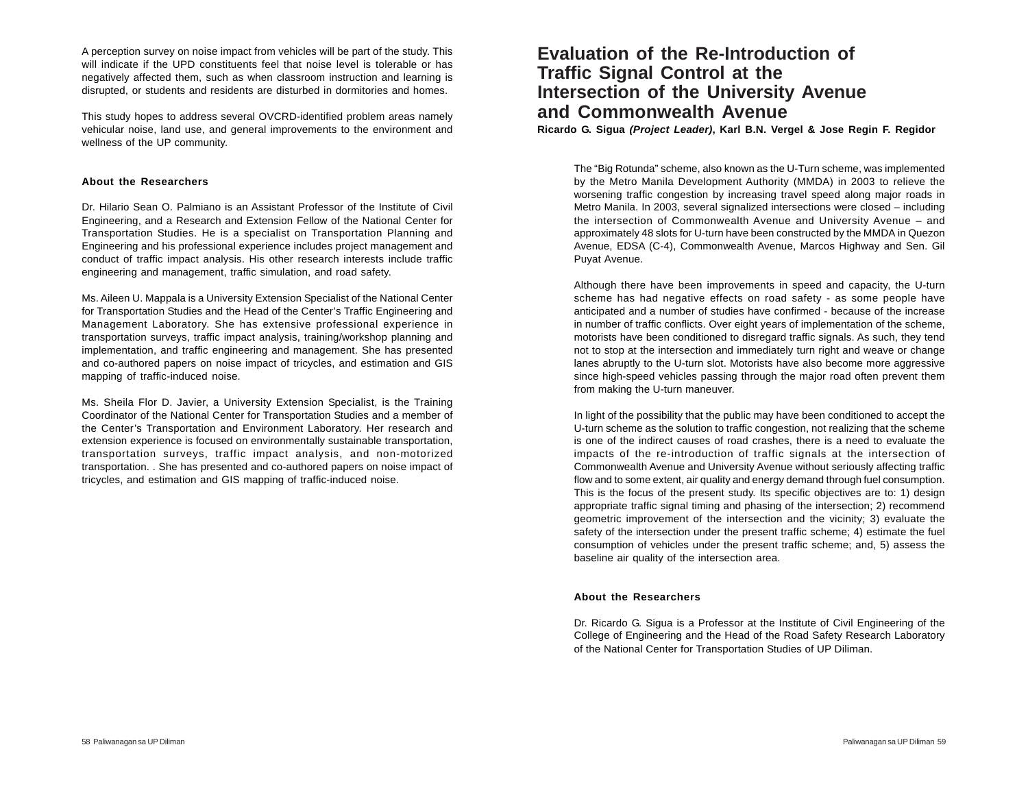A perception survey on noise impact from vehicles will be part of the study. This will indicate if the UPD constituents feel that noise level is tolerable or has negatively affected them, such as when classroom instruction and learning is disrupted, or students and residents are disturbed in dormitories and homes.

This study hopes to address several OVCRD-identified problem areas namely vehicular noise, land use, and general improvements to the environment and wellness of the UP community.

#### **About the Researchers**

Dr. Hilario Sean O. Palmiano is an Assistant Professor of the Institute of Civil Engineering, and a Research and Extension Fellow of the National Center for Transportation Studies. He is a specialist on Transportation Planning and Engineering and his professional experience includes project management and conduct of traffic impact analysis. His other research interests include traffic engineering and management, traffic simulation, and road safety.

Ms. Aileen U. Mappala is a University Extension Specialist of the National Center for Transportation Studies and the Head of the Center's Traffic Engineering and Management Laboratory. She has extensive professional experience in transportation surveys, traffic impact analysis, training/workshop planning and implementation, and traffic engineering and management. She has presented and co-authored papers on noise impact of tricycles, and estimation and GIS mapping of traffic-induced noise.

Ms. Sheila Flor D. Javier, a University Extension Specialist, is the Training Coordinator of the National Center for Transportation Studies and a member of the Center's Transportation and Environment Laboratory. Her research and extension experience is focused on environmentally sustainable transportation, transportation surveys, traffic impact analysis, and non-motorized transportation. . She has presented and co-authored papers on noise impact of tricycles, and estimation and GIS mapping of traffic-induced noise.

## **Evaluation of the Re-Introduction of Traffic Signal Control at the Intersection of the University Avenue and Commonwealth Avenue**

**Ricardo G. Sigua** *(Project Leader)***, Karl B.N. Vergel & Jose Regin F. Regidor**

The "Big Rotunda" scheme, also known as the U-Turn scheme, was implemented by the Metro Manila Development Authority (MMDA) in 2003 to relieve the worsening traffic congestion by increasing travel speed along major roads in Metro Manila. In 2003, several signalized intersections were closed – including the intersection of Commonwealth Avenue and University Avenue – and approximately 48 slots for U-turn have been constructed by the MMDA in Quezon Avenue, EDSA (C-4), Commonwealth Avenue, Marcos Highway and Sen. Gil Puyat Avenue.

Although there have been improvements in speed and capacity, the U-turn scheme has had negative effects on road safety - as some people have anticipated and a number of studies have confirmed - because of the increase in number of traffic conflicts. Over eight years of implementation of the scheme, motorists have been conditioned to disregard traffic signals. As such, they tend not to stop at the intersection and immediately turn right and weave or change lanes abruptly to the U-turn slot. Motorists have also become more aggressive since high-speed vehicles passing through the major road often prevent them from making the U-turn maneuver.

In light of the possibility that the public may have been conditioned to accept the U-turn scheme as the solution to traffic congestion, not realizing that the scheme is one of the indirect causes of road crashes, there is a need to evaluate the impacts of the re-introduction of traffic signals at the intersection of Commonwealth Avenue and University Avenue without seriously affecting traffic flow and to some extent, air quality and energy demand through fuel consumption. This is the focus of the present study. Its specific objectives are to: 1) design appropriate traffic signal timing and phasing of the intersection; 2) recommend geometric improvement of the intersection and the vicinity; 3) evaluate the safety of the intersection under the present traffic scheme; 4) estimate the fuel consumption of vehicles under the present traffic scheme; and, 5) assess the baseline air quality of the intersection area.

#### **About the Researchers**

Dr. Ricardo G. Sigua is a Professor at the Institute of Civil Engineering of the College of Engineering and the Head of the Road Safety Research Laboratory of the National Center for Transportation Studies of UP Diliman.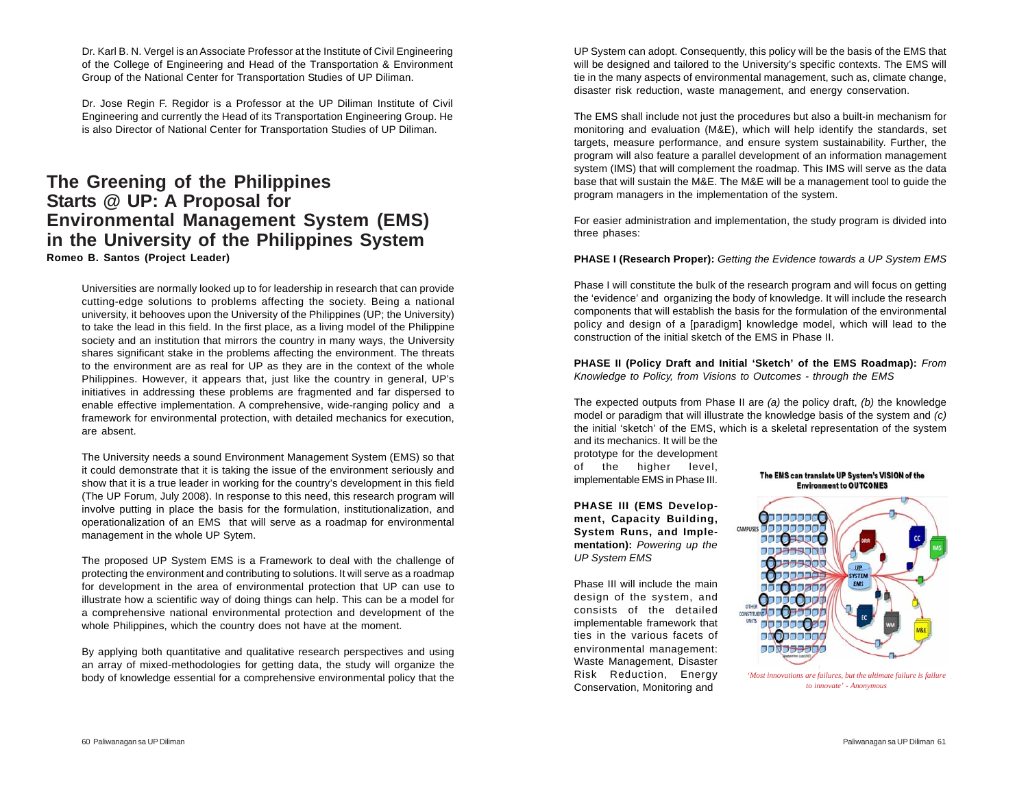Dr. Karl B. N. Vergel is an Associate Professor at the Institute of Civil Engineering of the College of Engineering and Head of the Transportation & Environment Group of the National Center for Transportation Studies of UP Diliman.

Dr. Jose Regin F. Regidor is a Professor at the UP Diliman Institute of Civil Engineering and currently the Head of its Transportation Engineering Group. He is also Director of National Center for Transportation Studies of UP Diliman.

### **The Greening of the Philippines Starts @ UP: A Proposal for Environmental Management System (EMS) in the University of the Philippines System Romeo B. Santos (Project Leader)**

Universities are normally looked up to for leadership in research that can provide cutting-edge solutions to problems affecting the society. Being a national university, it behooves upon the University of the Philippines (UP; the University) to take the lead in this field. In the first place, as a living model of the Philippine society and an institution that mirrors the country in many ways, the University shares significant stake in the problems affecting the environment. The threats to the environment are as real for UP as they are in the context of the whole Philippines. However, it appears that, just like the country in general, UP's initiatives in addressing these problems are fragmented and far dispersed to enable effective implementation. A comprehensive, wide-ranging policy and a framework for environmental protection, with detailed mechanics for execution, are absent.

The University needs a sound Environment Management System (EMS) so that it could demonstrate that it is taking the issue of the environment seriously and show that it is a true leader in working for the country's development in this field (The UP Forum, July 2008). In response to this need, this research program will involve putting in place the basis for the formulation, institutionalization, and operationalization of an EMS that will serve as a roadmap for environmental management in the whole UP Sytem.

The proposed UP System EMS is a Framework to deal with the challenge of protecting the environment and contributing to solutions. It will serve as a roadmap for development in the area of environmental protection that UP can use to illustrate how a scientific way of doing things can help. This can be a model for a comprehensive national environmental protection and development of the whole Philippines, which the country does not have at the moment.

By applying both quantitative and qualitative research perspectives and using an array of mixed-methodologies for getting data, the study will organize the body of knowledge essential for a comprehensive environmental policy that the

UP System can adopt. Consequently, this policy will be the basis of the EMS that will be designed and tailored to the University's specific contexts. The EMS will tie in the many aspects of environmental management, such as, climate change, disaster risk reduction, waste management, and energy conservation.

The EMS shall include not just the procedures but also a built-in mechanism for monitoring and evaluation (M&E), which will help identify the standards, set targets, measure performance, and ensure system sustainability. Further, the program will also feature a parallel development of an information management system (IMS) that will complement the roadmap. This IMS will serve as the data base that will sustain the M&E. The M&E will be a management tool to guide the program managers in the implementation of the system.

For easier administration and implementation, the study program is divided into three phases:

#### **PHASE I (Research Proper):** *Getting the Evidence towards a UP System EMS*

Phase I will constitute the bulk of the research program and will focus on getting the 'evidence' and organizing the body of knowledge. It will include the research components that will establish the basis for the formulation of the environmental policy and design of a [paradigm] knowledge model, which will lead to the construction of the initial sketch of the EMS in Phase II.

**PHASE II (Policy Draft and Initial 'Sketch' of the EMS Roadmap):** *From Knowledge to Policy, from Visions to Outcomes - through the EMS*

The expected outputs from Phase II are *(a)* the policy draft, *(b)* the knowledge model or paradigm that will illustrate the knowledge basis of the system and *(c)* the initial 'sketch' of the EMS, which is a skeletal representation of the system and its mechanics. It will be the

prototype for the development of the higher level, implementable EMS in Phase III.

**PHASE III (EMS Development, Capacity Building, System Runs, and Implementation):** *Powering up the UP System EMS*

Phase III will include the main design of the system, and consists of the detailed implementable framework that ties in the various facets of environmental management: Waste Management, Disaster Risk Reduction, Energy Conservation, Monitoring and



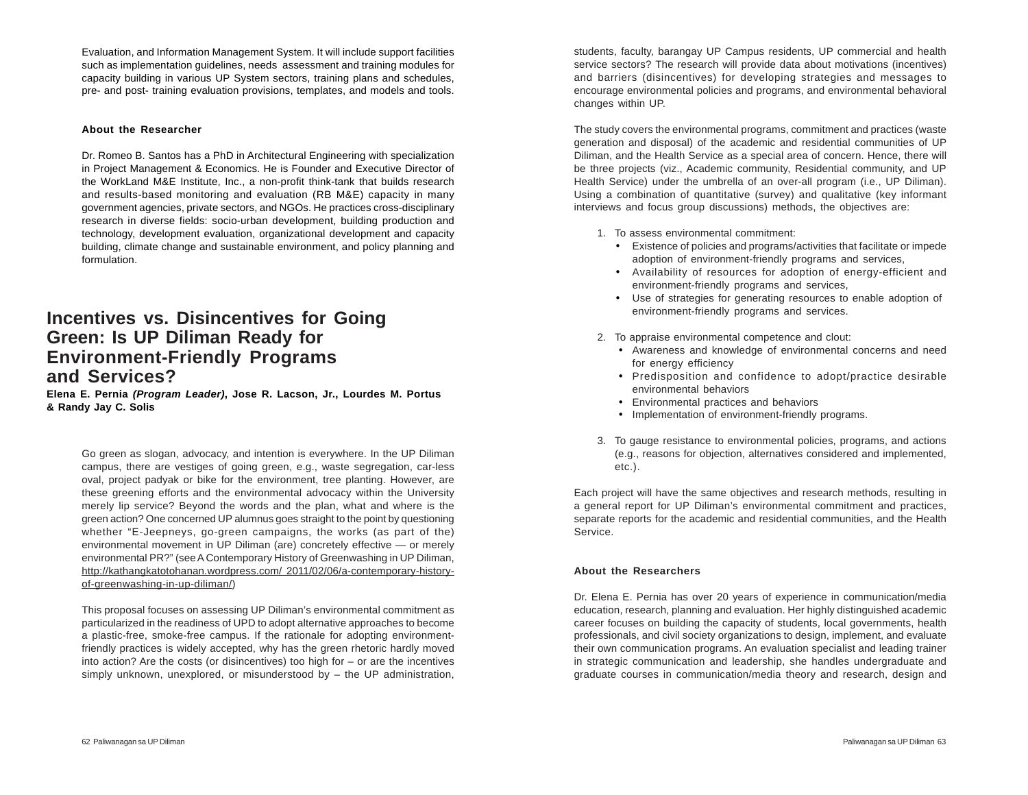Evaluation, and Information Management System. It will include support facilities such as implementation guidelines, needs assessment and training modules for capacity building in various UP System sectors, training plans and schedules, pre- and post- training evaluation provisions, templates, and models and tools.

#### **About the Researcher**

Dr. Romeo B. Santos has a PhD in Architectural Engineering with specialization in Project Management & Economics. He is Founder and Executive Director of the WorkLand M&E Institute, Inc., a non-profit think-tank that builds research and results-based monitoring and evaluation (RB M&E) capacity in many government agencies, private sectors, and NGOs. He practices cross-disciplinary research in diverse fields: socio-urban development, building production and technology, development evaluation, organizational development and capacity building, climate change and sustainable environment, and policy planning and formulation.

### **Incentives vs. Disincentives for Going Green: Is UP Diliman Ready for Environment-Friendly Programs and Services?**

**Elena E. Pernia** *(Program Leader)***, Jose R. Lacson, Jr., Lourdes M. Portus & Randy Jay C. Solis**

Go green as slogan, advocacy, and intention is everywhere. In the UP Diliman campus, there are vestiges of going green, e.g., waste segregation, car-less oval, project padyak or bike for the environment, tree planting. However, are these greening efforts and the environmental advocacy within the University merely lip service? Beyond the words and the plan, what and where is the green action? One concerned UP alumnus goes straight to the point by questioning whether "E-Jeepneys, go-green campaigns, the works (as part of the) environmental movement in UP Diliman (are) concretely effective — or merely environmental PR?" (see A Contemporary History of Greenwashing in UP Diliman, http://kathangkatotohanan.wordpress.com/ 2011/02/06/a-contemporary-historyof-greenwashing-in-up-diliman/)

This proposal focuses on assessing UP Diliman's environmental commitment as particularized in the readiness of UPD to adopt alternative approaches to become a plastic-free, smoke-free campus. If the rationale for adopting environmentfriendly practices is widely accepted, why has the green rhetoric hardly moved into action? Are the costs (or disincentives) too high for – or are the incentives simply unknown, unexplored, or misunderstood by – the UP administration, students, faculty, barangay UP Campus residents, UP commercial and health service sectors? The research will provide data about motivations (incentives) and barriers (disincentives) for developing strategies and messages to encourage environmental policies and programs, and environmental behavioral changes within UP.

The study covers the environmental programs, commitment and practices (waste generation and disposal) of the academic and residential communities of UP Diliman, and the Health Service as a special area of concern. Hence, there will be three projects (viz., Academic community, Residential community, and UP Health Service) under the umbrella of an over-all program (i.e., UP Diliman). Using a combination of quantitative (survey) and qualitative (key informant interviews and focus group discussions) methods, the objectives are:

1. To assess environmental commitment:

- Existence of policies and programs/activities that facilitate or impede adoption of environment-friendly programs and services,
- Availability of resources for adoption of energy-efficient and environment-friendly programs and services,
- Use of strategies for generating resources to enable adoption of environment-friendly programs and services.
- 2. To appraise environmental competence and clout:
	- Awareness and knowledge of environmental concerns and need for energy efficiency
	- Predisposition and confidence to adopt/practice desirable environmental behaviors
	- Environmental practices and behaviors
	- Implementation of environment-friendly programs.
- 3. To gauge resistance to environmental policies, programs, and actions (e.g., reasons for objection, alternatives considered and implemented, etc.).

Each project will have the same objectives and research methods, resulting in a general report for UP Diliman's environmental commitment and practices, separate reports for the academic and residential communities, and the Health Service.

#### **About the Researchers**

Dr. Elena E. Pernia has over 20 years of experience in communication/media education, research, planning and evaluation. Her highly distinguished academic career focuses on building the capacity of students, local governments, health professionals, and civil society organizations to design, implement, and evaluate their own communication programs. An evaluation specialist and leading trainer in strategic communication and leadership, she handles undergraduate and graduate courses in communication/media theory and research, design and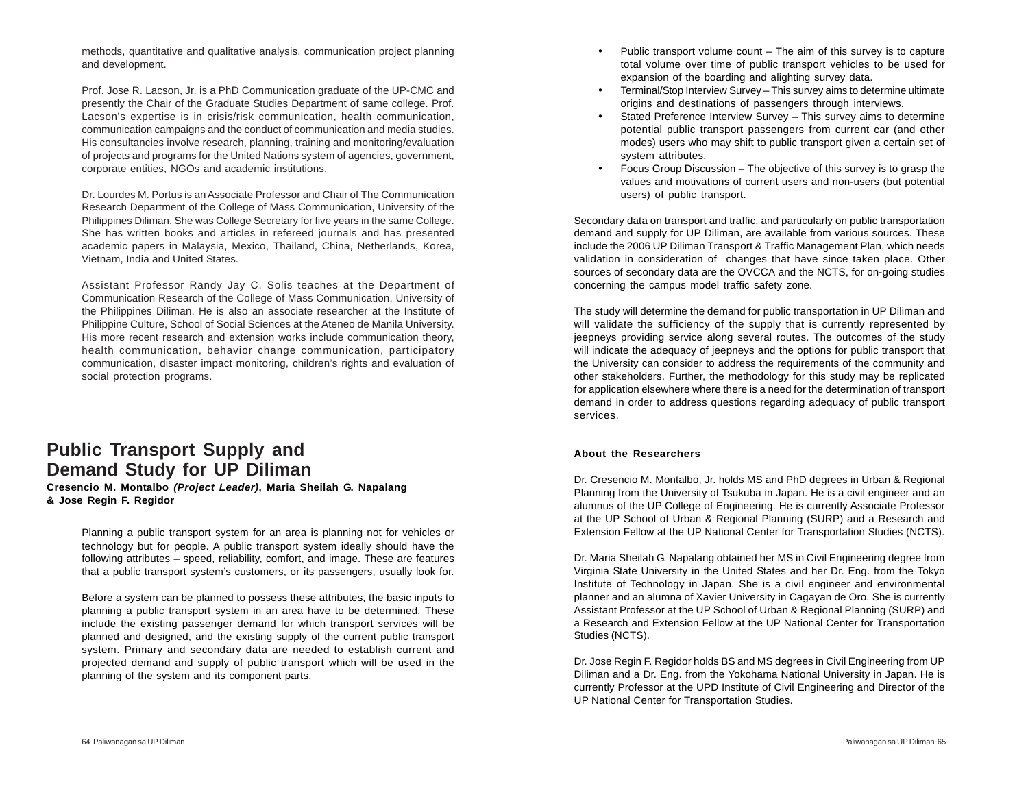methods, quantitative and qualitative analysis, communication project planning and development.

Prof. Jose R. Lacson, Jr. is a PhD Communication graduate of the UP-CMC and presently the Chair of the Graduate Studies Department of same college. Prof. Lacson's expertise is in crisis/risk communication, health communication, communication campaigns and the conduct of communication and media studies. His consultancies involve research, planning, training and monitoring/evaluation of projects and programs for the United Nations system of agencies, government, corporate entities, NGOs and academic institutions.

Dr. Lourdes M. Portus is an Associate Professor and Chair of The Communication Research Department of the College of Mass Communication, University of the Philippines Diliman. She was College Secretary for five years in the same College. She has written books and articles in refereed journals and has presented academic papers in Malaysia, Mexico, Thailand, China, Netherlands, Korea, Vietnam, India and United States.

Assistant Professor Randy Jay C. Solis teaches at the Department of Communication Research of the College of Mass Communication, University of the Philippines Diliman. He is also an associate researcher at the Institute of Philippine Culture, School of Social Sciences at the Ateneo de Manila University. His more recent research and extension works include communication theory, health communication, behavior change communication, participatory communication, disaster impact monitoring, children's rights and evaluation of social protection programs.

# **Public Transport Supply and Demand Study for UP Diliman**

**Cresencio M. Montalbo** *(Project Leader)***, Maria Sheilah G. Napalang & Jose Regin F. Regidor**

Planning a public transport system for an area is planning not for vehicles or technology but for people. A public transport system ideally should have the following attributes – speed, reliability, comfort, and image. These are features that a public transport system's customers, or its passengers, usually look for.

Before a system can be planned to possess these attributes, the basic inputs to planning a public transport system in an area have to be determined. These include the existing passenger demand for which transport services will be planned and designed, and the existing supply of the current public transport system. Primary and secondary data are needed to establish current and projected demand and supply of public transport which will be used in the planning of the system and its component parts.

- Public transport volume count The aim of this survey is to capture total volume over time of public transport vehicles to be used for expansion of the boarding and alighting survey data.
- Terminal/Stop Interview Survey This survey aims to determine ultimate origins and destinations of passengers through interviews.
- Stated Preference Interview Survey This survey aims to determine potential public transport passengers from current car (and other modes) users who may shift to public transport given a certain set of system attributes.
- Focus Group Discussion The objective of this survey is to grasp the values and motivations of current users and non-users (but potential users) of public transport.

Secondary data on transport and traffic, and particularly on public transportation demand and supply for UP Diliman, are available from various sources. These include the 2006 UP Diliman Transport & Traffic Management Plan, which needs validation in consideration of changes that have since taken place. Other sources of secondary data are the OVCCA and the NCTS, for on-going studies concerning the campus model traffic safety zone.

The study will determine the demand for public transportation in UP Diliman and will validate the sufficiency of the supply that is currently represented by jeepneys providing service along several routes. The outcomes of the study will indicate the adequacy of jeepneys and the options for public transport that the University can consider to address the requirements of the community and other stakeholders. Further, the methodology for this study may be replicated for application elsewhere where there is a need for the determination of transport demand in order to address questions regarding adequacy of public transport services.

#### **About the Researchers**

Dr. Cresencio M. Montalbo, Jr. holds MS and PhD degrees in Urban & Regional Planning from the University of Tsukuba in Japan. He is a civil engineer and an alumnus of the UP College of Engineering. He is currently Associate Professor at the UP School of Urban & Regional Planning (SURP) and a Research and Extension Fellow at the UP National Center for Transportation Studies (NCTS).

Dr. Maria Sheilah G. Napalang obtained her MS in Civil Engineering degree from Virginia State University in the United States and her Dr. Eng. from the Tokyo Institute of Technology in Japan. She is a civil engineer and environmental planner and an alumna of Xavier University in Cagayan de Oro. She is currently Assistant Professor at the UP School of Urban & Regional Planning (SURP) and a Research and Extension Fellow at the UP National Center for Transportation Studies (NCTS).

Dr. Jose Regin F. Regidor holds BS and MS degrees in Civil Engineering from UP Diliman and a Dr. Eng. from the Yokohama National University in Japan. He is currently Professor at the UPD Institute of Civil Engineering and Director of the UP National Center for Transportation Studies.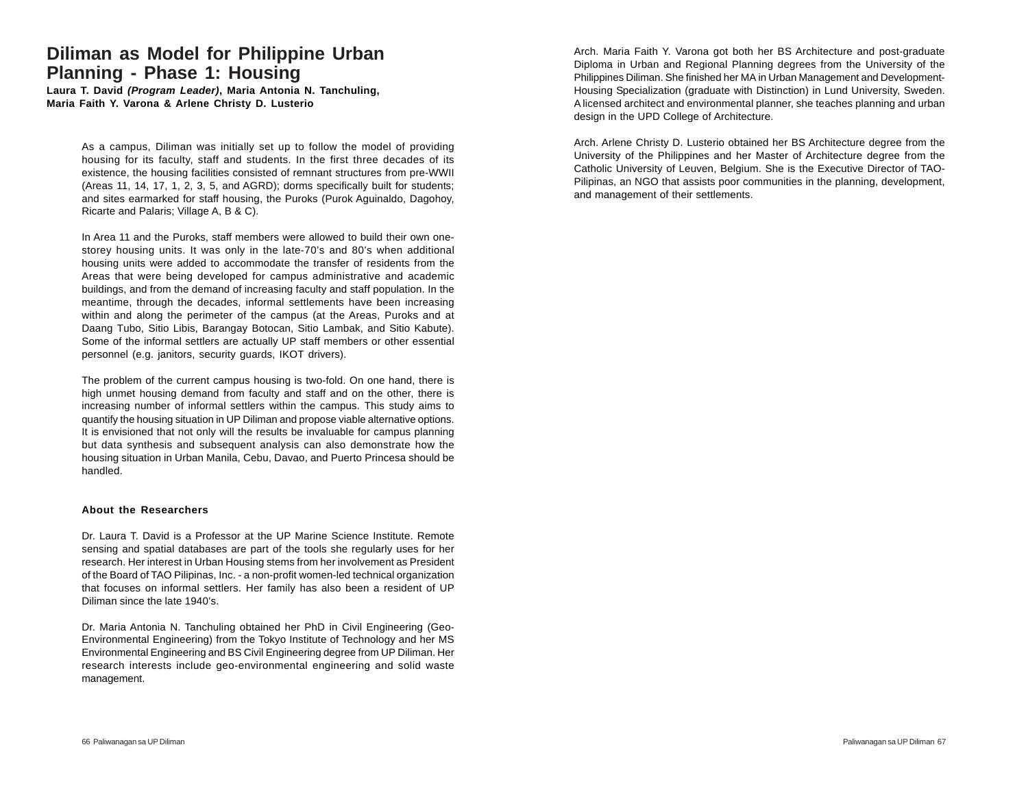### **Diliman as Model for Philippine Urban Planning - Phase 1: Housing**

**Laura T. David** *(Program Leader)***, Maria Antonia N. Tanchuling, Maria Faith Y. Varona & Arlene Christy D. Lusterio**

> As a campus, Diliman was initially set up to follow the model of providing housing for its faculty, staff and students. In the first three decades of its existence, the housing facilities consisted of remnant structures from pre-WWII (Areas 11, 14, 17, 1, 2, 3, 5, and AGRD); dorms specifically built for students; and sites earmarked for staff housing, the Puroks (Purok Aguinaldo, Dagohoy, Ricarte and Palaris; Village A, B & C).

> In Area 11 and the Puroks, staff members were allowed to build their own onestorey housing units. It was only in the late-70's and 80's when additional housing units were added to accommodate the transfer of residents from the Areas that were being developed for campus administrative and academic buildings, and from the demand of increasing faculty and staff population. In the meantime, through the decades, informal settlements have been increasing within and along the perimeter of the campus (at the Areas, Puroks and at Daang Tubo, Sitio Libis, Barangay Botocan, Sitio Lambak, and Sitio Kabute). Some of the informal settlers are actually UP staff members or other essential personnel (e.g. janitors, security guards, IKOT drivers).

> The problem of the current campus housing is two-fold. On one hand, there is high unmet housing demand from faculty and staff and on the other, there is increasing number of informal settlers within the campus. This study aims to quantify the housing situation in UP Diliman and propose viable alternative options. It is envisioned that not only will the results be invaluable for campus planning but data synthesis and subsequent analysis can also demonstrate how the housing situation in Urban Manila, Cebu, Davao, and Puerto Princesa should be handled.

#### **About the Researchers**

Dr. Laura T. David is a Professor at the UP Marine Science Institute. Remote sensing and spatial databases are part of the tools she regularly uses for her research. Her interest in Urban Housing stems from her involvement as President of the Board of TAO Pilipinas, Inc. - a non-profit women-led technical organization that focuses on informal settlers. Her family has also been a resident of UP Diliman since the late 1940's.

Dr. Maria Antonia N. Tanchuling obtained her PhD in Civil Engineering (Geo-Environmental Engineering) from the Tokyo Institute of Technology and her MS Environmental Engineering and BS Civil Engineering degree from UP Diliman. Her research interests include geo-environmental engineering and solid waste management.

Arch. Maria Faith Y. Varona got both her BS Architecture and post-graduate Diploma in Urban and Regional Planning degrees from the University of the Philippines Diliman. She finished her MA in Urban Management and Development-Housing Specialization (graduate with Distinction) in Lund University, Sweden. A licensed architect and environmental planner, she teaches planning and urban design in the UPD College of Architecture.

Arch. Arlene Christy D. Lusterio obtained her BS Architecture degree from the University of the Philippines and her Master of Architecture degree from the Catholic University of Leuven, Belgium. She is the Executive Director of TAO-Pilipinas, an NGO that assists poor communities in the planning, development, and management of their settlements.